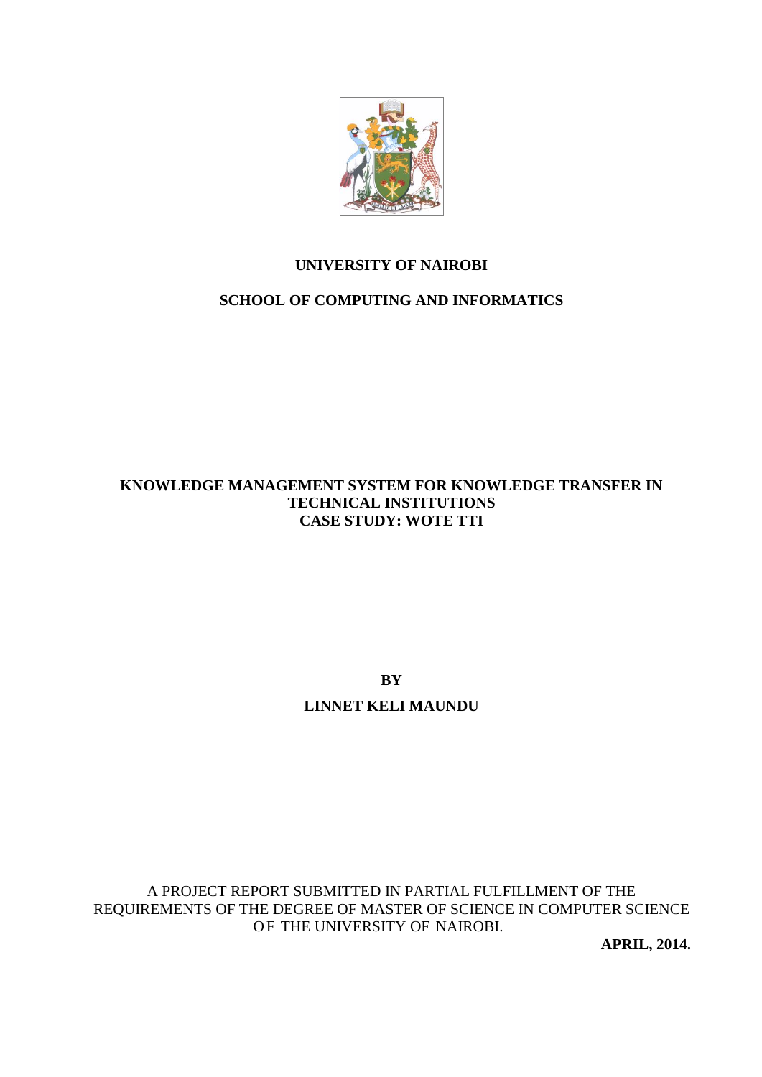

# **UNIVERSITY OF NAIROBI**

# **SCHOOL OF COMPUTING AND INFORMATICS**

# **KNOWLEDGE MANAGEMENT SYSTEM FOR KNOWLEDGE TRANSFER IN TECHNICAL INSTITUTIONS CASE STUDY: WOTE TTI**

**BY LINNET KELI MAUNDU**

A PROJECT REPORT SUBMITTED IN PARTIAL FULFILLMENT OF THE REQUIREMENTS OF THE DEGREE OF MASTER OF SCIENCE IN COMPUTER SCIENCE OF THE UNIVERSITY OF NAIROBI.

**APRIL, 2014.**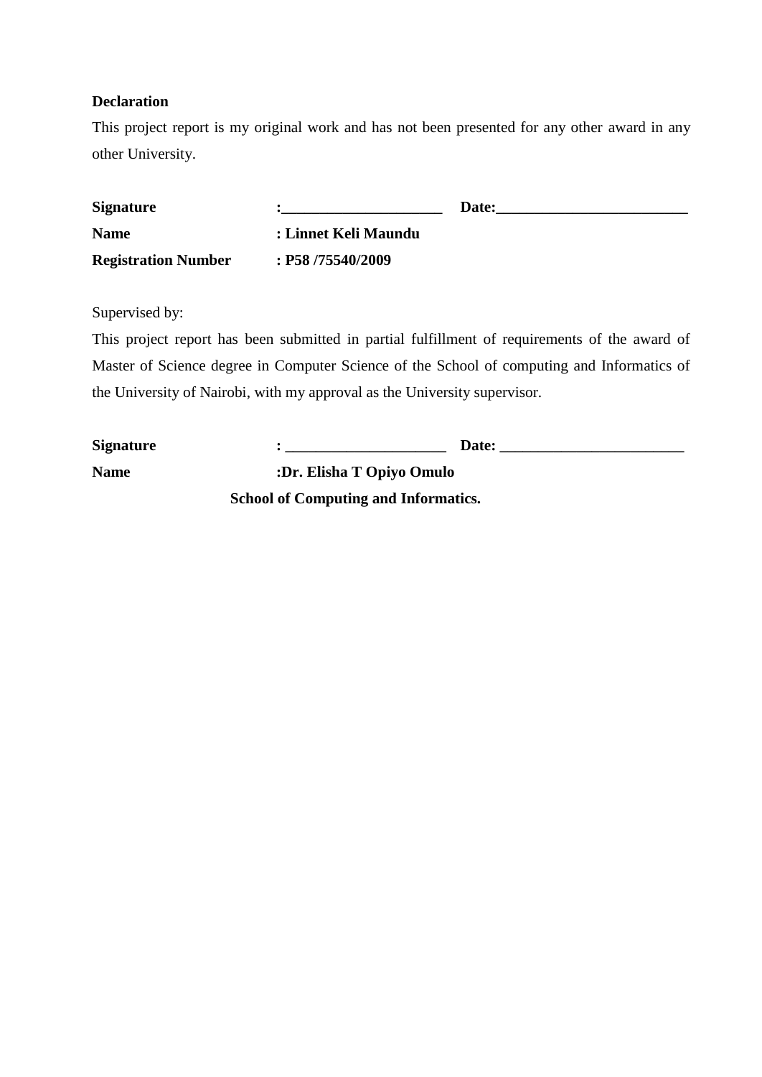# **Declaration**

This project report is my original work and has not been presented for any other award in any other University.

| <b>Signature</b>           |                      | Date: |
|----------------------------|----------------------|-------|
| <b>Name</b>                | : Linnet Keli Maundu |       |
| <b>Registration Number</b> | $:$ P58 /75540/2009  |       |

Supervised by:

This project report has been submitted in partial fulfillment of requirements of the award of Master of Science degree in Computer Science of the School of computing and Informatics of the University of Nairobi, with my approval as the University supervisor.

| <b>Signature</b> | Date:                                       |
|------------------|---------------------------------------------|
| <b>Name</b>      | :Dr. Elisha T Opiyo Omulo                   |
|                  | <b>School of Computing and Informatics.</b> |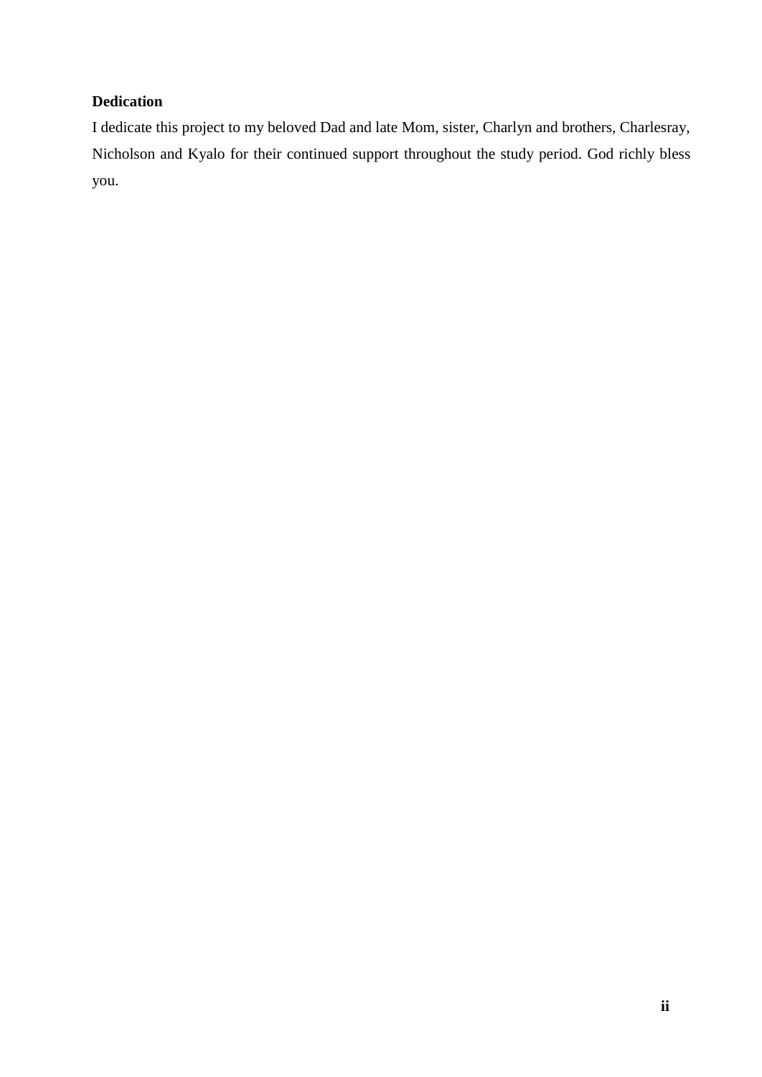# **Dedication**

I dedicate this project to my beloved Dad and late Mom, sister, Charlyn and brothers, Charlesray, Nicholson and Kyalo for their continued support throughout the study period. God richly bless you.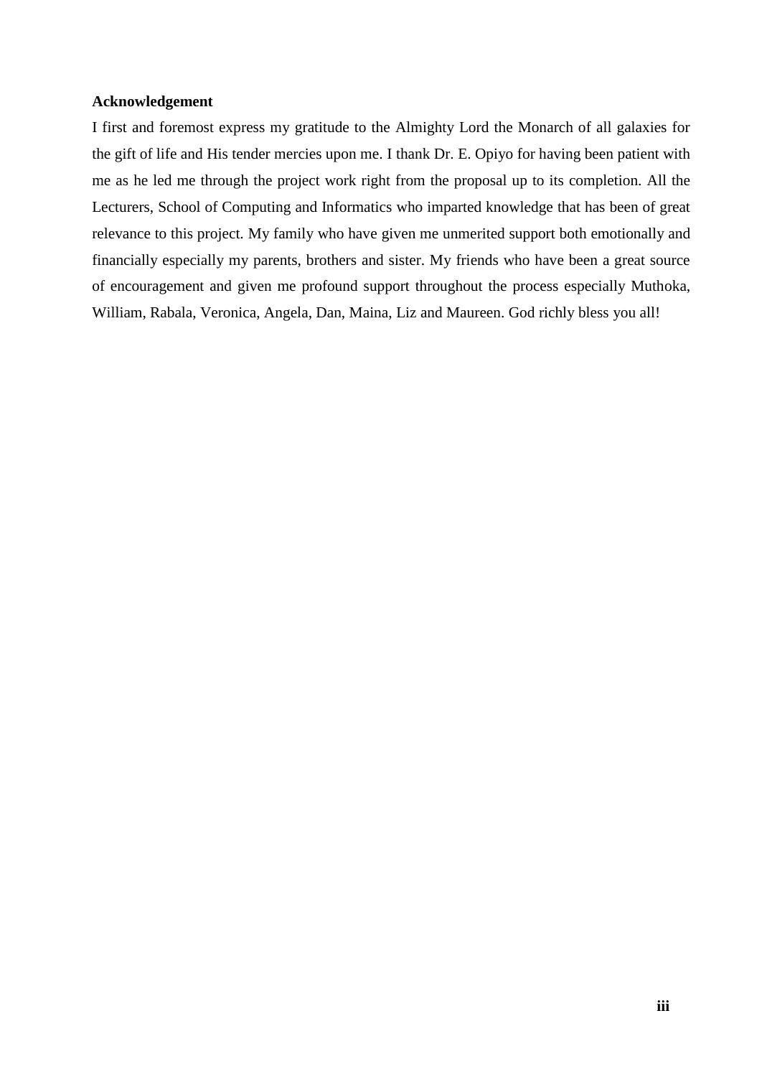## **Acknowledgement**

I first and foremost express my gratitude to the Almighty Lord the Monarch of all galaxies for the gift of life and His tender mercies upon me. I thank Dr. E. Opiyo for having been patient with me as he led me through the project work right from the proposal up to its completion. All the Lecturers, School of Computing and Informatics who imparted knowledge that has been of great relevance to this project. My family who have given me unmerited support both emotionally and financially especially my parents, brothers and sister. My friends who have been a great source of encouragement and given me profound support throughout the process especially Muthoka, William, Rabala, Veronica, Angela, Dan, Maina, Liz and Maureen. God richly bless you all!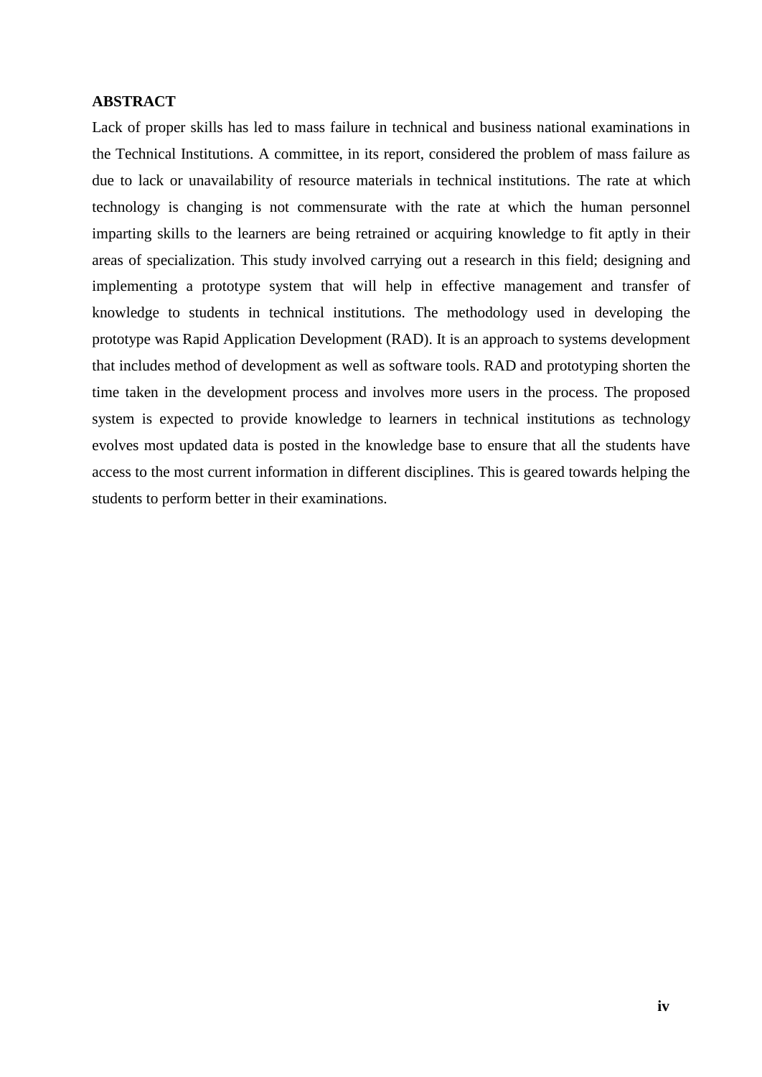#### **ABSTRACT**

Lack of proper skills has led to mass failure in technical and business national examinations in the Technical Institutions. A committee, in its report, considered the problem of mass failure as due to lack or unavailability of resource materials in technical institutions. The rate at which technology is changing is not commensurate with the rate at which the human personnel imparting skills to the learners are being retrained or acquiring knowledge to fit aptly in their areas of specialization. This study involved carrying out a research in this field; designing and implementing a prototype system that will help in effective management and transfer of knowledge to students in technical institutions. The methodology used in developing the prototype was Rapid Application Development (RAD). It is an approach to systems development that includes method of development as well as software tools. RAD and prototyping shorten the time taken in the development process and involves more users in the process. The proposed system is expected to provide knowledge to learners in technical institutions as technology evolves most updated data is posted in the knowledge base to ensure that all the students have access to the most current information in different disciplines. This is geared towards helping the students to perform better in their examinations.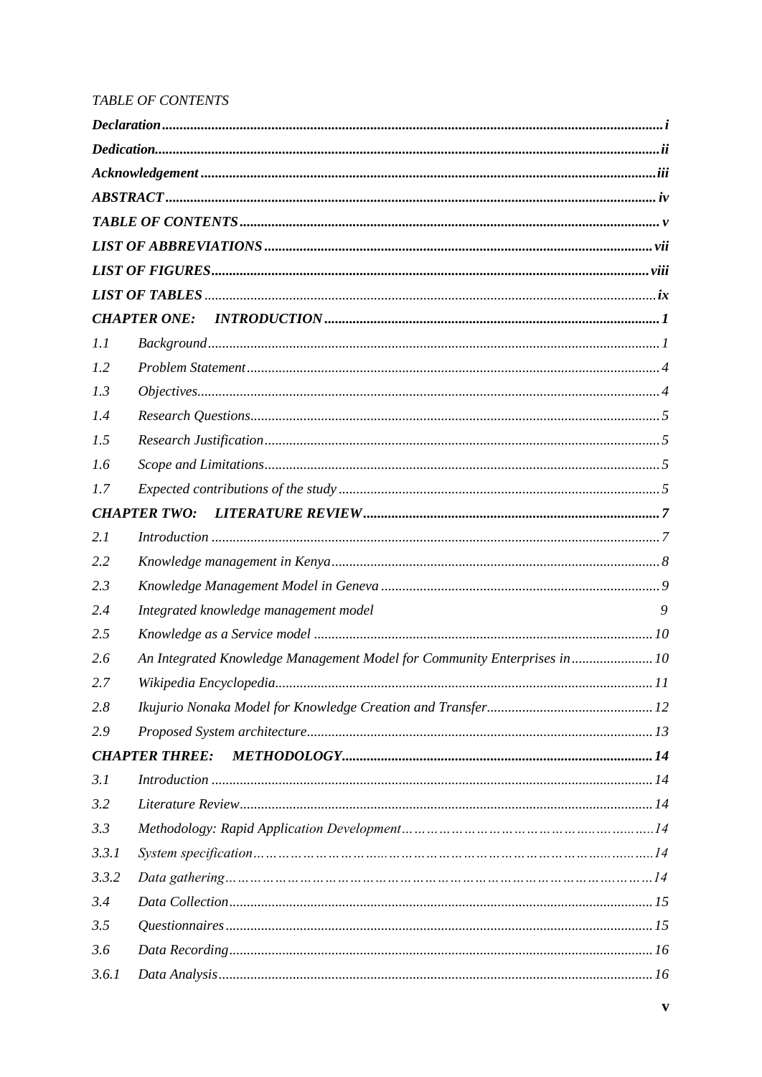# TABLE OF CONTENTS

| 1.1   |                                                                           |   |
|-------|---------------------------------------------------------------------------|---|
| 1.2   |                                                                           |   |
| 1.3   |                                                                           |   |
| 1.4   |                                                                           |   |
| 1.5   |                                                                           |   |
| 1.6   |                                                                           |   |
| 1.7   |                                                                           |   |
|       | <b>CHAPTER TWO:</b>                                                       |   |
| 2.1   |                                                                           |   |
| 2.2   |                                                                           |   |
| 2.3   |                                                                           |   |
| 2.4   | Integrated knowledge management model                                     | 9 |
| 2.5   |                                                                           |   |
| 2.6   | An Integrated Knowledge Management Model for Community Enterprises in  10 |   |
| 2.7   |                                                                           |   |
| 2.8   |                                                                           |   |
| 2.9   |                                                                           |   |
|       | <b>CHAPTER THREE:</b>                                                     |   |
| 3.1   |                                                                           |   |
| 3.2   |                                                                           |   |
| 3.3   |                                                                           |   |
| 3.3.1 |                                                                           |   |
| 3.3.2 |                                                                           |   |
| 3.4   |                                                                           |   |
| 3.5   |                                                                           |   |
| 3.6   |                                                                           |   |
| 3.6.1 |                                                                           |   |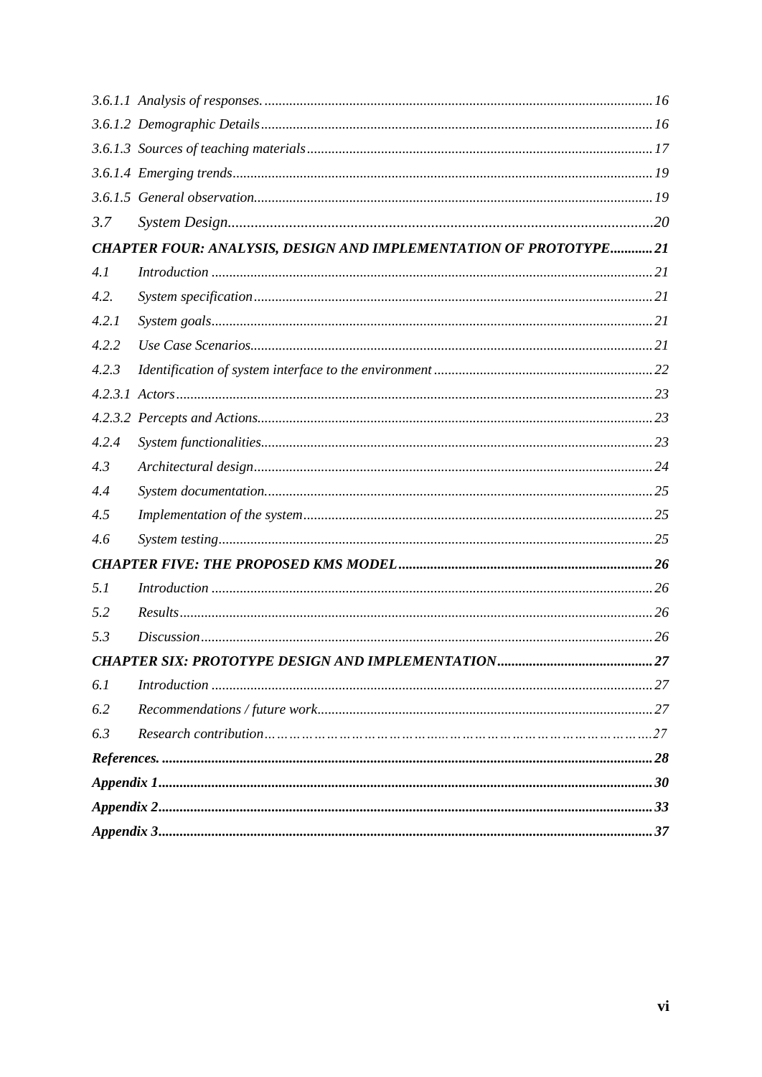| 3.7   |                                                                  |  |
|-------|------------------------------------------------------------------|--|
|       | CHAPTER FOUR: ANALYSIS, DESIGN AND IMPLEMENTATION OF PROTOTYPE21 |  |
| 4.1   |                                                                  |  |
| 4.2.  |                                                                  |  |
| 4.2.1 |                                                                  |  |
| 4.2.2 |                                                                  |  |
| 4.2.3 |                                                                  |  |
|       |                                                                  |  |
|       |                                                                  |  |
| 4.2.4 |                                                                  |  |
| 4.3   |                                                                  |  |
| 4.4   |                                                                  |  |
| 4.5   |                                                                  |  |
| 4.6   |                                                                  |  |
|       |                                                                  |  |
| 5.1   |                                                                  |  |
| 5.2   |                                                                  |  |
| 5.3   |                                                                  |  |
|       | 27                                                               |  |
| 6.1   | Introduction 1, 27                                               |  |
| 6.2   |                                                                  |  |
| 6.3   |                                                                  |  |
|       |                                                                  |  |
|       |                                                                  |  |
|       |                                                                  |  |
|       |                                                                  |  |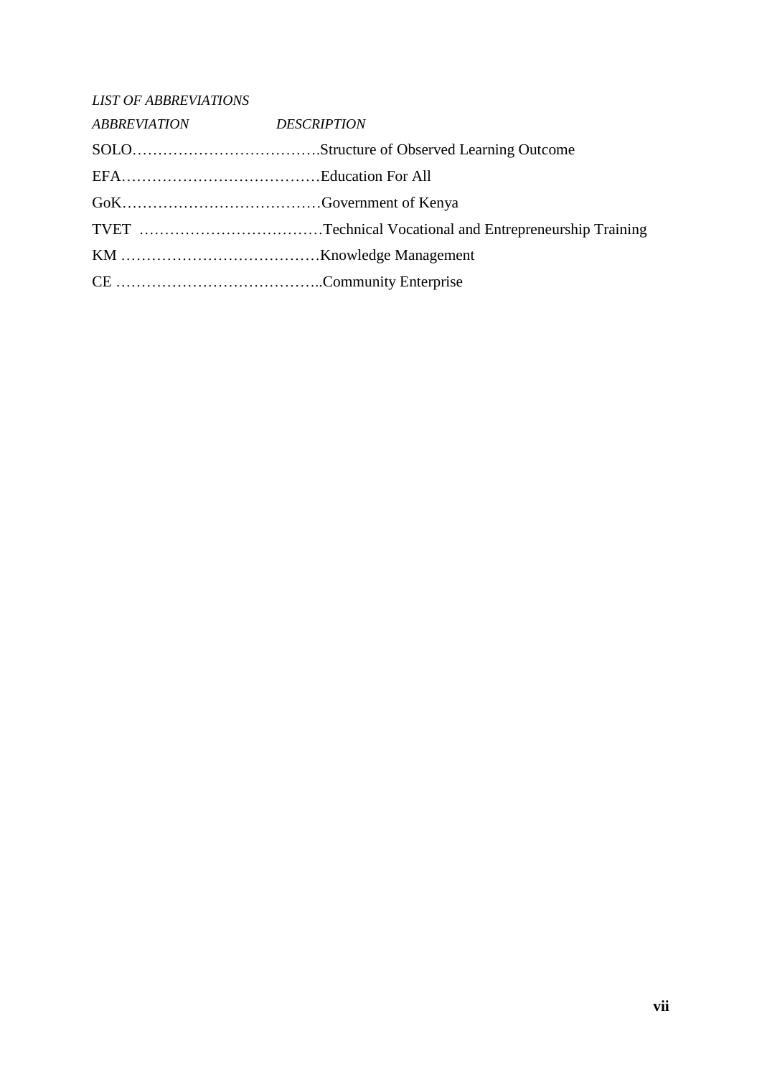| <b>LIST OF ABBREVIATIONS</b> |  |
|------------------------------|--|
| ABBREVIATION DESCRIPTION     |  |
|                              |  |
|                              |  |
|                              |  |
|                              |  |
|                              |  |
|                              |  |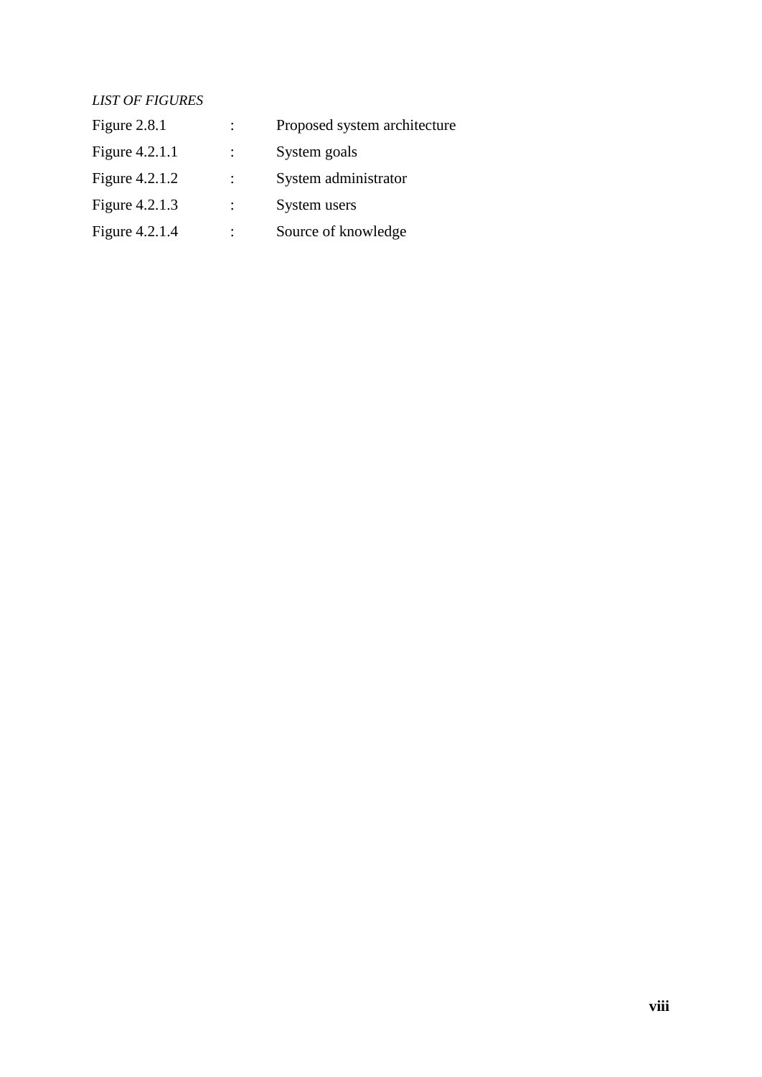# *LIST OF FIGURES*

| Figure 2.8.1   | $\ddot{\phantom{0}}$ | Proposed system architecture |
|----------------|----------------------|------------------------------|
| Figure 4.2.1.1 | $\ddot{\phantom{1}}$ | System goals                 |
| Figure 4.2.1.2 |                      | System administrator         |
| Figure 4.2.1.3 |                      | System users                 |
| Figure 4.2.1.4 |                      | Source of knowledge          |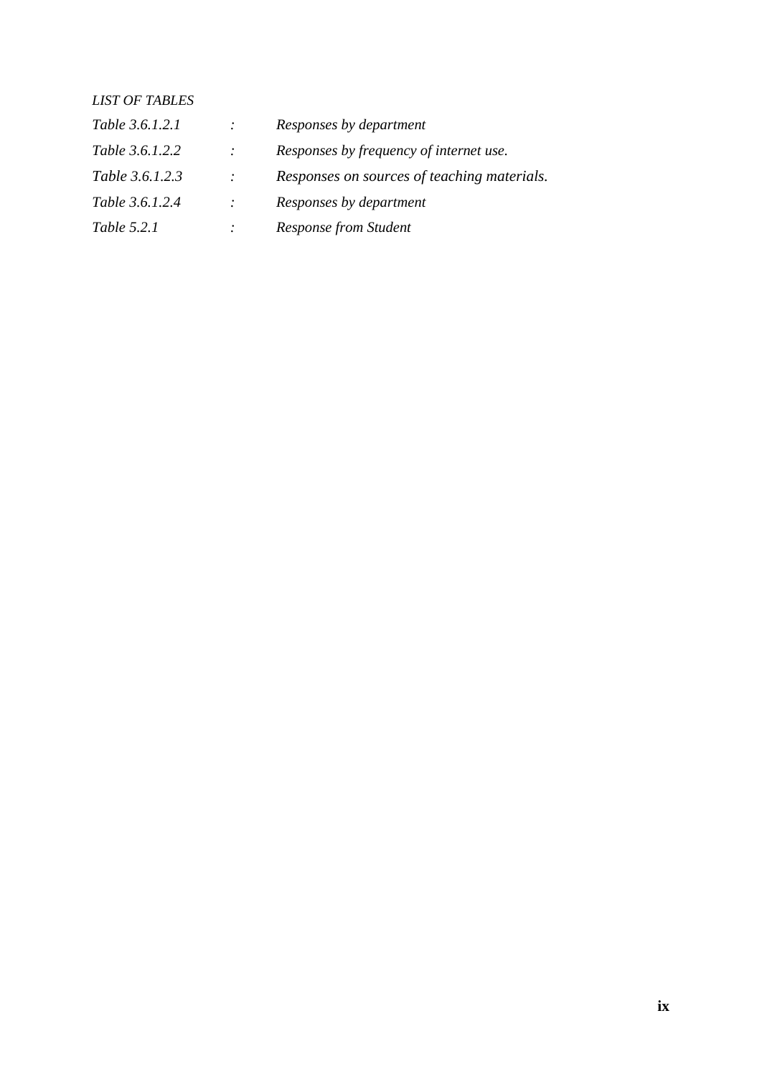# *LIST OF TABLES Table 3.6.1.2.1 : Responses by department Table 3.6.1.2.2 : Responses by frequency of internet use. Table 3.6.1.2.3 : Responses on sources of teaching materials. Table 3.6.1.2.4 : Responses by department Table 5.2.1 : Response from Student*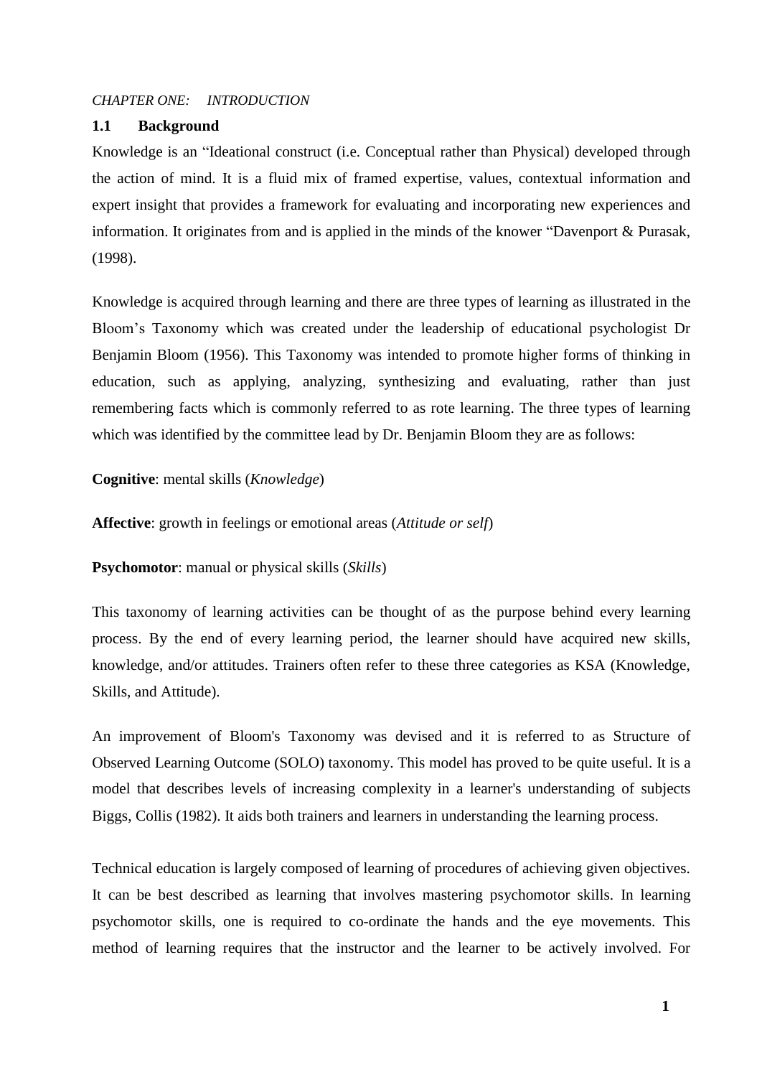### *CHAPTER ONE: INTRODUCTION*

### **1.1 Background**

Knowledge is an "Ideational construct (i.e. Conceptual rather than Physical) developed through the action of mind. It is a fluid mix of framed expertise, values, contextual information and expert insight that provides a framework for evaluating and incorporating new experiences and information. It originates from and is applied in the minds of the knower "Davenport & Purasak, (1998).

Knowledge is acquired through learning and there are three types of learning as illustrated in the Bloom's Taxonomy which was created under the leadership of educational psychologist Dr Benjamin Bloom (1956). This Taxonomy was intended to promote higher forms of thinking in education, such as applying, analyzing, synthesizing and evaluating, rather than just remembering facts which is commonly referred to as rote learning. The three types of learning which was identified by the committee lead by Dr. Benjamin Bloom they are as follows:

#### **Cognitive**: mental skills (*Knowledge*)

**Affective**: growth in feelings or emotional areas (*Attitude or self*)

**Psychomotor**: manual or physical skills (*Skills*)

This taxonomy of learning activities can be thought of as the purpose behind every learning process. By the end of every learning period, the learner should have acquired new skills, knowledge, and/or attitudes. Trainers often refer to these three categories as KSA (Knowledge, Skills, and Attitude).

An improvement of Bloom's Taxonomy was devised and it is referred to as Structure of Observed Learning Outcome (SOLO) taxonomy. This model has proved to be quite useful. It is a model that describes levels of increasing complexity in a learner's understanding of subjects Biggs, Collis (1982). It aids both trainers and learners in understanding the learning process.

Technical education is largely composed of learning of procedures of achieving given objectives. It can be best described as learning that involves mastering psychomotor skills. In learning psychomotor skills, one is required to co-ordinate the hands and the eye movements. This method of learning requires that the instructor and the learner to be actively involved. For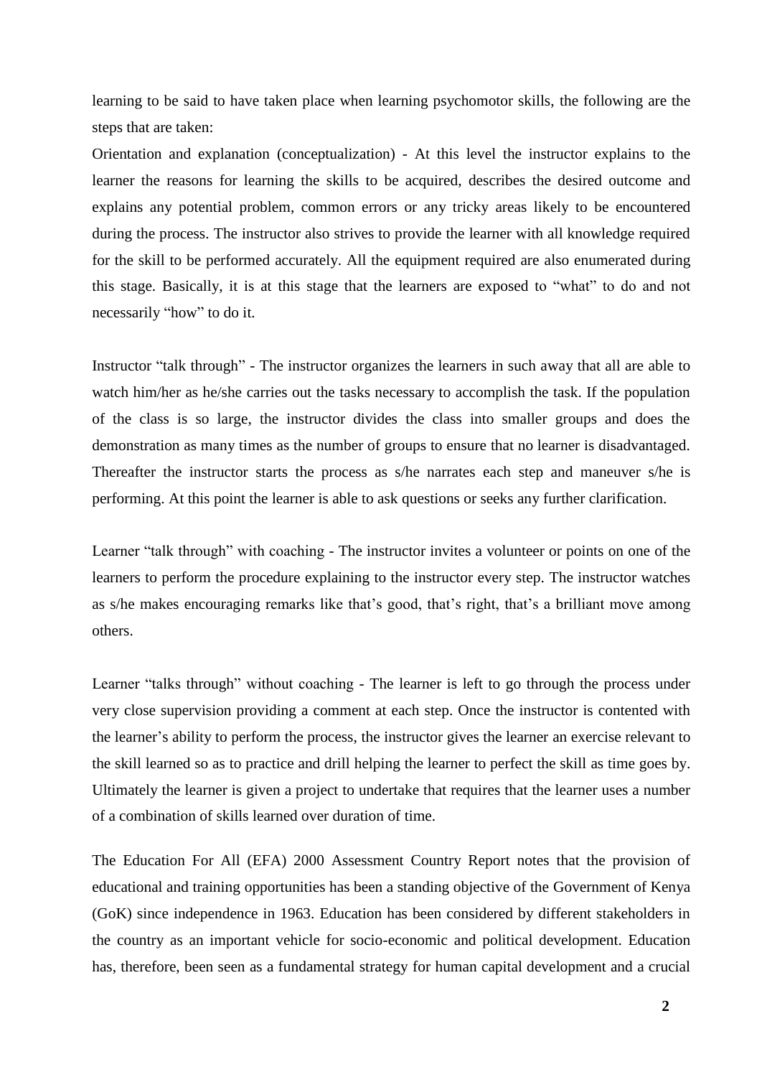learning to be said to have taken place when learning psychomotor skills, the following are the steps that are taken:

Orientation and explanation (conceptualization) - At this level the instructor explains to the learner the reasons for learning the skills to be acquired, describes the desired outcome and explains any potential problem, common errors or any tricky areas likely to be encountered during the process. The instructor also strives to provide the learner with all knowledge required for the skill to be performed accurately. All the equipment required are also enumerated during this stage. Basically, it is at this stage that the learners are exposed to "what" to do and not necessarily "how" to do it.

Instructor "talk through" - The instructor organizes the learners in such away that all are able to watch him/her as he/she carries out the tasks necessary to accomplish the task. If the population of the class is so large, the instructor divides the class into smaller groups and does the demonstration as many times as the number of groups to ensure that no learner is disadvantaged. Thereafter the instructor starts the process as s/he narrates each step and maneuver s/he is performing. At this point the learner is able to ask questions or seeks any further clarification.

Learner "talk through" with coaching - The instructor invites a volunteer or points on one of the learners to perform the procedure explaining to the instructor every step. The instructor watches as s/he makes encouraging remarks like that's good, that's right, that's a brilliant move among others.

Learner "talks through" without coaching - The learner is left to go through the process under very close supervision providing a comment at each step. Once the instructor is contented with the learner's ability to perform the process, the instructor gives the learner an exercise relevant to the skill learned so as to practice and drill helping the learner to perfect the skill as time goes by. Ultimately the learner is given a project to undertake that requires that the learner uses a number of a combination of skills learned over duration of time.

The Education For All (EFA) 2000 Assessment Country Report notes that the provision of educational and training opportunities has been a standing objective of the Government of Kenya (GoK) since independence in 1963. Education has been considered by different stakeholders in the country as an important vehicle for socio-economic and political development. Education has, therefore, been seen as a fundamental strategy for human capital development and a crucial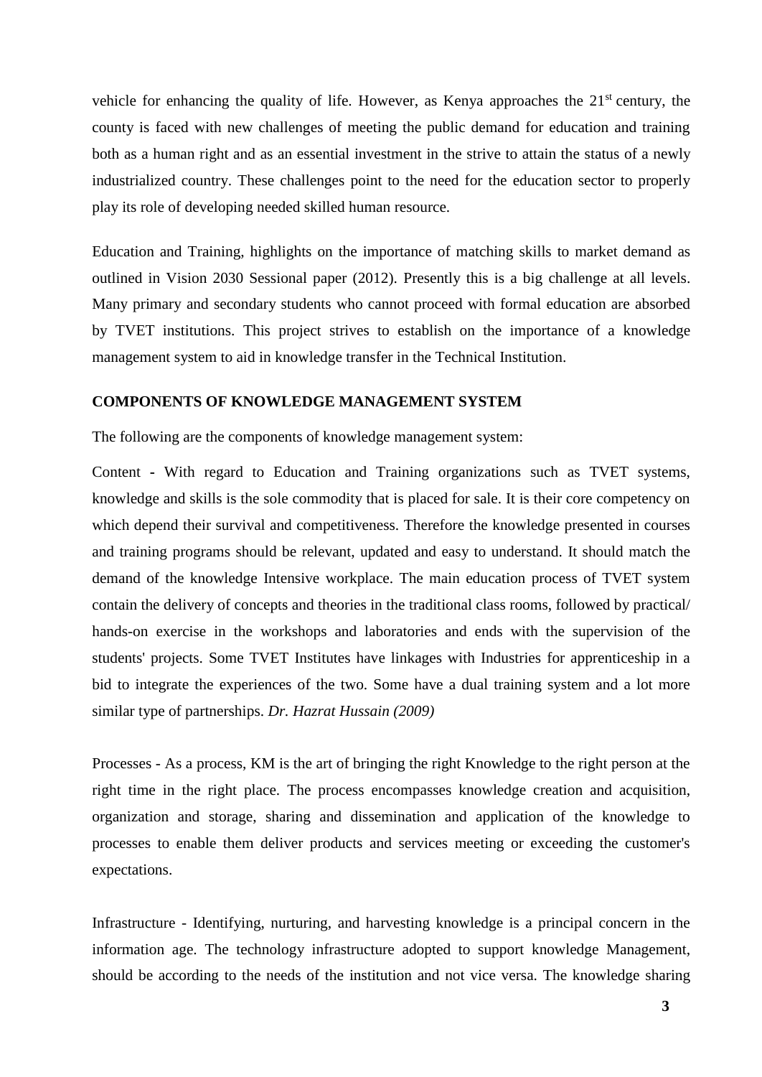vehicle for enhancing the quality of life. However, as Kenya approaches the  $21<sup>st</sup>$  century, the county is faced with new challenges of meeting the public demand for education and training both as a human right and as an essential investment in the strive to attain the status of a newly industrialized country. These challenges point to the need for the education sector to properly play its role of developing needed skilled human resource.

Education and Training, highlights on the importance of matching skills to market demand as outlined in Vision 2030 Sessional paper (2012). Presently this is a big challenge at all levels. Many primary and secondary students who cannot proceed with formal education are absorbed by TVET institutions. This project strives to establish on the importance of a knowledge management system to aid in knowledge transfer in the Technical Institution.

## **COMPONENTS OF KNOWLEDGE MANAGEMENT SYSTEM**

The following are the components of knowledge management system:

Content **-** With regard to Education and Training organizations such as TVET systems, knowledge and skills is the sole commodity that is placed for sale. It is their core competency on which depend their survival and competitiveness. Therefore the knowledge presented in courses and training programs should be relevant, updated and easy to understand. It should match the demand of the knowledge Intensive workplace. The main education process of TVET system contain the delivery of concepts and theories in the traditional class rooms, followed by practical/ hands-on exercise in the workshops and laboratories and ends with the supervision of the students' projects. Some TVET Institutes have linkages with Industries for apprenticeship in a bid to integrate the experiences of the two. Some have a dual training system and a lot more similar type of partnerships. *Dr. Hazrat Hussain (2009)*

Processes - As a process, KM is the art of bringing the right Knowledge to the right person at the right time in the right place. The process encompasses knowledge creation and acquisition, organization and storage, sharing and dissemination and application of the knowledge to processes to enable them deliver products and services meeting or exceeding the customer's expectations.

Infrastructure - Identifying, nurturing, and harvesting knowledge is a principal concern in the information age. The technology infrastructure adopted to support knowledge Management, should be according to the needs of the institution and not vice versa. The knowledge sharing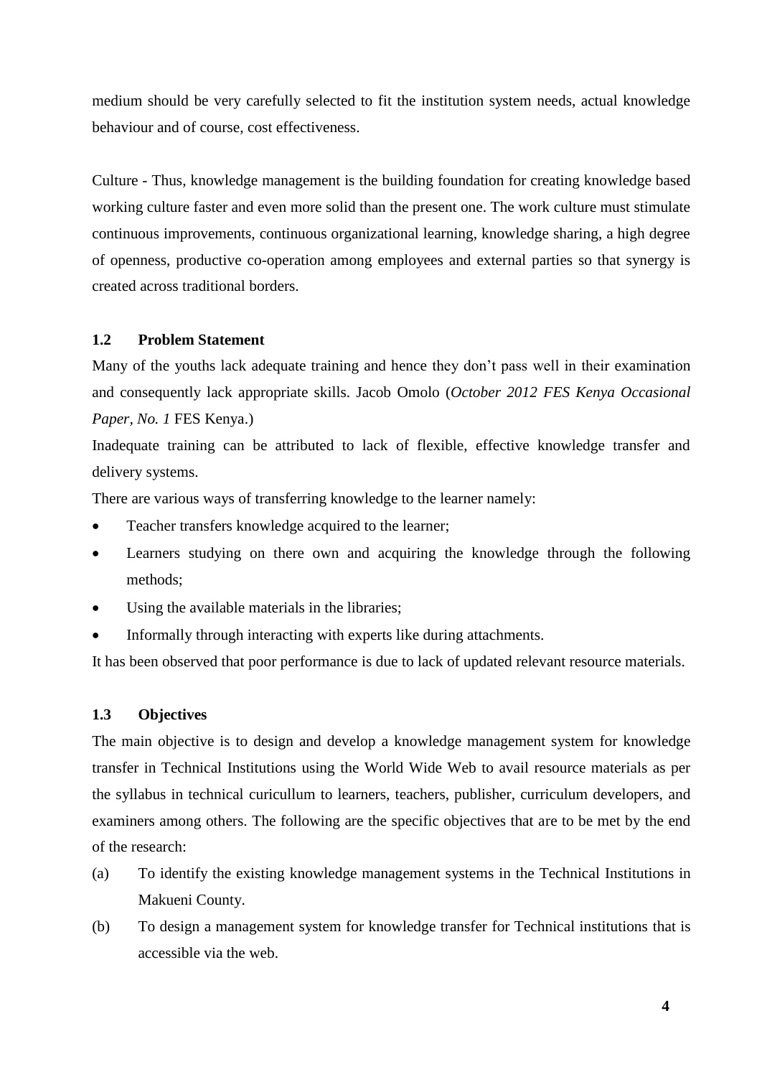medium should be very carefully selected to fit the institution system needs, actual knowledge behaviour and of course, cost effectiveness.

Culture - Thus, knowledge management is the building foundation for creating knowledge based working culture faster and even more solid than the present one. The work culture must stimulate continuous improvements, continuous organizational learning, knowledge sharing, a high degree of openness, productive co-operation among employees and external parties so that synergy is created across traditional borders.

# **1.2 Problem Statement**

Many of the youths lack adequate training and hence they don't pass well in their examination and consequently lack appropriate skills. Jacob Omolo (*October 2012 FES Kenya Occasional Paper, No. 1* FES Kenya.)

Inadequate training can be attributed to lack of flexible, effective knowledge transfer and delivery systems.

There are various ways of transferring knowledge to the learner namely:

- Teacher transfers knowledge acquired to the learner;
- Learners studying on there own and acquiring the knowledge through the following methods;
- Using the available materials in the libraries;
- Informally through interacting with experts like during attachments.

It has been observed that poor performance is due to lack of updated relevant resource materials.

# **1.3 Objectives**

The main objective is to design and develop a knowledge management system for knowledge transfer in Technical Institutions using the World Wide Web to avail resource materials as per the syllabus in technical curicullum to learners, teachers, publisher, curriculum developers, and examiners among others. The following are the specific objectives that are to be met by the end of the research:

- (a) To identify the existing knowledge management systems in the Technical Institutions in Makueni County.
- (b) To design a management system for knowledge transfer for Technical institutions that is accessible via the web.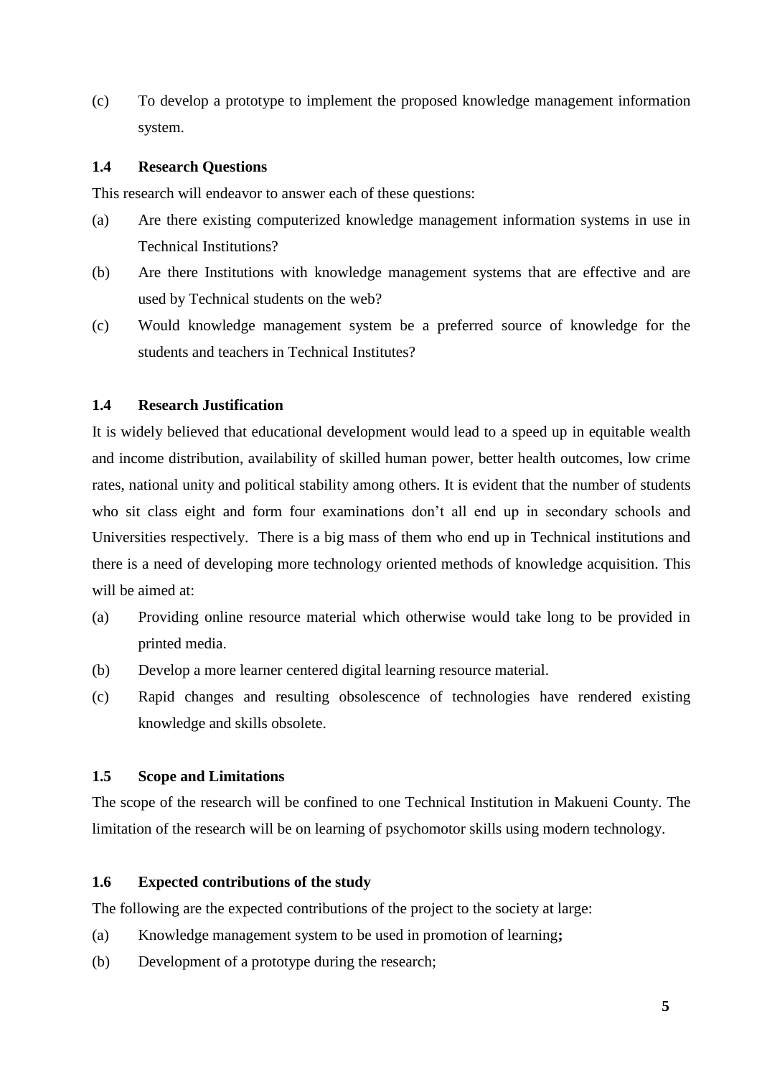(c) To develop a prototype to implement the proposed knowledge management information system.

## **1.4 Research Questions**

This research will endeavor to answer each of these questions:

- (a) Are there existing computerized knowledge management information systems in use in Technical Institutions?
- (b) Are there Institutions with knowledge management systems that are effective and are used by Technical students on the web?
- (c) Would knowledge management system be a preferred source of knowledge for the students and teachers in Technical Institutes?

### **1.4 Research Justification**

It is widely believed that educational development would lead to a speed up in equitable wealth and income distribution, availability of skilled human power, better health outcomes, low crime rates, national unity and political stability among others. It is evident that the number of students who sit class eight and form four examinations don't all end up in secondary schools and Universities respectively. There is a big mass of them who end up in Technical institutions and there is a need of developing more technology oriented methods of knowledge acquisition. This will be aimed at:

- (a) Providing online resource material which otherwise would take long to be provided in printed media.
- (b) Develop a more learner centered digital learning resource material.
- (c) Rapid changes and resulting obsolescence of technologies have rendered existing knowledge and skills obsolete.

## **1.5 Scope and Limitations**

The scope of the research will be confined to one Technical Institution in Makueni County. The limitation of the research will be on learning of psychomotor skills using modern technology.

# **1.6 Expected contributions of the study**

The following are the expected contributions of the project to the society at large:

- (a) Knowledge management system to be used in promotion of learning**;**
- (b) Development of a prototype during the research;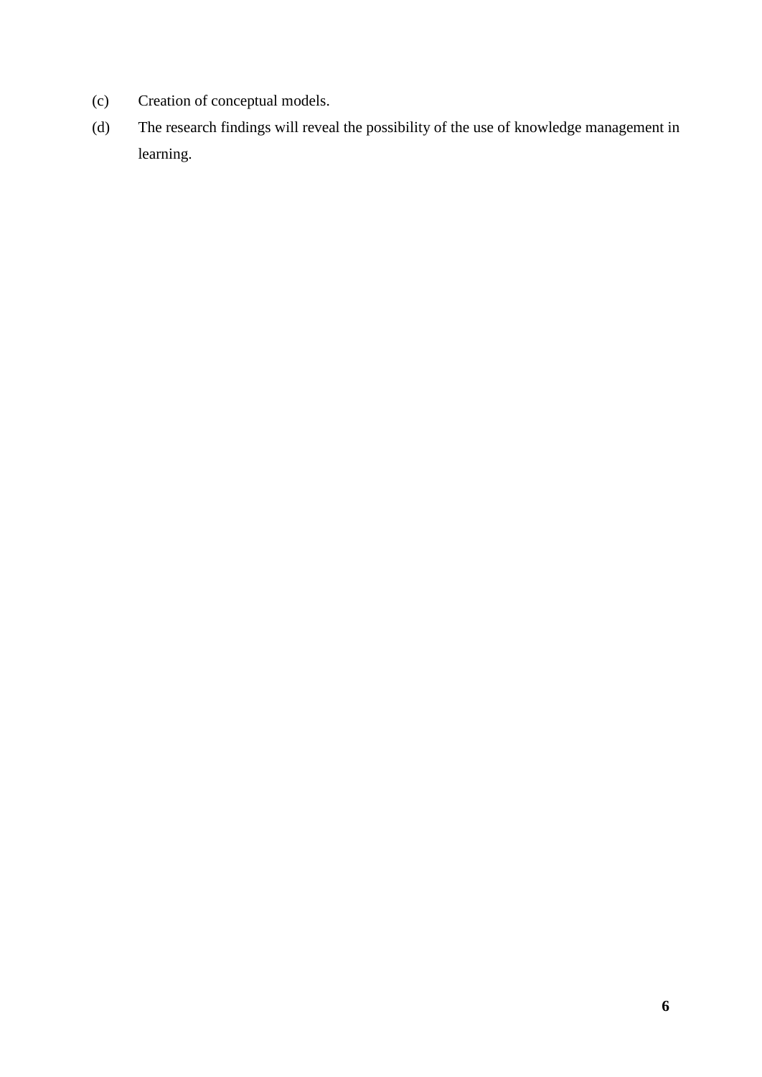- (c) Creation of conceptual models.
- (d) The research findings will reveal the possibility of the use of knowledge management in learning.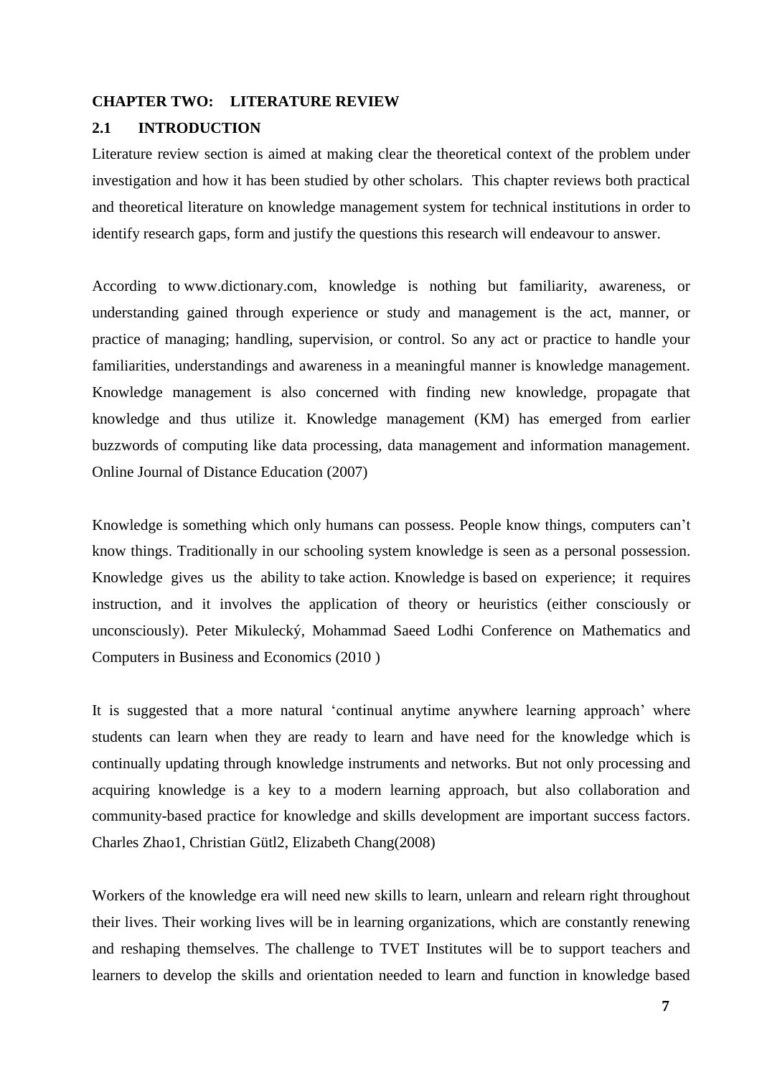#### **CHAPTER TWO: LITERATURE REVIEW**

### **2.1 INTRODUCTION**

Literature review section is aimed at making clear the theoretical context of the problem under investigation and how it has been studied by other scholars. This chapter reviews both practical and theoretical literature on knowledge management system for technical institutions in order to identify research gaps, form and justify the questions this research will endeavour to answer.

According to www.dictionary.com, knowledge is nothing but familiarity, awareness, or understanding gained through experience or study and management is the act, manner, or practice of managing; handling, supervision, or control. So any act or practice to handle your familiarities, understandings and awareness in a meaningful manner is knowledge management. Knowledge management is also concerned with finding new knowledge, propagate that knowledge and thus utilize it. Knowledge management (KM) has emerged from earlier buzzwords of computing like data processing, data management and information management. Online Journal of Distance Education (2007)

Knowledge is something which only humans can possess. People know things, computers can't know things. Traditionally in our schooling system knowledge is seen as a personal possession. Knowledge gives us the ability to take action. Knowledge is based on experience; it requires instruction, and it involves the application of theory or heuristics (either consciously or unconsciously). Peter Mikulecký, Mohammad Saeed Lodhi Conference on Mathematics and Computers in Business and Economics (2010 )

It is suggested that a more natural 'continual anytime anywhere learning approach' where students can learn when they are ready to learn and have need for the knowledge which is continually updating through knowledge instruments and networks. But not only processing and acquiring knowledge is a key to a modern learning approach, but also collaboration and community-based practice for knowledge and skills development are important success factors. Charles Zhao1, Christian Gütl2, Elizabeth Chang(2008)

Workers of the knowledge era will need new skills to learn, unlearn and relearn right throughout their lives. Their working lives will be in learning organizations, which are constantly renewing and reshaping themselves. The challenge to TVET Institutes will be to support teachers and learners to develop the skills and orientation needed to learn and function in knowledge based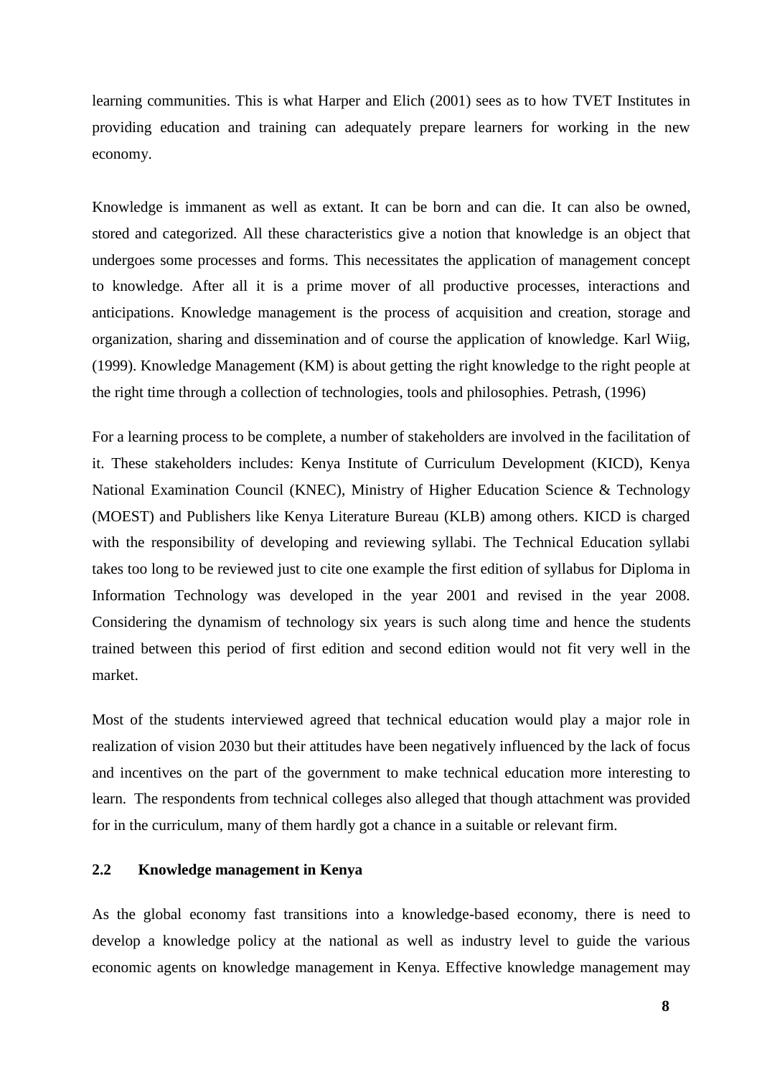learning communities. This is what Harper and Elich (2001) sees as to how TVET Institutes in providing education and training can adequately prepare learners for working in the new economy.

Knowledge is immanent as well as extant. It can be born and can die. It can also be owned, stored and categorized. All these characteristics give a notion that knowledge is an object that undergoes some processes and forms. This necessitates the application of management concept to knowledge. After all it is a prime mover of all productive processes, interactions and anticipations. Knowledge management is the process of acquisition and creation, storage and organization, sharing and dissemination and of course the application of knowledge. Karl Wiig, (1999). Knowledge Management (KM) is about getting the right knowledge to the right people at the right time through a collection of technologies, tools and philosophies. Petrash, (1996)

For a learning process to be complete, a number of stakeholders are involved in the facilitation of it. These stakeholders includes: Kenya Institute of Curriculum Development (KICD), Kenya National Examination Council (KNEC), Ministry of Higher Education Science & Technology (MOEST) and Publishers like Kenya Literature Bureau (KLB) among others. KICD is charged with the responsibility of developing and reviewing syllabi. The Technical Education syllabi takes too long to be reviewed just to cite one example the first edition of syllabus for Diploma in Information Technology was developed in the year 2001 and revised in the year 2008. Considering the dynamism of technology six years is such along time and hence the students trained between this period of first edition and second edition would not fit very well in the market.

Most of the students interviewed agreed that technical education would play a major role in realization of vision 2030 but their attitudes have been negatively influenced by the lack of focus and incentives on the part of the government to make technical education more interesting to learn. The respondents from technical colleges also alleged that though attachment was provided for in the curriculum, many of them hardly got a chance in a suitable or relevant firm.

# **2.2 Knowledge management in Kenya**

As the global economy fast transitions into a knowledge-based economy, there is need to develop a knowledge policy at the national as well as industry level to guide the various economic agents on knowledge management in Kenya. Effective knowledge management may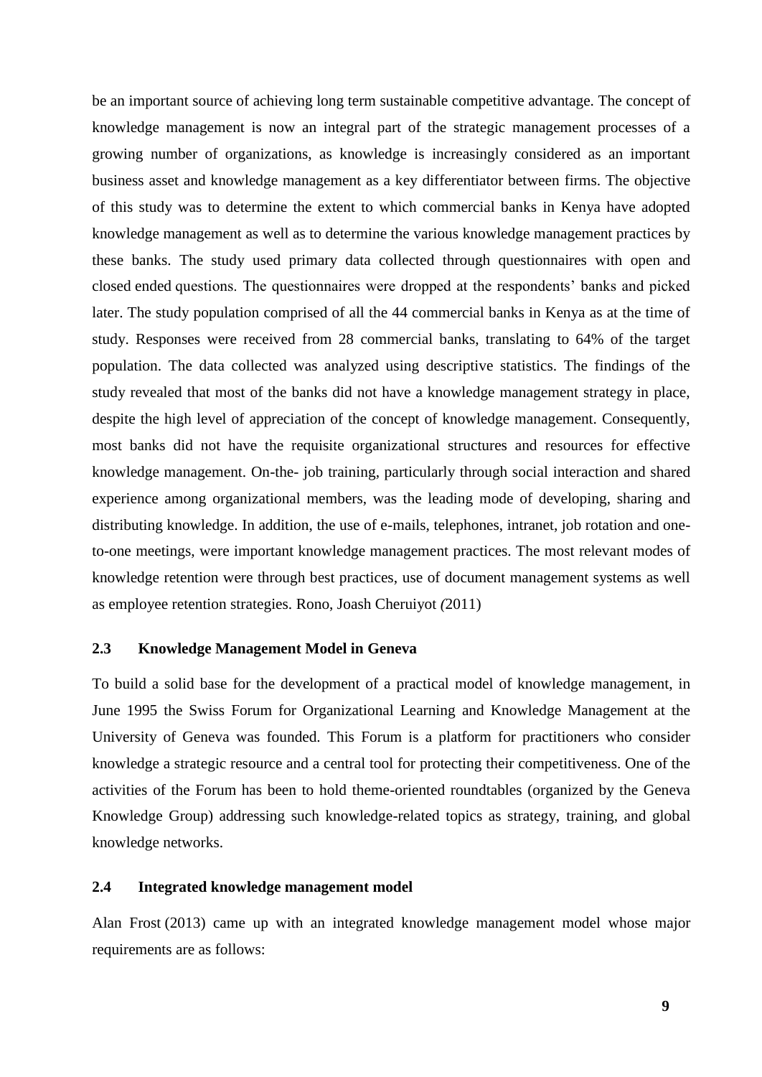be an important source of achieving long term sustainable competitive advantage. The concept of knowledge management is now an integral part of the strategic management processes of a growing number of organizations, as knowledge is increasingly considered as an important business asset and knowledge management as a key differentiator between firms. The objective of this study was to determine the extent to which commercial banks in Kenya have adopted knowledge management as well as to determine the various knowledge management practices by these banks. The study used primary data collected through questionnaires with open and closed ended questions. The questionnaires were dropped at the respondents' banks and picked later. The study population comprised of all the 44 commercial banks in Kenya as at the time of study. Responses were received from 28 commercial banks, translating to 64% of the target population. The data collected was analyzed using descriptive statistics. The findings of the study revealed that most of the banks did not have a knowledge management strategy in place, despite the high level of appreciation of the concept of knowledge management. Consequently, most banks did not have the requisite organizational structures and resources for effective knowledge management. On-the- job training, particularly through social interaction and shared experience among organizational members, was the leading mode of developing, sharing and distributing knowledge. In addition, the use of e-mails, telephones, intranet, job rotation and oneto-one meetings, were important knowledge management practices. The most relevant modes of knowledge retention were through best practices, use of document management systems as well as employee retention strategies. Rono, Joash Cheruiyot *(*2011)

#### **2.3 Knowledge Management Model in Geneva**

To build a solid base for the development of a practical model of knowledge management, in June 1995 the Swiss Forum for Organizational Learning and Knowledge Management at the University of Geneva was founded. This Forum is a platform for practitioners who consider knowledge a strategic resource and a central tool for protecting their competitiveness. One of the activities of the Forum has been to hold theme-oriented roundtables (organized by the Geneva Knowledge Group) addressing such knowledge-related topics as strategy, training, and global knowledge networks.

# **2.4 Integrated knowledge management model**

Alan Frost (2013) came up with an integrated knowledge management model whose major requirements are as follows: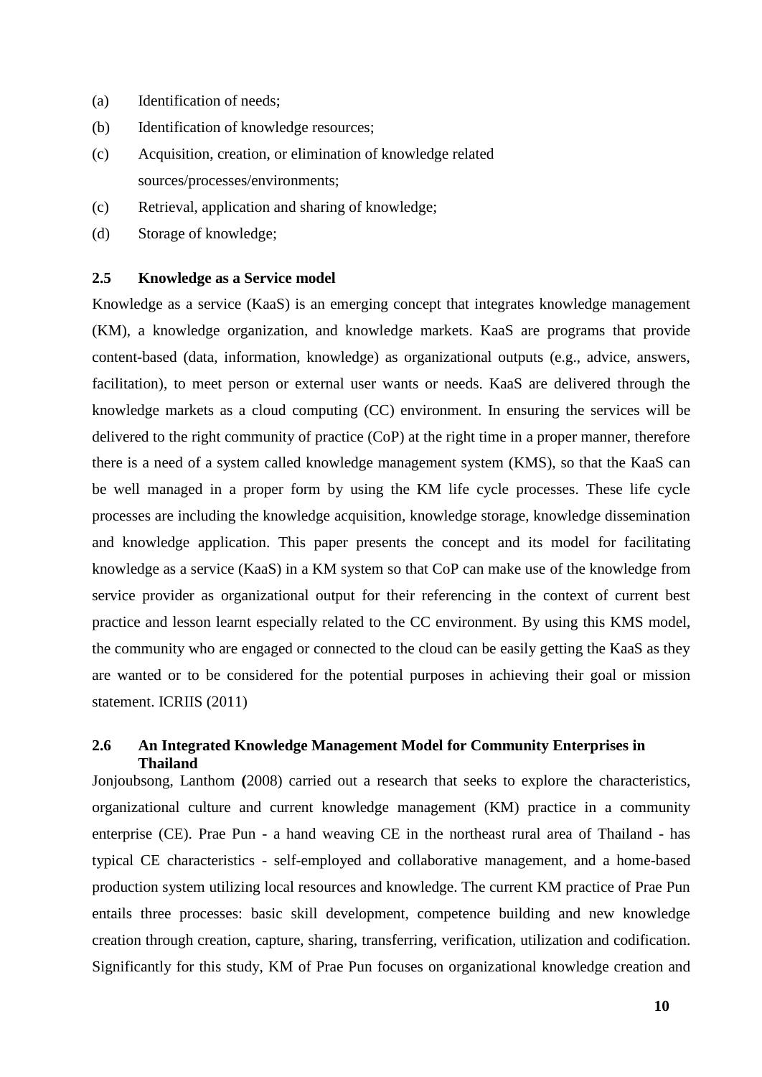- (a) Identification of needs;
- (b) Identification of knowledge resources;
- (c) Acquisition, creation, or elimination of knowledge related sources/processes/environments;
- (c) Retrieval, application and sharing of knowledge;
- (d) Storage of knowledge;

## **2.5 Knowledge as a Service model**

Knowledge as a service (KaaS) is an emerging concept that integrates knowledge management (KM), a knowledge organization, and knowledge markets. KaaS are programs that provide content-based (data, information, knowledge) as organizational outputs (e.g., advice, answers, facilitation), to meet person or external user wants or needs. KaaS are delivered through the knowledge markets as a cloud computing (CC) environment. In ensuring the services will be delivered to the right community of practice (CoP) at the right time in a proper manner, therefore there is a need of a system called knowledge management system (KMS), so that the KaaS can be well managed in a proper form by using the KM life cycle processes. These life cycle processes are including the knowledge acquisition, knowledge storage, knowledge dissemination and knowledge application. This paper presents the concept and its model for facilitating knowledge as a service (KaaS) in a KM system so that CoP can make use of the knowledge from service provider as organizational output for their referencing in the context of current best practice and lesson learnt especially related to the CC environment. By using this KMS model, the community who are engaged or connected to the cloud can be easily getting the KaaS as they are wanted or to be considered for the potential purposes in achieving their goal or mission statement. ICRIIS (2011)

# **2.6 An Integrated Knowledge Management Model for Community Enterprises in Thailand**

Jonjoubsong, Lanthom **(**2008) carried out a research that seeks to explore the characteristics, organizational culture and current knowledge management (KM) practice in a community enterprise (CE). Prae Pun - a hand weaving CE in the northeast rural area of Thailand - has typical CE characteristics - self-employed and collaborative management, and a home-based production system utilizing local resources and knowledge. The current KM practice of Prae Pun entails three processes: basic skill development, competence building and new knowledge creation through creation, capture, sharing, transferring, verification, utilization and codification. Significantly for this study, KM of Prae Pun focuses on organizational knowledge creation and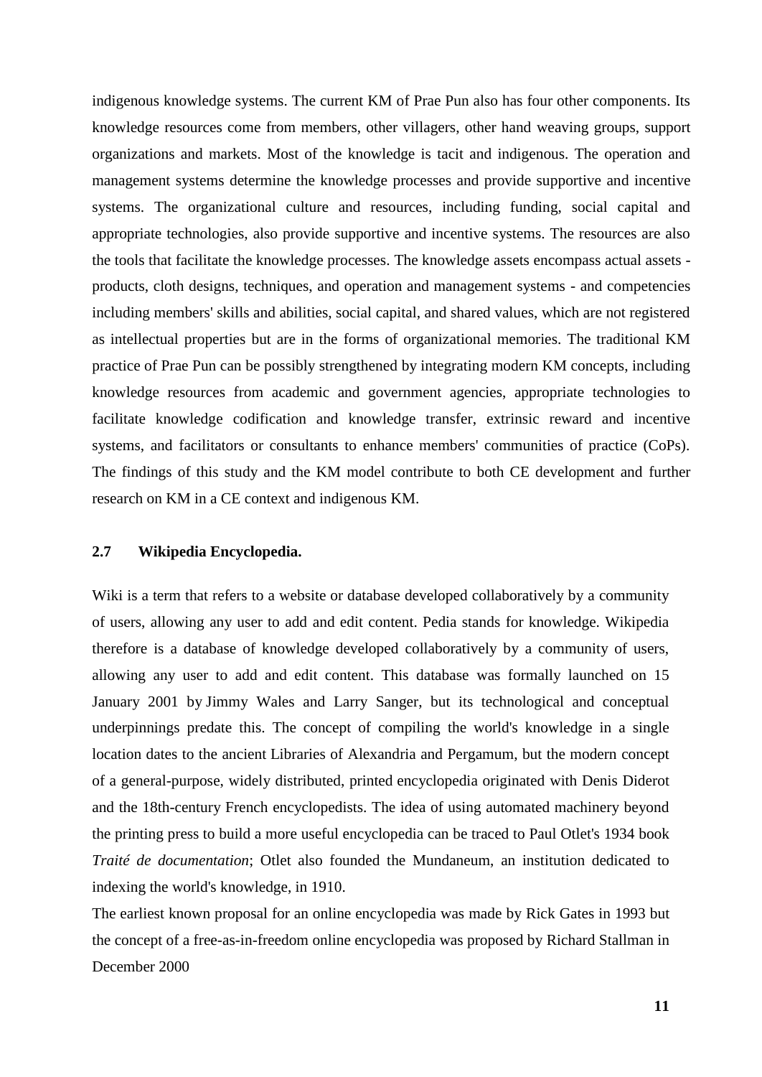indigenous knowledge systems. The current KM of Prae Pun also has four other components. Its knowledge resources come from members, other villagers, other hand weaving groups, support organizations and markets. Most of the knowledge is tacit and indigenous. The operation and management systems determine the knowledge processes and provide supportive and incentive systems. The organizational culture and resources, including funding, social capital and appropriate technologies, also provide supportive and incentive systems. The resources are also the tools that facilitate the knowledge processes. The knowledge assets encompass actual assets products, cloth designs, techniques, and operation and management systems - and competencies including members' skills and abilities, social capital, and shared values, which are not registered as intellectual properties but are in the forms of organizational memories. The traditional KM practice of Prae Pun can be possibly strengthened by integrating modern KM concepts, including knowledge resources from academic and government agencies, appropriate technologies to facilitate knowledge codification and knowledge transfer, extrinsic reward and incentive systems, and facilitators or consultants to enhance members' communities of practice (CoPs). The findings of this study and the KM model contribute to both CE development and further research on KM in a CE context and indigenous KM.

#### **2.7 Wikipedia Encyclopedia.**

Wiki is a term that refers to a website or database developed collaboratively by a community of users, allowing any user to add and edit content. Pedia stands for knowledge. Wikipedia therefore is a database of knowledge developed collaboratively by a community of users, allowing any user to add and edit content. This database was formally launched on 15 January 2001 by [Jimmy Wales](http://en.wikipedia.org/wiki/Jimmy_Wales) and [Larry Sanger,](http://en.wikipedia.org/wiki/Larry_Sanger) but its technological and conceptual underpinnings predate this. The concept of compiling the world's knowledge in a single location dates to the ancient Libraries of Alexandria and Pergamum, but the modern concept of a general-purpose, widely distributed, printed encyclopedia originated with Denis Diderot and the 18th-century French encyclopedists. The idea of using automated machinery beyond the printing press to build a more useful encyclopedia can be traced to Paul Otlet's 1934 book *Traité de documentation*; Otlet also founded the Mundaneum, an institution dedicated to indexing the world's knowledge, in 1910.

The earliest known proposal for an online encyclopedia was made by [Rick Gates](http://en.wikipedia.org/wiki/Rick_Gates) in 1993 but the concept of a [free-as-in-freedom](http://en.wikipedia.org/wiki/Free_as_in_freedom) online encyclopedia was proposed by [Richard Stallman](http://en.wikipedia.org/wiki/Richard_Stallman) in December 2000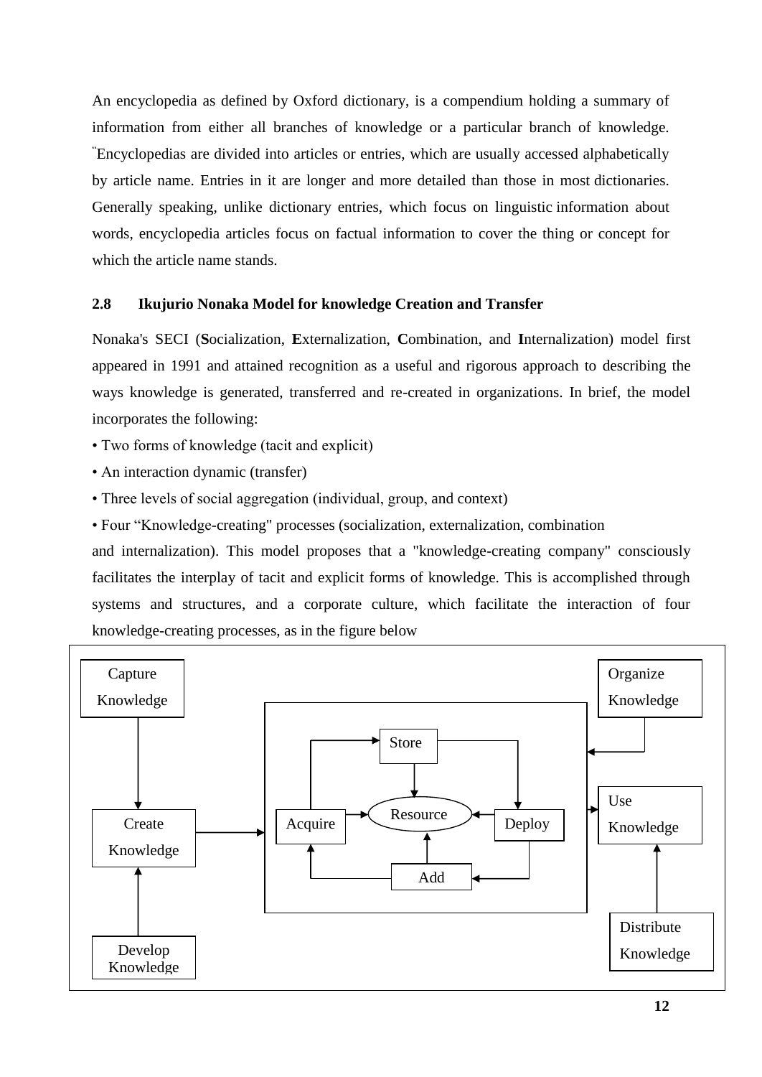An encyclopedia as defined by Oxford dictionary, is a compendium holding a summary of information from either all branches of knowledge or a particular branch of knowledge. "Encyclopedias are divided into articles or entries, which are usually accessed alphabetically by article name. Entries in it are longer and more detailed than those in most dictionaries. Generally speaking, unlike dictionary entries, which focus on linguistic information about words, encyclopedia articles focus on factual information to cover the thing or concept for which the article name stands.

# **2.8 Ikujurio Nonaka Model for knowledge Creation and Transfer**

Nonaka's SECI (**S**ocialization, **E**xternalization, **C**ombination, and **I**nternalization) model first appeared in 1991 and attained recognition as a useful and rigorous approach to describing the ways knowledge is generated, transferred and re-created in organizations. In brief, the model incorporates the following:

• Two forms of knowledge (tacit and explicit)

- An interaction dynamic (transfer)
- Three levels of social aggregation (individual, group, and context)

• Four "Knowledge-creating" processes (socialization, externalization, combination and internalization). This model proposes that a "knowledge-creating company" consciously facilitates the interplay of tacit and explicit forms of knowledge. This is accomplished through systems and structures, and a corporate culture, which facilitate the interaction of four knowledge-creating processes, as in the figure below

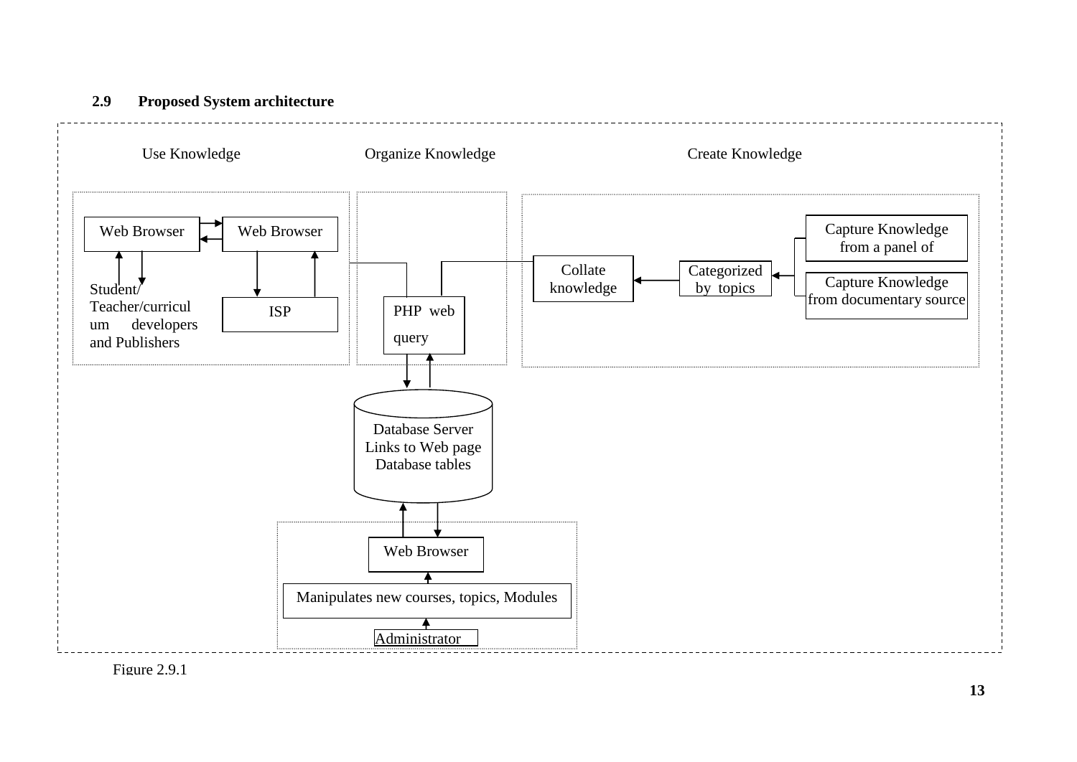



Figure 2.9.1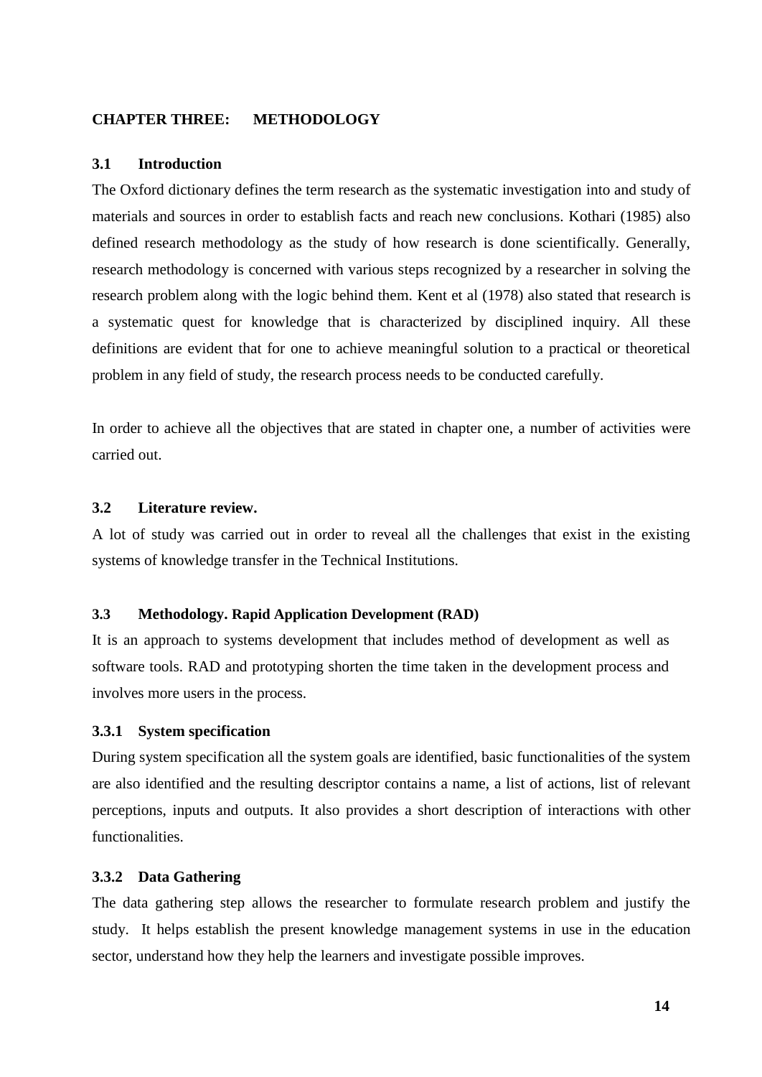## **CHAPTER THREE: METHODOLOGY**

### **3.1 Introduction**

The Oxford dictionary defines the term research as the systematic investigation into and study of materials and sources in order to establish facts and reach new conclusions. Kothari (1985) also defined research methodology as the study of how research is done scientifically. Generally, research methodology is concerned with various steps recognized by a researcher in solving the research problem along with the logic behind them. Kent et al (1978) also stated that research is a systematic quest for knowledge that is characterized by disciplined inquiry. All these definitions are evident that for one to achieve meaningful solution to a practical or theoretical problem in any field of study, the research process needs to be conducted carefully.

In order to achieve all the objectives that are stated in chapter one, a number of activities were carried out.

### **3.2 Literature review.**

A lot of study was carried out in order to reveal all the challenges that exist in the existing systems of knowledge transfer in the Technical Institutions.

## **3.3 Methodology. Rapid Application Development (RAD)**

It is an approach to systems development that includes method of development as well as software tools. RAD and prototyping shorten the time taken in the development process and involves more users in the process.

## **3.3.1 System specification**

During system specification all the system goals are identified, basic functionalities of the system are also identified and the resulting descriptor contains a name, a list of actions, list of relevant perceptions, inputs and outputs. It also provides a short description of interactions with other functionalities.

## **3.3.2 Data Gathering**

The data gathering step allows the researcher to formulate research problem and justify the study. It helps establish the present knowledge management systems in use in the education sector, understand how they help the learners and investigate possible improves.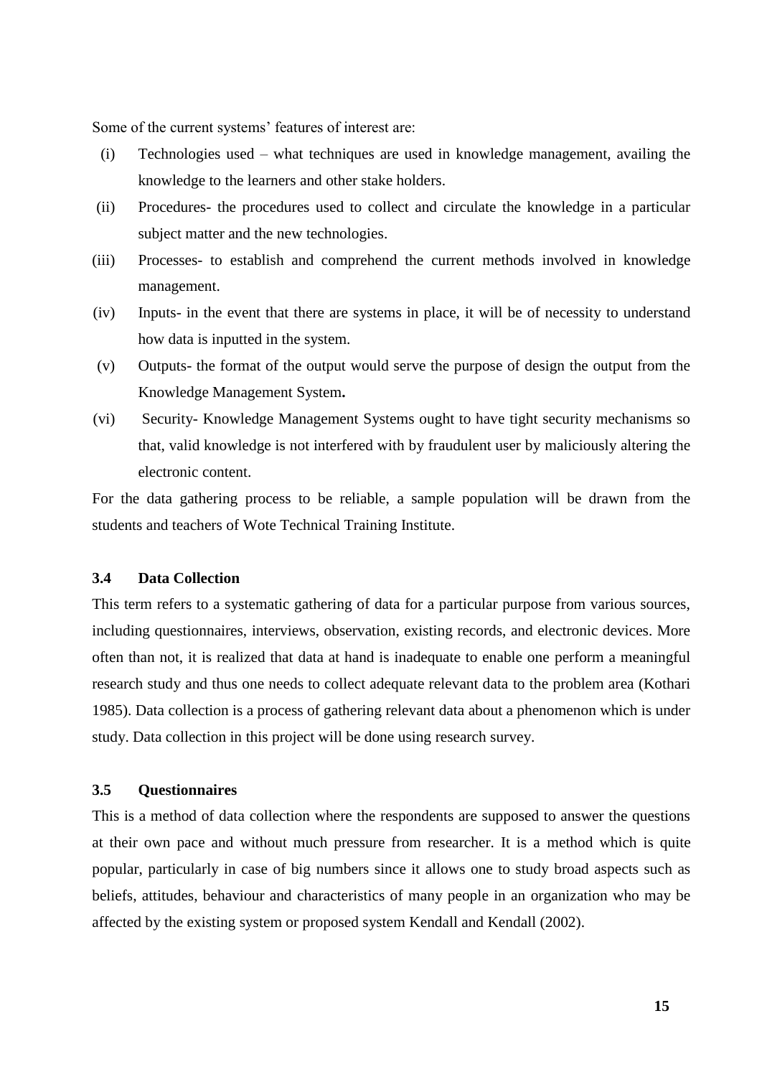Some of the current systems' features of interest are:

- (i) Technologies used what techniques are used in knowledge management, availing the knowledge to the learners and other stake holders.
- (ii) Procedures*-* the procedures used to collect and circulate the knowledge in a particular subject matter and the new technologies.
- (iii) Processes- to establish and comprehend the current methods involved in knowledge management.
- (iv) Inputs- in the event that there are systems in place, it will be of necessity to understand how data is inputted in the system.
- (v) Outputs- the format of the output would serve the purpose of design the output from the Knowledge Management System**.**
- (vi) Security*-* Knowledge Management Systems ought to have tight security mechanisms so that, valid knowledge is not interfered with by fraudulent user by maliciously altering the electronic content.

For the data gathering process to be reliable, a sample population will be drawn from the students and teachers of Wote Technical Training Institute.

### **3.4 Data Collection**

This term refers to a systematic gathering of data for a particular purpose from various sources, including questionnaires, interviews, observation, existing records, and electronic devices. More often than not, it is realized that data at hand is inadequate to enable one perform a meaningful research study and thus one needs to collect adequate relevant data to the problem area (Kothari 1985). Data collection is a process of gathering relevant data about a phenomenon which is under study. Data collection in this project will be done using research survey.

# **3.5 Questionnaires**

This is a method of data collection where the respondents are supposed to answer the questions at their own pace and without much pressure from researcher. It is a method which is quite popular, particularly in case of big numbers since it allows one to study broad aspects such as beliefs, attitudes, behaviour and characteristics of many people in an organization who may be affected by the existing system or proposed system Kendall and Kendall (2002).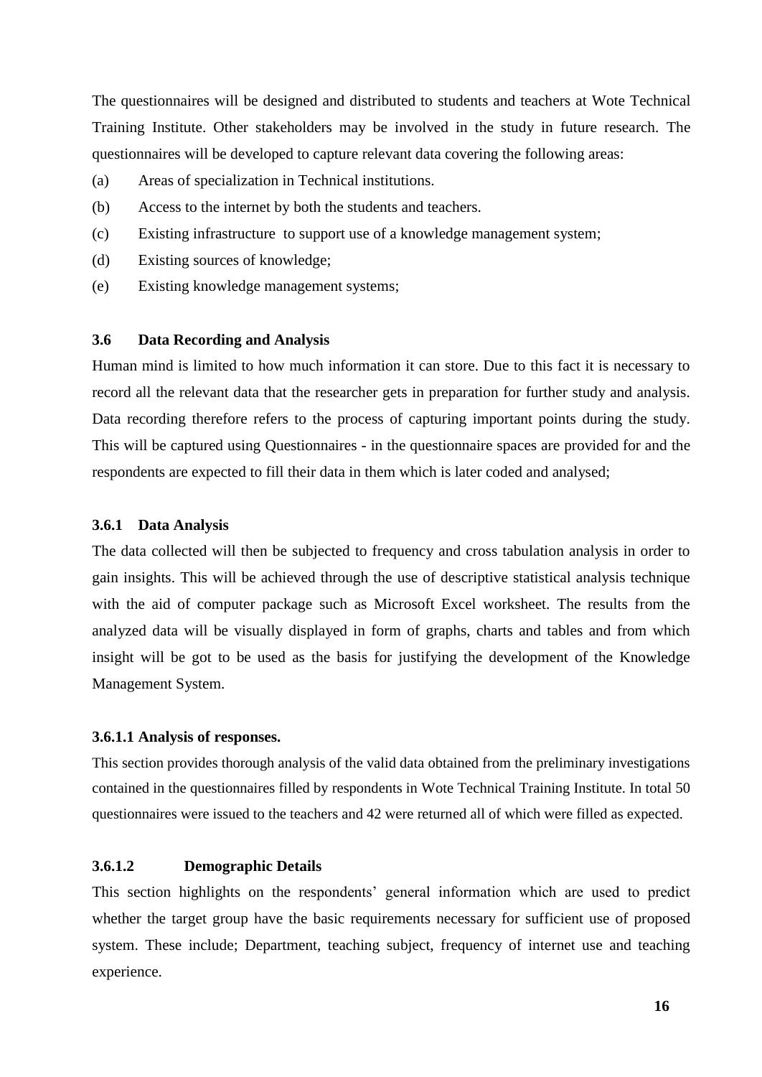The questionnaires will be designed and distributed to students and teachers at Wote Technical Training Institute. Other stakeholders may be involved in the study in future research. The questionnaires will be developed to capture relevant data covering the following areas:

- (a) Areas of specialization in Technical institutions.
- (b) Access to the internet by both the students and teachers.
- (c) Existing infrastructure to support use of a knowledge management system;
- (d) Existing sources of knowledge;
- (e) Existing knowledge management systems;

#### **3.6 Data Recording and Analysis**

Human mind is limited to how much information it can store. Due to this fact it is necessary to record all the relevant data that the researcher gets in preparation for further study and analysis. Data recording therefore refers to the process of capturing important points during the study. This will be captured using Questionnaires - in the questionnaire spaces are provided for and the respondents are expected to fill their data in them which is later coded and analysed;

#### **3.6.1 Data Analysis**

The data collected will then be subjected to frequency and cross tabulation analysis in order to gain insights. This will be achieved through the use of descriptive statistical analysis technique with the aid of computer package such as Microsoft Excel worksheet. The results from the analyzed data will be visually displayed in form of graphs, charts and tables and from which insight will be got to be used as the basis for justifying the development of the Knowledge Management System.

#### **3.6.1.1 Analysis of responses.**

This section provides thorough analysis of the valid data obtained from the preliminary investigations contained in the questionnaires filled by respondents in Wote Technical Training Institute. In total 50 questionnaires were issued to the teachers and 42 were returned all of which were filled as expected.

# **3.6.1.2 Demographic Details**

This section highlights on the respondents' general information which are used to predict whether the target group have the basic requirements necessary for sufficient use of proposed system. These include; Department, teaching subject, frequency of internet use and teaching experience.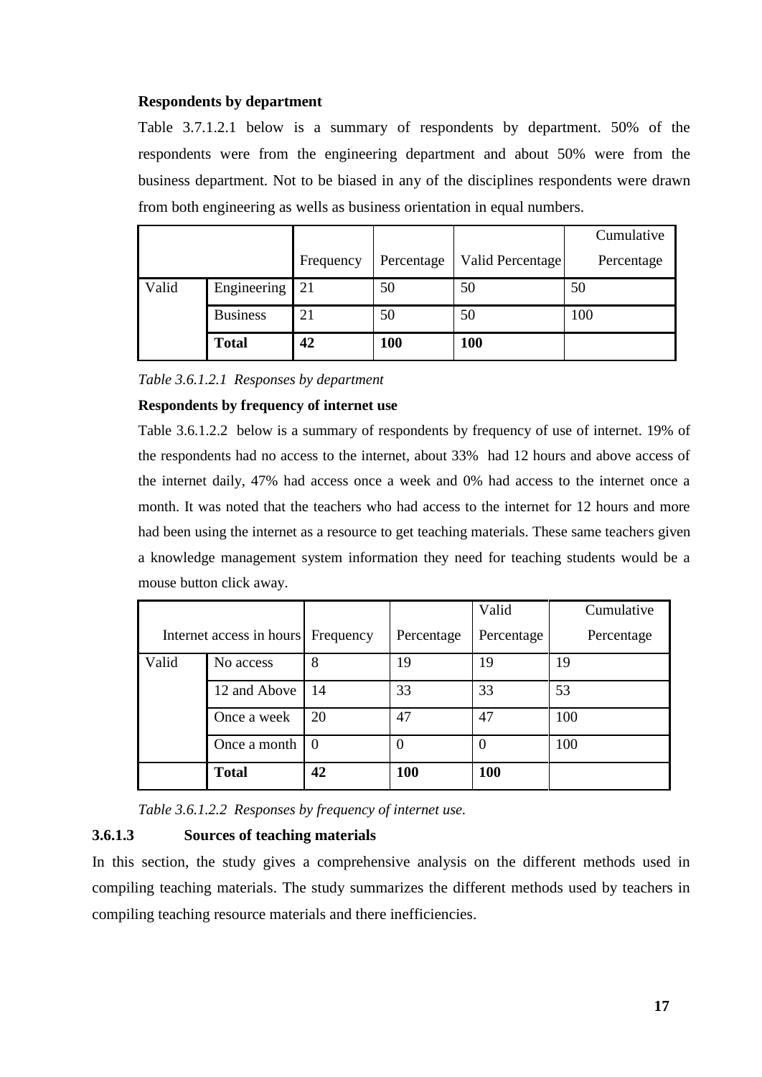## **Respondents by department**

Table 3.7.1.2.1 below is a summary of respondents by department. 50% of the respondents were from the engineering department and about 50% were from the business department. Not to be biased in any of the disciplines respondents were drawn from both engineering as wells as business orientation in equal numbers.

|       |                 |           |            |                  | Cumulative |
|-------|-----------------|-----------|------------|------------------|------------|
|       |                 | Frequency | Percentage | Valid Percentage | Percentage |
| Valid | Engineering     | 21        | 50         | 50               | 50         |
|       | <b>Business</b> | 21        | 50         | 50               | 100        |
|       | <b>Total</b>    | 42        | 100        | <b>100</b>       |            |

*Table 3.6.1.2.1 Responses by department*

## **Respondents by frequency of internet use**

Table 3.6.1.2.2below is a summary of respondents by frequency of use of internet. 19% of the respondents had no access to the internet, about 33% had 12 hours and above access of the internet daily, 47% had access once a week and 0% had access to the internet once a month. It was noted that the teachers who had access to the internet for 12 hours and more had been using the internet as a resource to get teaching materials. These same teachers given a knowledge management system information they need for teaching students would be a mouse button click away.

|       |                          |           |            | Valid      | Cumulative |
|-------|--------------------------|-----------|------------|------------|------------|
|       | Internet access in hours | Frequency | Percentage | Percentage | Percentage |
| Valid | No access                | 8         | 19         | 19         | 19         |
|       | 12 and Above             | 14        | 33         | 33         | 53         |
|       | Once a week              | 20        | 47         | 47         | 100        |
|       | Once a month             | $\Omega$  | $\theta$   | $\theta$   | 100        |
|       | <b>Total</b>             | 42        | 100        | <b>100</b> |            |

*Table 3.6.1.2.2 Responses by frequency of internet use.*

# **3.6.1.3 Sources of teaching materials**

In this section, the study gives a comprehensive analysis on the different methods used in compiling teaching materials. The study summarizes the different methods used by teachers in compiling teaching resource materials and there inefficiencies.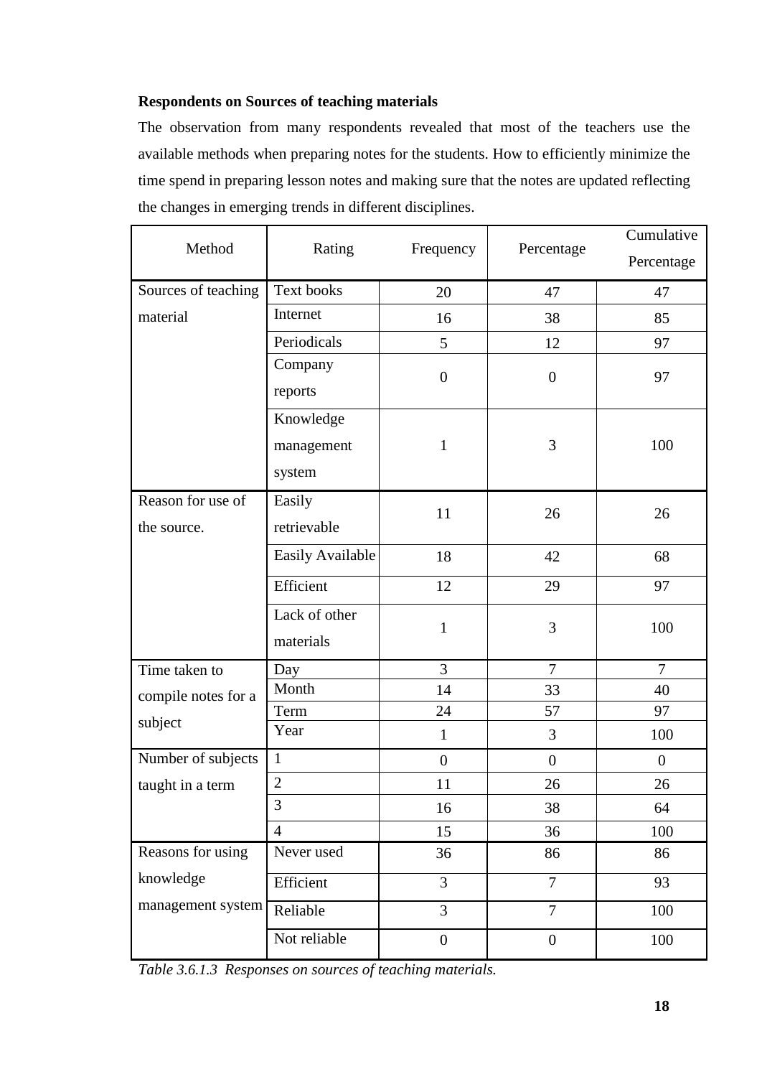# **Respondents on Sources of teaching materials**

The observation from many respondents revealed that most of the teachers use the available methods when preparing notes for the students. How to efficiently minimize the time spend in preparing lesson notes and making sure that the notes are updated reflecting the changes in emerging trends in different disciplines.

| Method              | Rating           | Frequency        | Percentage       | Cumulative     |
|---------------------|------------------|------------------|------------------|----------------|
|                     |                  |                  |                  | Percentage     |
| Sources of teaching | Text books       | 20               | 47               | 47             |
| material            | Internet         | 16               | 38               | 85             |
|                     | Periodicals      | 5                | 12               | 97             |
|                     | Company          | $\boldsymbol{0}$ | $\boldsymbol{0}$ | 97             |
|                     | reports          |                  |                  |                |
|                     | Knowledge        |                  |                  |                |
|                     | management       | $\mathbf{1}$     | 3                | 100            |
|                     | system           |                  |                  |                |
| Reason for use of   | Easily           |                  |                  |                |
| the source.         | retrievable      | 11               | 26               | 26             |
|                     | Easily Available | 18               | 42               | 68             |
|                     | Efficient        | 12               | 29               | 97             |
|                     | Lack of other    |                  |                  |                |
|                     | materials        | $\mathbf{1}$     | 3                | 100            |
| Time taken to       | Day              | 3                | $\overline{7}$   | $\overline{7}$ |
| compile notes for a | Month            | 14               | 33               | 40             |
| subject             | Term             | 24               | 57               | 97             |
|                     | Year             | $\mathbf{1}$     | 3                | 100            |
| Number of subjects  | $\mathbf{1}$     | $\boldsymbol{0}$ | $\boldsymbol{0}$ | $\overline{0}$ |
| taught in a term    | $\overline{2}$   | 11               | 26               | 26             |
|                     | 3                | 16               | 38               | 64             |
|                     | $\overline{4}$   | 15               | 36               | 100            |
| Reasons for using   | Never used       | 36               | 86               | 86             |
| knowledge           | Efficient        | $\overline{3}$   | $\overline{7}$   | 93             |
| management system   | Reliable         | $\overline{3}$   | $\overline{7}$   | 100            |
|                     | Not reliable     | $\boldsymbol{0}$ | $\boldsymbol{0}$ | 100            |

*Table 3.6.1.3 Responses on sources of teaching materials.*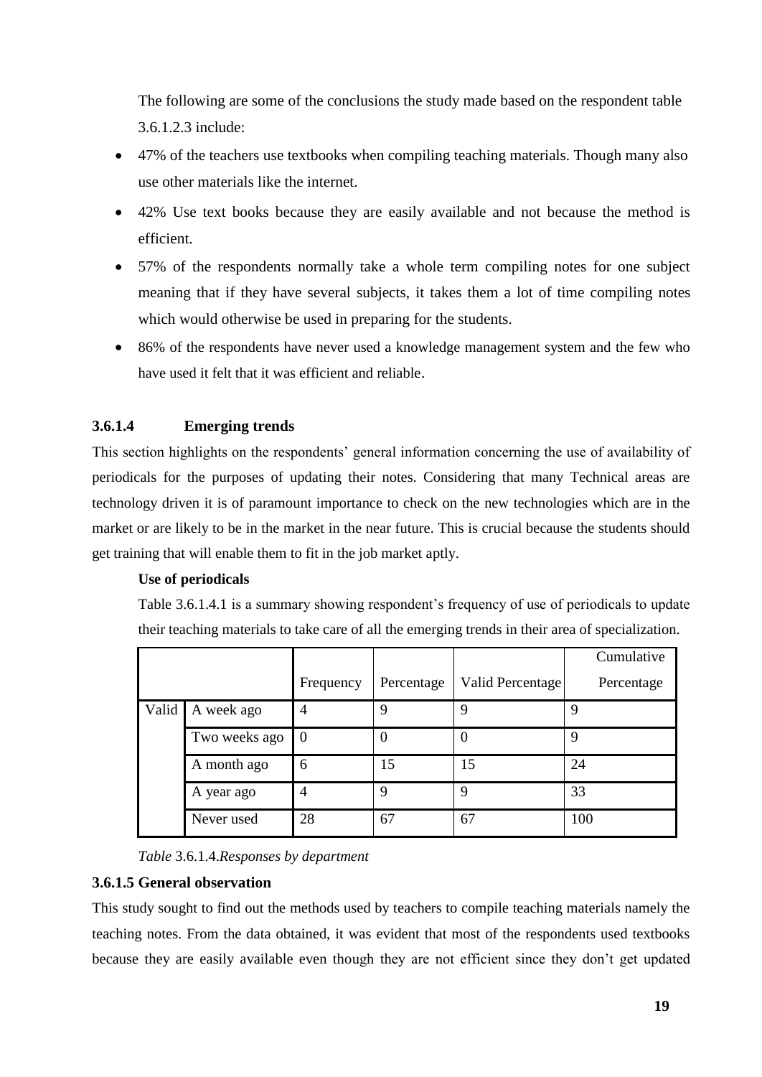The following are some of the conclusions the study made based on the respondent table 3.6.1.2.3 include:

- 47% of the teachers use textbooks when compiling teaching materials. Though many also use other materials like the internet.
- 42% Use text books because they are easily available and not because the method is efficient.
- 57% of the respondents normally take a whole term compiling notes for one subject meaning that if they have several subjects, it takes them a lot of time compiling notes which would otherwise be used in preparing for the students.
- 86% of the respondents have never used a knowledge management system and the few who have used it felt that it was efficient and reliable.

# **3.6.1.4 Emerging trends**

This section highlights on the respondents' general information concerning the use of availability of periodicals for the purposes of updating their notes. Considering that many Technical areas are technology driven it is of paramount importance to check on the new technologies which are in the market or are likely to be in the market in the near future. This is crucial because the students should get training that will enable them to fit in the job market aptly.

## **Use of periodicals**

Table 3.6.1.4.1 is a summary showing respondent's frequency of use of periodicals to update their teaching materials to take care of all the emerging trends in their area of specialization.

|       |               |                |            |                  | Cumulative |
|-------|---------------|----------------|------------|------------------|------------|
|       |               | Frequency      | Percentage | Valid Percentage | Percentage |
| Valid | A week ago    | $\overline{4}$ | 9          | 9                | 9          |
|       | Two weeks ago | $\Omega$       | 0          | 0                | 9          |
|       | A month ago   | 6              | 15         | 15               | 24         |
|       | A year ago    | $\overline{4}$ | 9          | 9                | 33         |
|       | Never used    | 28             | 67         | 67               | 100        |

*Table* 3.6.1.4.*Responses by department*

## **3.6.1.5 General observation**

This study sought to find out the methods used by teachers to compile teaching materials namely the teaching notes. From the data obtained, it was evident that most of the respondents used textbooks because they are easily available even though they are not efficient since they don't get updated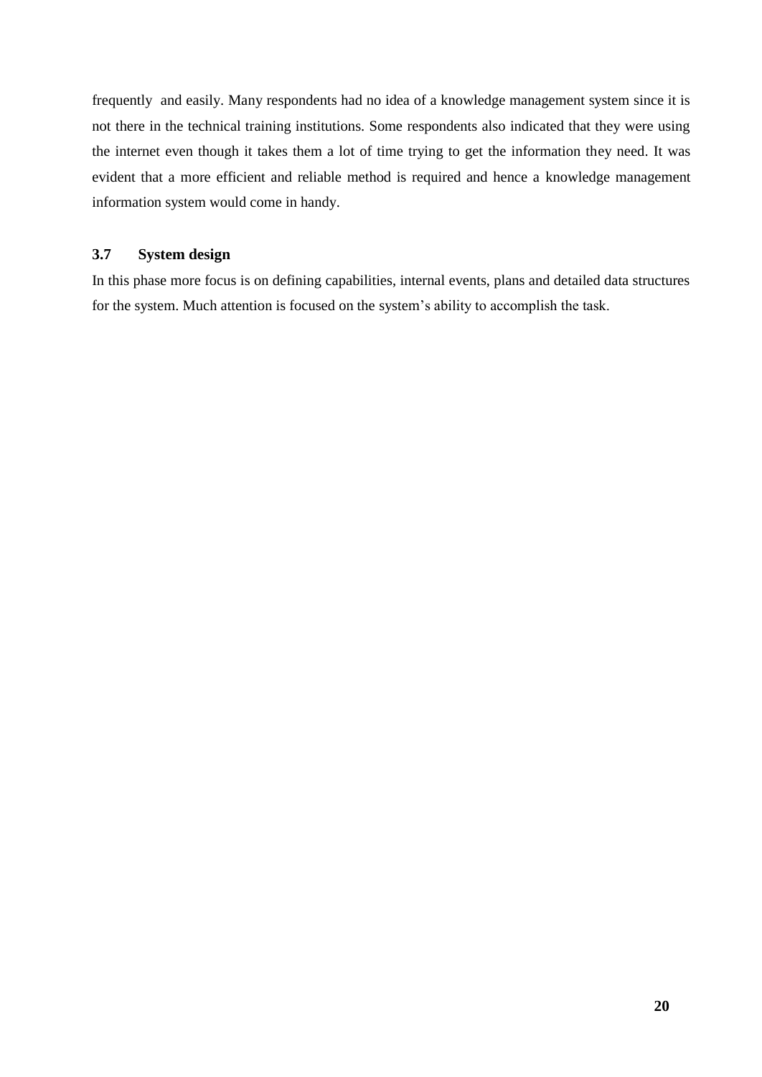frequently and easily. Many respondents had no idea of a knowledge management system since it is not there in the technical training institutions. Some respondents also indicated that they were using the internet even though it takes them a lot of time trying to get the information they need. It was evident that a more efficient and reliable method is required and hence a knowledge management information system would come in handy.

## **3.7 System design**

In this phase more focus is on defining capabilities, internal events, plans and detailed data structures for the system. Much attention is focused on the system's ability to accomplish the task.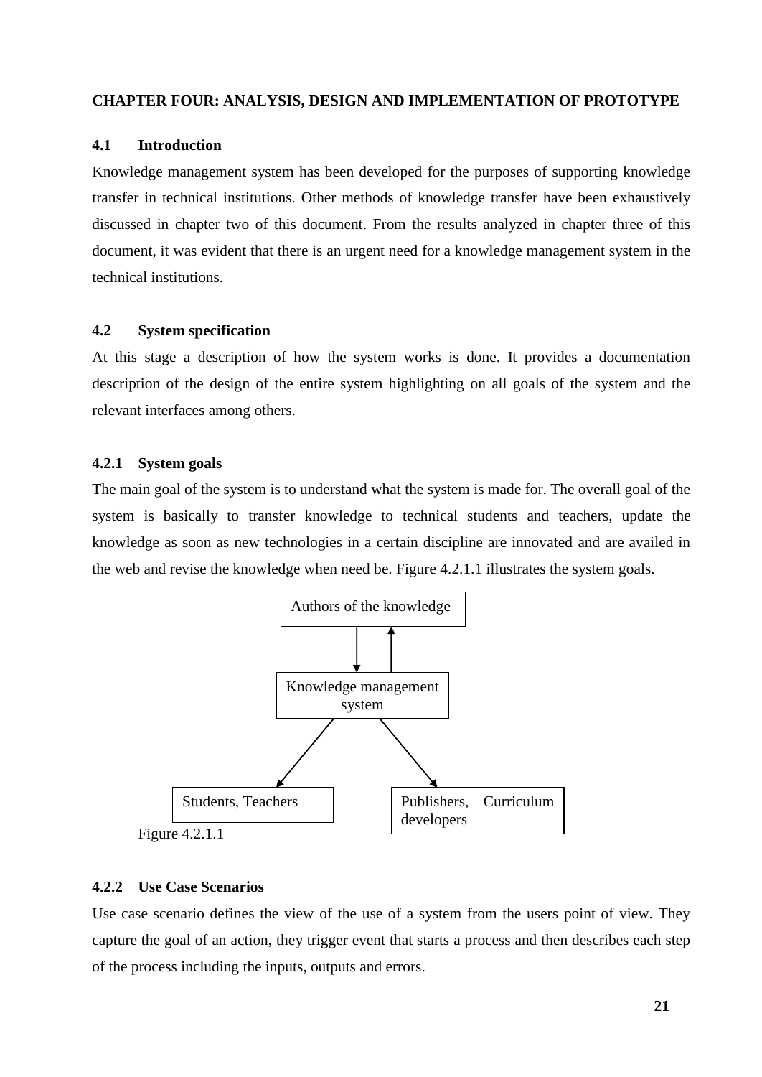## **CHAPTER FOUR: ANALYSIS, DESIGN AND IMPLEMENTATION OF PROTOTYPE**

#### **4.1 Introduction**

Knowledge management system has been developed for the purposes of supporting knowledge transfer in technical institutions. Other methods of knowledge transfer have been exhaustively discussed in chapter two of this document. From the results analyzed in chapter three of this document, it was evident that there is an urgent need for a knowledge management system in the technical institutions.

# **4.2 System specification**

At this stage a description of how the system works is done. It provides a documentation description of the design of the entire system highlighting on all goals of the system and the relevant interfaces among others.

#### **4.2.1 System goals**

The main goal of the system is to understand what the system is made for. The overall goal of the system is basically to transfer knowledge to technical students and teachers, update the knowledge as soon as new technologies in a certain discipline are innovated and are availed in the web and revise the knowledge when need be. Figure 4.2.1.1 illustrates the system goals.



#### **4.2.2 Use Case Scenarios**

Use case scenario defines the view of the use of a system from the users point of view. They capture the goal of an action, they trigger event that starts a process and then describes each step of the process including the inputs, outputs and errors.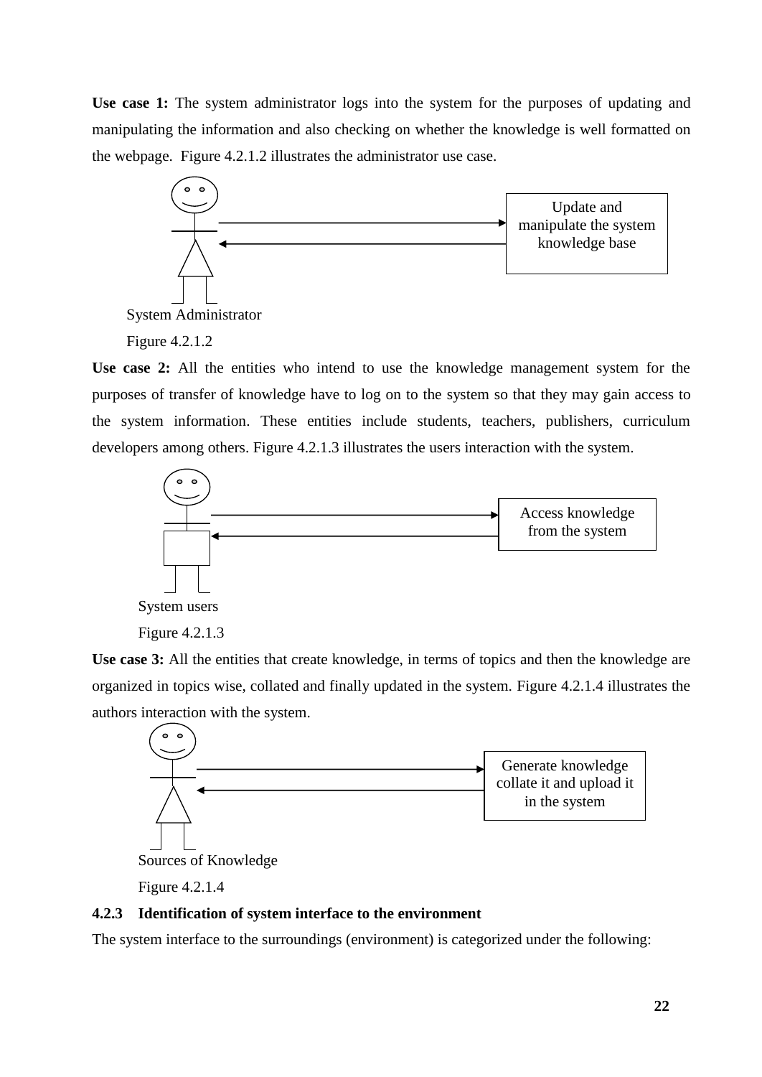**Use case 1:** The system administrator logs into the system for the purposes of updating and manipulating the information and also checking on whether the knowledge is well formatted on the webpage. Figure 4.2.1.2 illustrates the administrator use case.



System Administrator

Figure 4.2.1.2

**Use case 2:** All the entities who intend to use the knowledge management system for the purposes of transfer of knowledge have to log on to the system so that they may gain access to the system information. These entities include students, teachers, publishers, curriculum developers among others. Figure 4.2.1.3 illustrates the users interaction with the system.



Figure 4.2.1.3

Use case 3: All the entities that create knowledge, in terms of topics and then the knowledge are organized in topics wise, collated and finally updated in the system. Figure 4.2.1.4 illustrates the authors interaction with the system.



Figure 4.2.1.4

## **4.2.3 Identification of system interface to the environment**

The system interface to the surroundings (environment) is categorized under the following: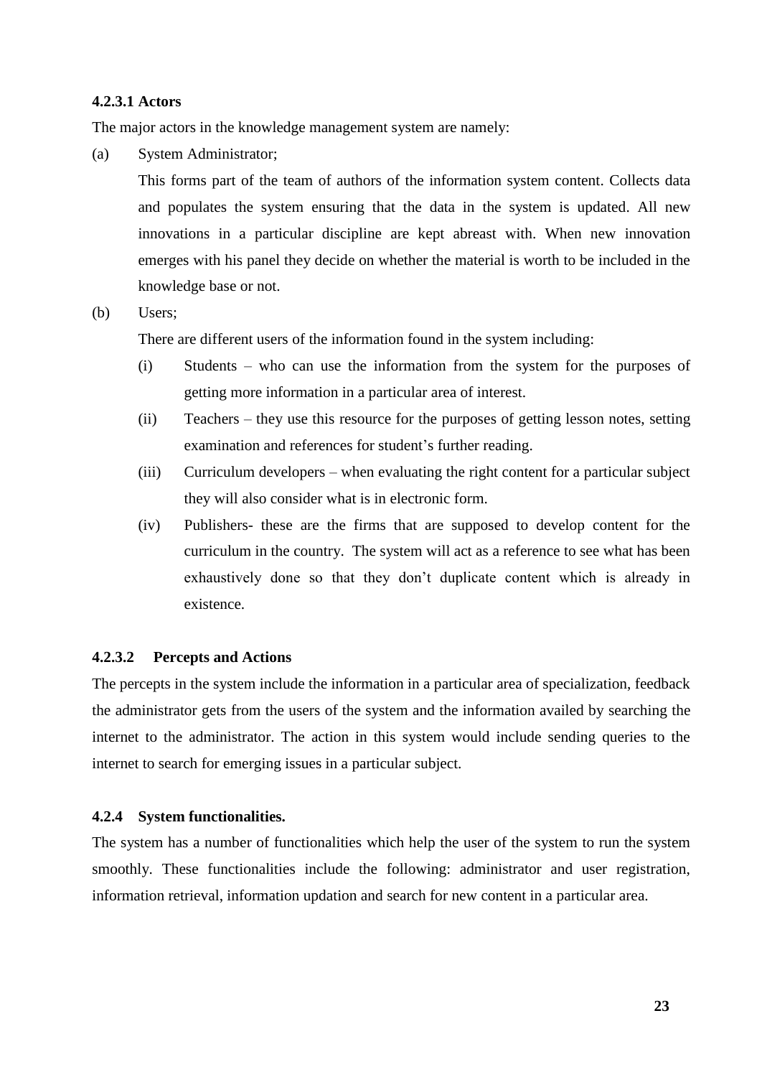#### **4.2.3.1 Actors**

The major actors in the knowledge management system are namely:

(a) System Administrator;

This forms part of the team of authors of the information system content. Collects data and populates the system ensuring that the data in the system is updated. All new innovations in a particular discipline are kept abreast with. When new innovation emerges with his panel they decide on whether the material is worth to be included in the knowledge base or not.

#### (b) Users;

There are different users of the information found in the system including:

- (i) Students who can use the information from the system for the purposes of getting more information in a particular area of interest.
- (ii) Teachers they use this resource for the purposes of getting lesson notes, setting examination and references for student's further reading.
- (iii) Curriculum developers when evaluating the right content for a particular subject they will also consider what is in electronic form.
- (iv) Publishers- these are the firms that are supposed to develop content for the curriculum in the country. The system will act as a reference to see what has been exhaustively done so that they don't duplicate content which is already in existence.

#### **4.2.3.2 Percepts and Actions**

The percepts in the system include the information in a particular area of specialization, feedback the administrator gets from the users of the system and the information availed by searching the internet to the administrator. The action in this system would include sending queries to the internet to search for emerging issues in a particular subject.

#### **4.2.4 System functionalities.**

The system has a number of functionalities which help the user of the system to run the system smoothly. These functionalities include the following: administrator and user registration, information retrieval, information updation and search for new content in a particular area.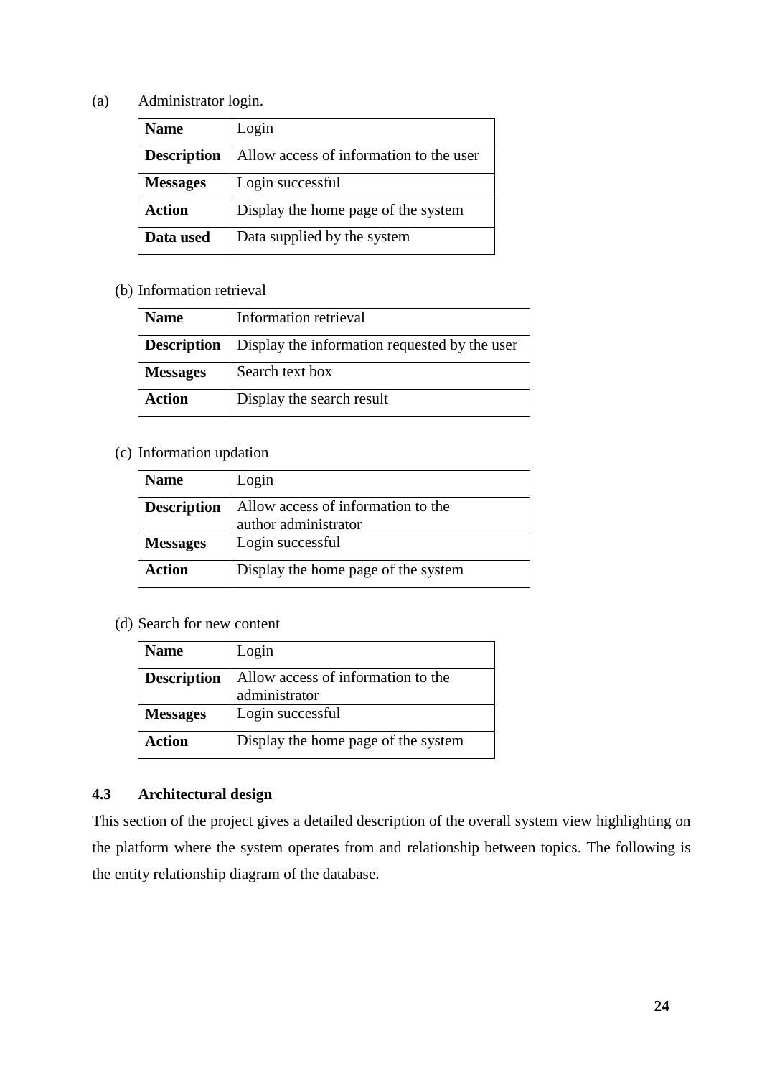# (a) Administrator login.

| <b>Name</b>        | Login                                   |
|--------------------|-----------------------------------------|
| <b>Description</b> | Allow access of information to the user |
| <b>Messages</b>    | Login successful                        |
| <b>Action</b>      | Display the home page of the system     |
| Data used          | Data supplied by the system             |

# (b) Information retrieval

| <b>Name</b>        | Information retrieval                         |
|--------------------|-----------------------------------------------|
| <b>Description</b> | Display the information requested by the user |
| <b>Messages</b>    | Search text box                               |
| <b>Action</b>      | Display the search result                     |

# (c) Information updation

| <b>Name</b>        | Login                               |
|--------------------|-------------------------------------|
| <b>Description</b> | Allow access of information to the  |
|                    | author administrator                |
| <b>Messages</b>    | Login successful                    |
| <b>Action</b>      | Display the home page of the system |

(d) Search for new content

| <b>Name</b>        | Login                               |
|--------------------|-------------------------------------|
| <b>Description</b> | Allow access of information to the  |
|                    | administrator                       |
| <b>Messages</b>    | Login successful                    |
| <b>Action</b>      | Display the home page of the system |

# **4.3 Architectural design**

This section of the project gives a detailed description of the overall system view highlighting on the platform where the system operates from and relationship between topics. The following is the entity relationship diagram of the database.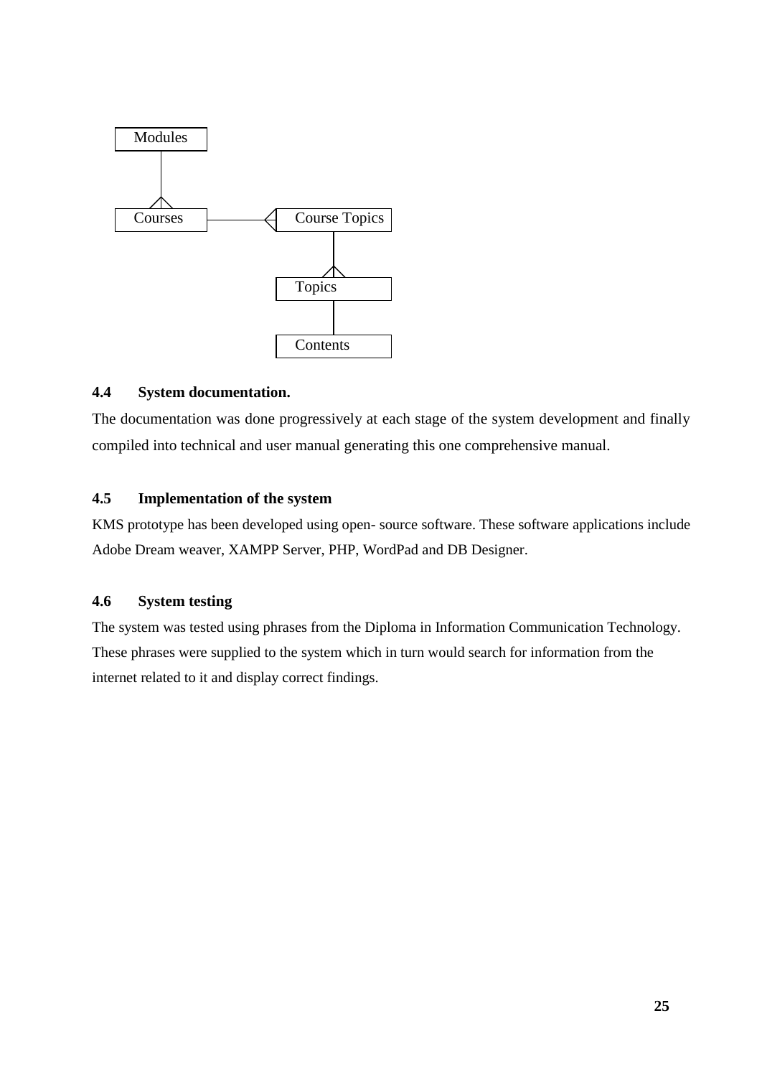

# **4.4 System documentation.**

The documentation was done progressively at each stage of the system development and finally compiled into technical and user manual generating this one comprehensive manual.

# **4.5 Implementation of the system**

KMS prototype has been developed using open- source software. These software applications include Adobe Dream weaver, XAMPP Server, PHP, WordPad and DB Designer.

# **4.6 System testing**

The system was tested using phrases from the Diploma in Information Communication Technology. These phrases were supplied to the system which in turn would search for information from the internet related to it and display correct findings.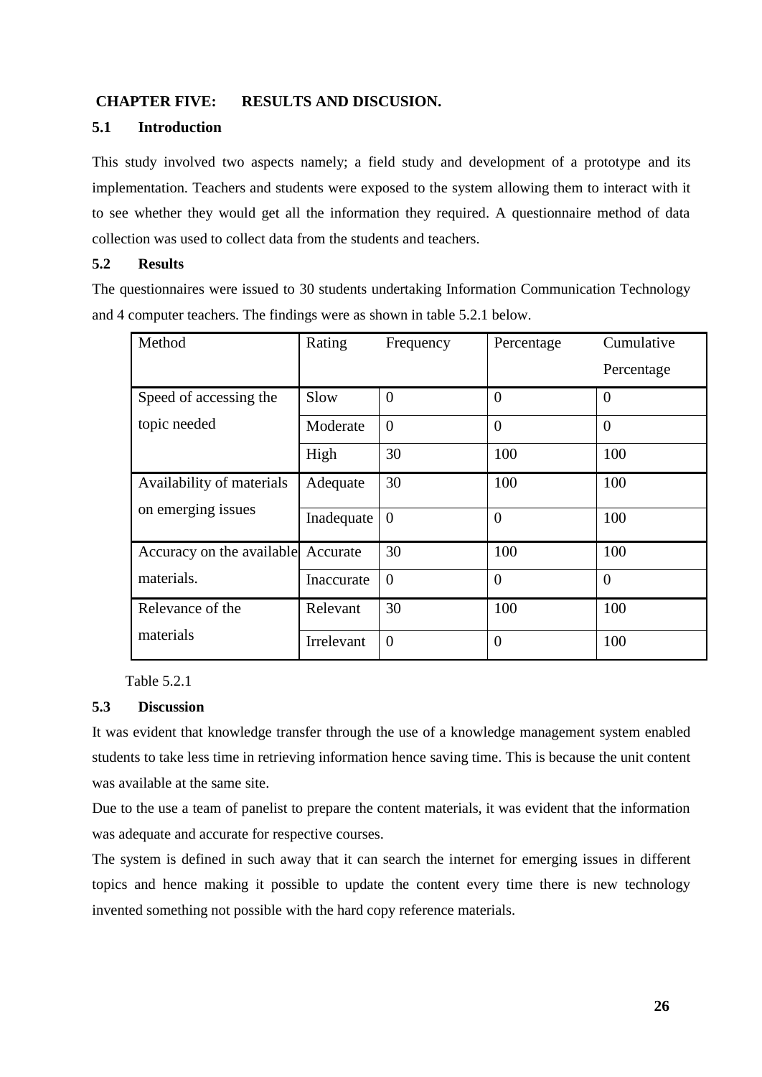# **CHAPTER FIVE: RESULTS AND DISCUSION.**

# **5.1 Introduction**

This study involved two aspects namely; a field study and development of a prototype and its implementation. Teachers and students were exposed to the system allowing them to interact with it to see whether they would get all the information they required. A questionnaire method of data collection was used to collect data from the students and teachers.

### **5.2 Results**

The questionnaires were issued to 30 students undertaking Information Communication Technology and 4 computer teachers. The findings were as shown in table 5.2.1 below.

| Method                    | Rating     | Frequency | Percentage | Cumulative     |
|---------------------------|------------|-----------|------------|----------------|
|                           |            |           |            | Percentage     |
| Speed of accessing the    | Slow       | $\Omega$  | $\theta$   | $\overline{0}$ |
| topic needed              | Moderate   | $\Omega$  | $\theta$   | $\overline{0}$ |
|                           | High       | 30        | 100        | 100            |
| Availability of materials | Adequate   | 30        | 100        | 100            |
| on emerging issues        | Inadequate | $\Omega$  | $\theta$   | 100            |
| Accuracy on the available | Accurate   | 30        | 100        | 100            |
| materials.                | Inaccurate | $\theta$  | $\theta$   | $\theta$       |
| Relevance of the          | Relevant   | 30        | 100        | 100            |
| materials                 | Irrelevant | $\theta$  | $\theta$   | 100            |

Table 5.2.1

## **5.3 Discussion**

It was evident that knowledge transfer through the use of a knowledge management system enabled students to take less time in retrieving information hence saving time. This is because the unit content was available at the same site.

Due to the use a team of panelist to prepare the content materials, it was evident that the information was adequate and accurate for respective courses.

The system is defined in such away that it can search the internet for emerging issues in different topics and hence making it possible to update the content every time there is new technology invented something not possible with the hard copy reference materials.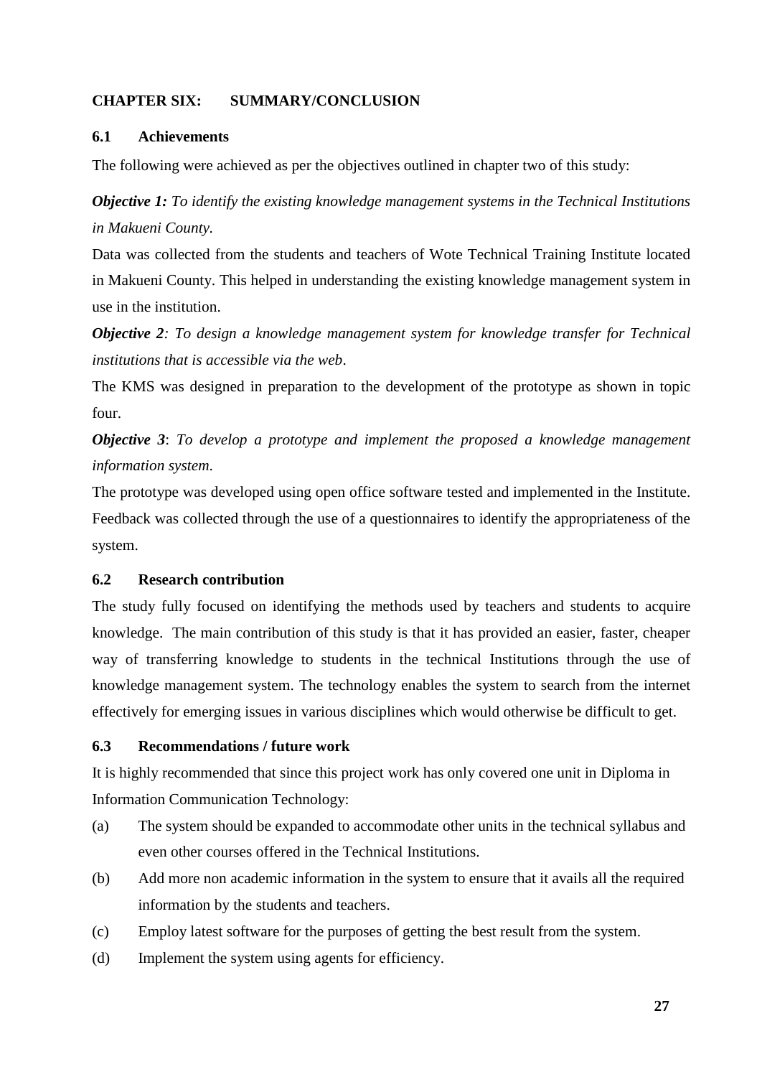# **CHAPTER SIX: SUMMARY/CONCLUSION**

## **6.1 Achievements**

The following were achieved as per the objectives outlined in chapter two of this study:

*Objective 1: To identify the existing knowledge management systems in the Technical Institutions in Makueni County.*

Data was collected from the students and teachers of Wote Technical Training Institute located in Makueni County. This helped in understanding the existing knowledge management system in use in the institution.

*Objective 2: To design a knowledge management system for knowledge transfer for Technical institutions that is accessible via the web*.

The KMS was designed in preparation to the development of the prototype as shown in topic four.

*Objective 3*: *To develop a prototype and implement the proposed a knowledge management information system*.

The prototype was developed using open office software tested and implemented in the Institute. Feedback was collected through the use of a questionnaires to identify the appropriateness of the system.

## **6.2 Research contribution**

The study fully focused on identifying the methods used by teachers and students to acquire knowledge. The main contribution of this study is that it has provided an easier, faster, cheaper way of transferring knowledge to students in the technical Institutions through the use of knowledge management system. The technology enables the system to search from the internet effectively for emerging issues in various disciplines which would otherwise be difficult to get.

#### **6.3 Recommendations / future work**

It is highly recommended that since this project work has only covered one unit in Diploma in Information Communication Technology:

- (a) The system should be expanded to accommodate other units in the technical syllabus and even other courses offered in the Technical Institutions.
- (b) Add more non academic information in the system to ensure that it avails all the required information by the students and teachers.
- (c) Employ latest software for the purposes of getting the best result from the system.
- (d) Implement the system using agents for efficiency.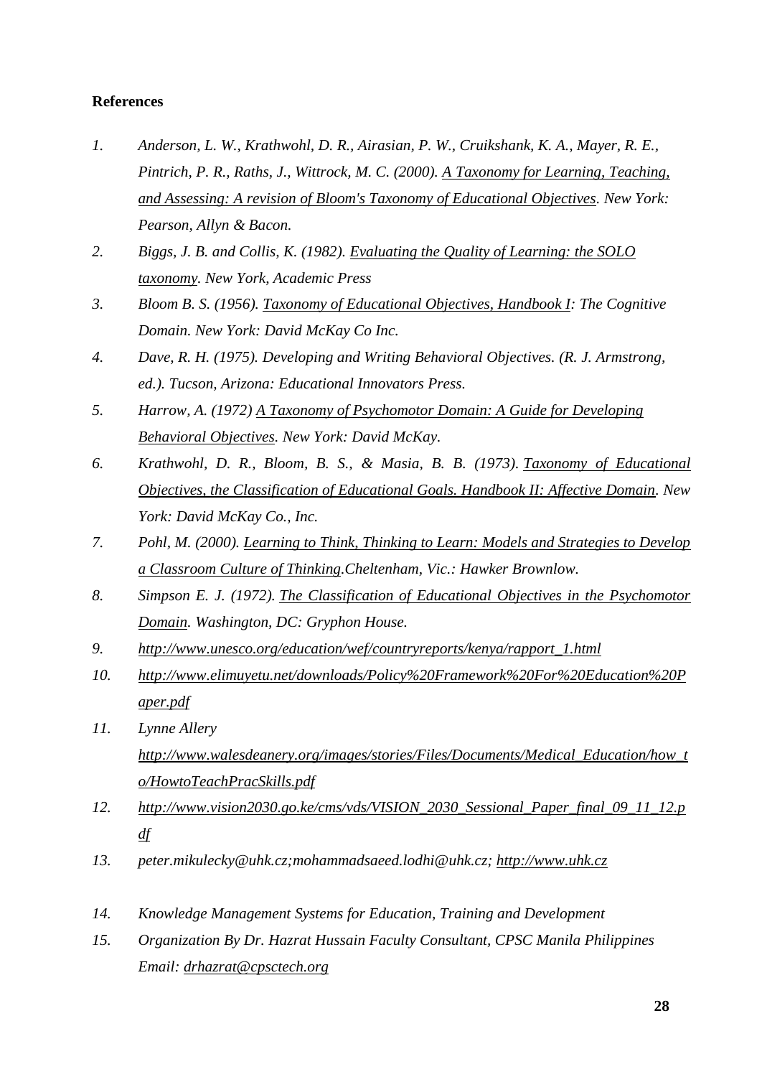# **References**

- *1. Anderson, L. W., Krathwohl, D. R., Airasian, P. W., Cruikshank, K. A., Mayer, R. E., Pintrich, P. R., Raths, J., Wittrock, M. C. (2000). [A Taxonomy for Learning, Teaching,](http://www.amazon.com/Taxonomy-Learning-Teaching-Assessing-Educational/dp/080131903X/bigdogsbowlofbis/)  [and Assessing: A revision of Bloom's Taxonomy of Educational Objectives.](http://www.amazon.com/Taxonomy-Learning-Teaching-Assessing-Educational/dp/080131903X/bigdogsbowlofbis/) New York: Pearson, Allyn & Bacon.*
- *2. Biggs, J. B. and Collis, K. (1982). [Evaluating the Quality of Learning: the SOLO](http://www.amazon.com/Evaluating-Quality-Learning-Educational-Psychology/dp/0120975521/ref=sr_1_1?ie=UTF8&qid=1345654756&sr=8-1&keywords=Evaluating+the+Quality+of+Learning%3A+the+SOLO+taxonomybigdogsbowlofbis/)  [taxonomy.](http://www.amazon.com/Evaluating-Quality-Learning-Educational-Psychology/dp/0120975521/ref=sr_1_1?ie=UTF8&qid=1345654756&sr=8-1&keywords=Evaluating+the+Quality+of+Learning%3A+the+SOLO+taxonomybigdogsbowlofbis/) New York, Academic Press*
- *3. Bloom B. S. (1956). [Taxonomy of Educational Objectives, Handbook I:](http://www.amazon.com/Taxonomy-Educational-Objectives-Handbook-Cognitive/dp/0582280109/bigdogsbowlofbis/) The Cognitive Domain. New York: David McKay Co Inc.*
- *4. Dave, R. H. (1975). Developing and Writing Behavioral Objectives. (R. J. Armstrong, ed.). Tucson, Arizona: Educational Innovators Press.*
- *5. Harrow, A. (1972) [A Taxonomy of Psychomotor Domain: A Guide for Developing](http://www.amazon.com/Taxonomy-Psychomotor-Domain-Developing-Behavorial/dp/B00123147W/bigdogsbowlofbis)  [Behavioral Objectives.](http://www.amazon.com/Taxonomy-Psychomotor-Domain-Developing-Behavorial/dp/B00123147W/bigdogsbowlofbis) New York: David McKay.*
- *6. Krathwohl, D. R., Bloom, B. S., & Masia, B. B. (1973). [Taxonomy of Educational](http://www.amazon.com/Taxonomy-Educational-Objectives-Classification-Goals/dp/B001P4R8Z0/bigdogsbowlofbis/)  [Objectives, the Classification of Educational Goals. Handbook II: Affective Domain.](http://www.amazon.com/Taxonomy-Educational-Objectives-Classification-Goals/dp/B001P4R8Z0/bigdogsbowlofbis/) New York: David McKay Co., Inc.*
- *7. Pohl, M. (2000). [Learning to Think, Thinking to Learn: Models and Strategies to Develop](http://www.amazon.com/Learning-Think-Thinking-S-Maclure/dp/0080406572/bigdogsbowlofbis/)  [a Classroom Culture of Thinking.](http://www.amazon.com/Learning-Think-Thinking-S-Maclure/dp/0080406572/bigdogsbowlofbis/)Cheltenham, Vic.: Hawker Brownlow.*
- *8. Simpson E. J. (1972). [The Classification of Educational Objectives in the Psychomotor](http://www.amazon.com/Learning-Think-Thinking-S-Maclure/dp/0080406572/bigdogsbowlofbis/)  [Domain.](http://www.amazon.com/Learning-Think-Thinking-S-Maclure/dp/0080406572/bigdogsbowlofbis/) Washington, DC: Gryphon House.*
- *9. [http://www.unesco.org/education/wef/countryreports/kenya/rapport\\_1.html](http://www.unesco.org/education/wef/countryreports/kenya/rapport_1.html)*
- *10. [http://www.elimuyetu.net/downloads/Policy%20Framework%20For%20Education%20P](http://www.elimuyetu.net/downloads/Policy%20Framework%20For%20Education%20Paper.pdf) [aper.pdf](http://www.elimuyetu.net/downloads/Policy%20Framework%20For%20Education%20Paper.pdf)*
- *11. Lynne Allery [http://www.walesdeanery.org/images/stories/Files/Documents/Medical\\_Education/how\\_t](http://www.walesdeanery.org/images/stories/Files/Documents/Medical_Education/how_to/HowtoTeachPracSkills.pdf) [o/HowtoTeachPracSkills.pdf](http://www.walesdeanery.org/images/stories/Files/Documents/Medical_Education/how_to/HowtoTeachPracSkills.pdf)*
- *12. [http://www.vision2030.go.ke/cms/vds/VISION\\_2030\\_Sessional\\_Paper\\_final\\_09\\_11\\_12.p](http://www.vision2030.go.ke/cms/vds/VISION_2030_Sessional_Paper_final_09_11_12.pdf) [df](http://www.vision2030.go.ke/cms/vds/VISION_2030_Sessional_Paper_final_09_11_12.pdf)*
- *13. peter.mikulecky@uhk.cz;mohammadsaeed.lodhi@uhk.cz; [http://www.uhk.cz](http://www.uhk.cz/)*
- *14. Knowledge Management Systems for Education, Training and Development*
- *15. Organization By Dr. Hazrat Hussain Faculty Consultant, CPSC Manila Philippines Email: [drhazrat@cpsctech.org](mailto:drhazrat@cpsctech.org)*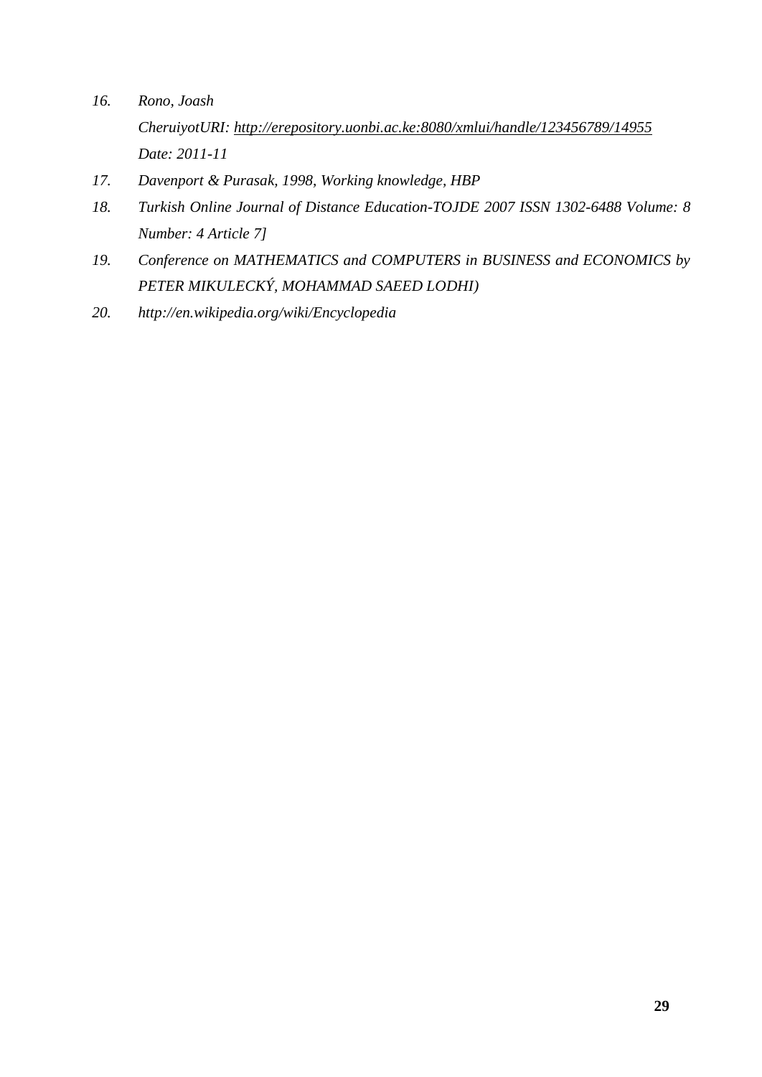- *16. Rono, Joash CheruiyotURI: <http://erepository.uonbi.ac.ke:8080/xmlui/handle/123456789/14955> Date: 2011-11*
- *17. Davenport & Purasak, 1998, Working knowledge, HBP*
- *18. Turkish Online Journal of Distance Education-TOJDE 2007 ISSN 1302-6488 Volume: 8 Number: 4 Article 7]*
- *19. Conference on MATHEMATICS and COMPUTERS in BUSINESS and ECONOMICS by PETER MIKULECKÝ, MOHAMMAD SAEED LODHI)*
- *20. http://en.wikipedia.org/wiki/Encyclopedia*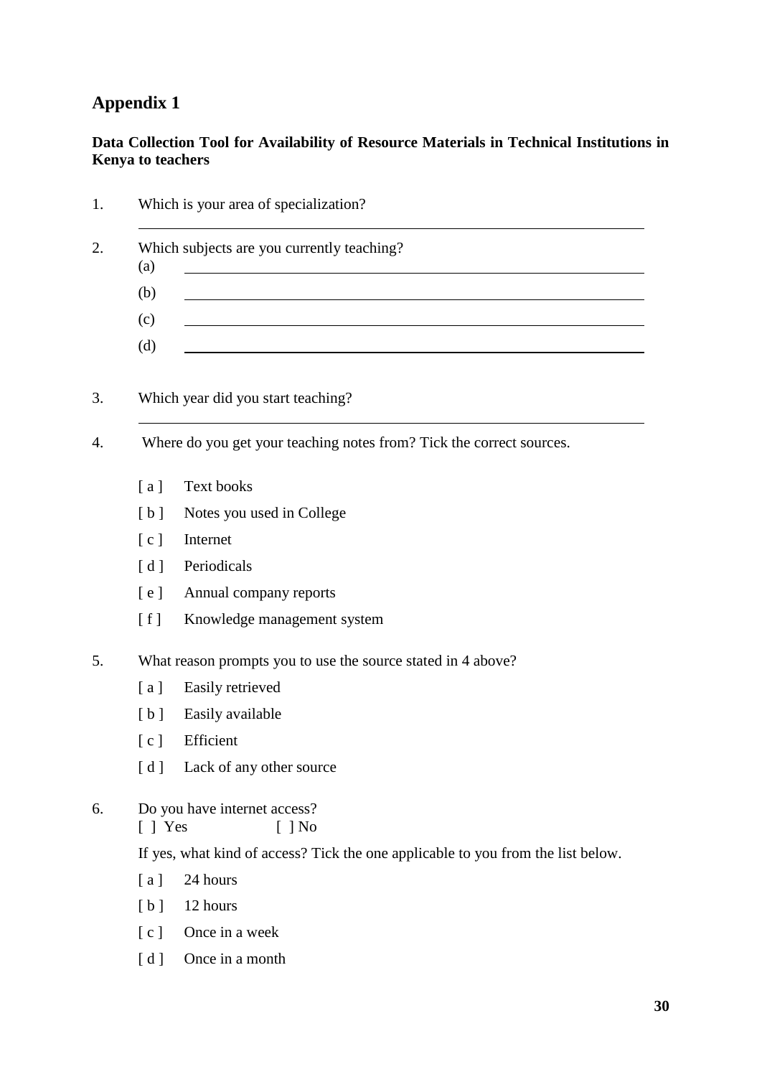# **Appendix 1**

# **Data Collection Tool for Availability of Resource Materials in Technical Institutions in Kenya to teachers**

| (a)                   | Which subjects are you currently teaching?                                       |
|-----------------------|----------------------------------------------------------------------------------|
| (b)                   |                                                                                  |
| (c)                   |                                                                                  |
| (d)                   |                                                                                  |
|                       | Which year did you start teaching?                                               |
|                       | Where do you get your teaching notes from? Tick the correct sources.             |
| [a]                   | <b>Text books</b>                                                                |
| [b]                   | Notes you used in College                                                        |
| $\lceil c \rceil$     | Internet                                                                         |
| $\lceil d \rceil$     | Periodicals                                                                      |
| [ e ]                 | Annual company reports                                                           |
| [f]                   | Knowledge management system                                                      |
|                       | What reason prompts you to use the source stated in 4 above?                     |
| [a]                   | Easily retrieved                                                                 |
| [b]                   | Easily available                                                                 |
| $\lceil c \rceil$     | Efficient                                                                        |
|                       | [d] Lack of any other source                                                     |
| $\lceil \ \rceil$ Yes | Do you have internet access?<br>$[$   No                                         |
|                       | If yes, what kind of access? Tick the one applicable to you from the list below. |
| [a]                   | 24 hours                                                                         |
| [b]                   | 12 hours                                                                         |
| [c]                   | Once in a week                                                                   |
| [d]                   | Once in a month                                                                  |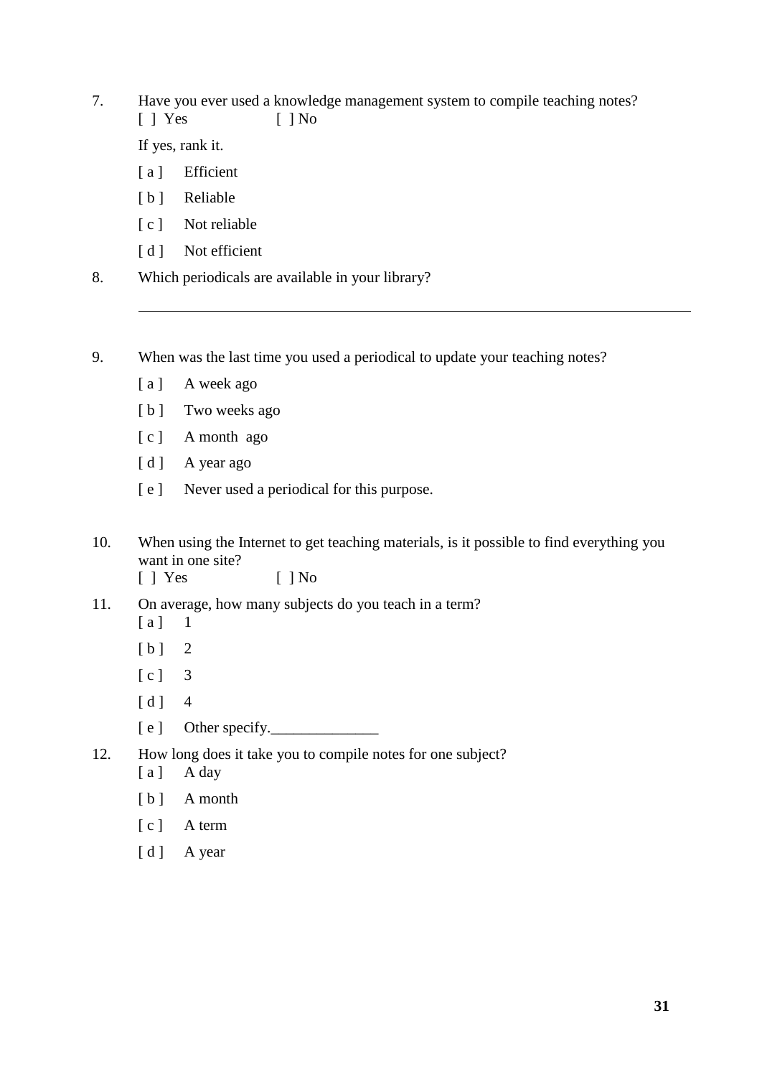7. Have you ever used a knowledge management system to compile teaching notes?  $\lceil$  | Yes  $\lceil$  | No

If yes, rank it.

- [a] Efficient
- [b] Reliable
- [ c ] Not reliable
- [d ] Not efficient
- 8. Which periodicals are available in your library?

9. When was the last time you used a periodical to update your teaching notes?

- [a] A week ago
- [b] Two weeks ago
- [ c ] A month ago
- [d] A year ago
- [ e ] Never used a periodical for this purpose.
- 10. When using the Internet to get teaching materials, is it possible to find everything you want in one site? [ ] Yes [ ] No
- 11. On average, how many subjects do you teach in a term?
	- $[a]$  1
	- $[b]$  2
	- [ c ] 3
	- $[d]$  4
	- [ e ] Other specify.
- 12. How long does it take you to compile notes for one subject?
	- [a] A day
	- [ b ] A month
	- [ c ] A term
	- [d ] A year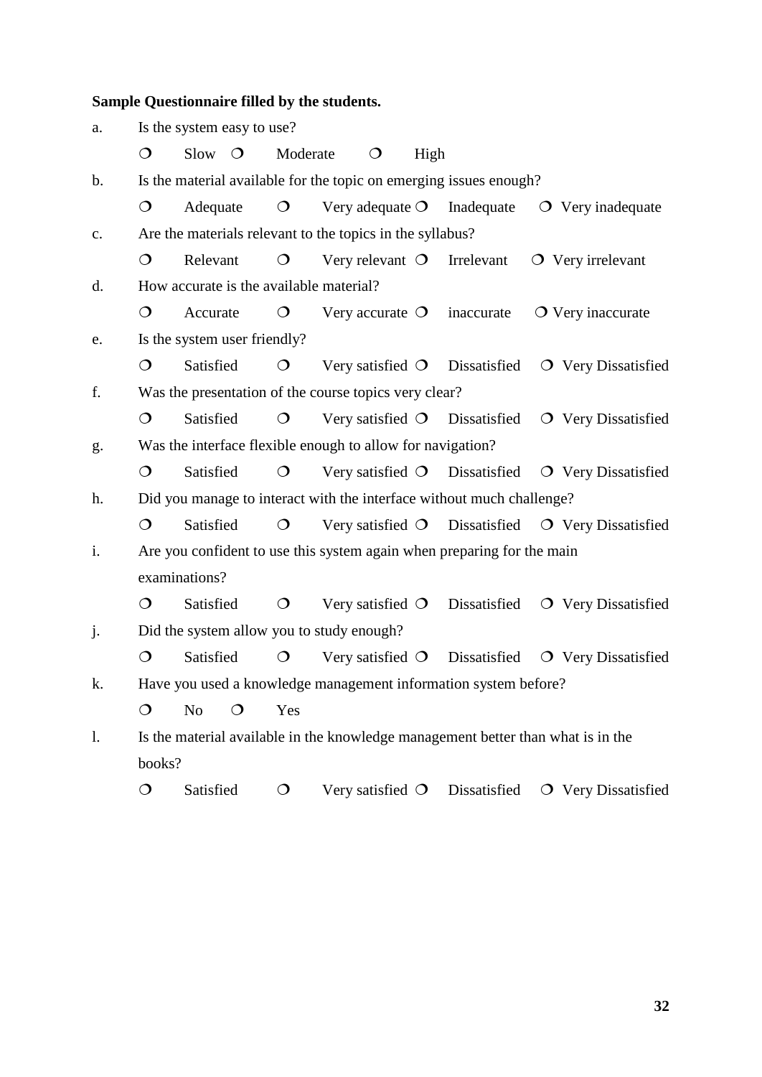# **Sample Questionnaire filled by the students.**

| a.             | Is the system easy to use?                                         |                              |         |            |  |                           |      |                                                                                  |  |                                                                     |
|----------------|--------------------------------------------------------------------|------------------------------|---------|------------|--|---------------------------|------|----------------------------------------------------------------------------------|--|---------------------------------------------------------------------|
|                | $\circ$                                                            | $Slow$ $O$                   |         | Moderate   |  | $\circ$                   | High |                                                                                  |  |                                                                     |
| $\mathbf b$ .  | Is the material available for the topic on emerging issues enough? |                              |         |            |  |                           |      |                                                                                  |  |                                                                     |
|                | $\mathsf{O}$                                                       | Adequate                     |         | $\circ$    |  |                           |      | Very adequate $O$ Inadequate                                                     |  | $\overline{O}$ Very inadequate                                      |
| c.             | Are the materials relevant to the topics in the syllabus?          |                              |         |            |  |                           |      |                                                                                  |  |                                                                     |
|                | $\circ$                                                            | Relevant                     |         | $\bigcirc$ |  |                           |      | Very relevant $\circ$ Irrelevant                                                 |  | $\overline{O}$ Very irrelevant                                      |
| d.             | How accurate is the available material?                            |                              |         |            |  |                           |      |                                                                                  |  |                                                                     |
|                | $\circ$                                                            | Accurate                     |         | $\circ$    |  | Very accurate $\circ$     |      | inaccurate                                                                       |  | $\overline{O}$ Very inaccurate                                      |
| e.             |                                                                    | Is the system user friendly? |         |            |  |                           |      |                                                                                  |  |                                                                     |
|                | $\circ$                                                            | Satisfied                    |         | $\circ$    |  |                           |      | Very satisfied $\bigcirc$ Dissatisfied                                           |  | $\overline{O}$ Very Dissatisfied                                    |
| f.             | Was the presentation of the course topics very clear?              |                              |         |            |  |                           |      |                                                                                  |  |                                                                     |
|                | $\circ$                                                            | Satisfied                    |         | $\circ$    |  |                           |      | Very satisfied $\bigcirc$ Dissatisfied                                           |  | O Very Dissatisfied                                                 |
| g.             |                                                                    |                              |         |            |  |                           |      | Was the interface flexible enough to allow for navigation?                       |  |                                                                     |
|                | $\bigcirc$                                                         | Satisfied                    |         | $\circ$    |  |                           |      |                                                                                  |  | Very satisfied $\bigcirc$ Dissatisfied $\bigcirc$ Very Dissatisfied |
| h.             |                                                                    |                              |         |            |  |                           |      | Did you manage to interact with the interface without much challenge?            |  |                                                                     |
|                | $\circ$                                                            | Satisfied                    |         | $\circ$    |  |                           |      |                                                                                  |  | Very satisfied O Dissatisfied O Very Dissatisfied                   |
| i.             |                                                                    |                              |         |            |  |                           |      | Are you confident to use this system again when preparing for the main           |  |                                                                     |
|                |                                                                    | examinations?                |         |            |  |                           |      |                                                                                  |  |                                                                     |
|                | $\circ$                                                            | Satisfied                    |         | $\circ$    |  | Very satisfied $\bigcirc$ |      | Dissatisfied                                                                     |  | O Very Dissatisfied                                                 |
| j.             | Did the system allow you to study enough?                          |                              |         |            |  |                           |      |                                                                                  |  |                                                                     |
|                | $\circ$                                                            | Satisfied                    |         | $\circ$    |  |                           |      | Very satisfied $\bigcirc$ Dissatisfied                                           |  | O Very Dissatisfied                                                 |
| k.             |                                                                    |                              |         |            |  |                           |      | Have you used a knowledge management information system before?                  |  |                                                                     |
|                | $\circ$                                                            | N <sub>0</sub>               | $\circ$ | Yes        |  |                           |      |                                                                                  |  |                                                                     |
| $\mathbf{1}$ . |                                                                    |                              |         |            |  |                           |      | Is the material available in the knowledge management better than what is in the |  |                                                                     |
|                | books?                                                             |                              |         |            |  |                           |      |                                                                                  |  |                                                                     |
|                | $\bigcirc$                                                         | Satisfied                    |         | $\circ$    |  | Very satisfied $\circ$    |      | Dissatisfied                                                                     |  | O Very Dissatisfied                                                 |

**32**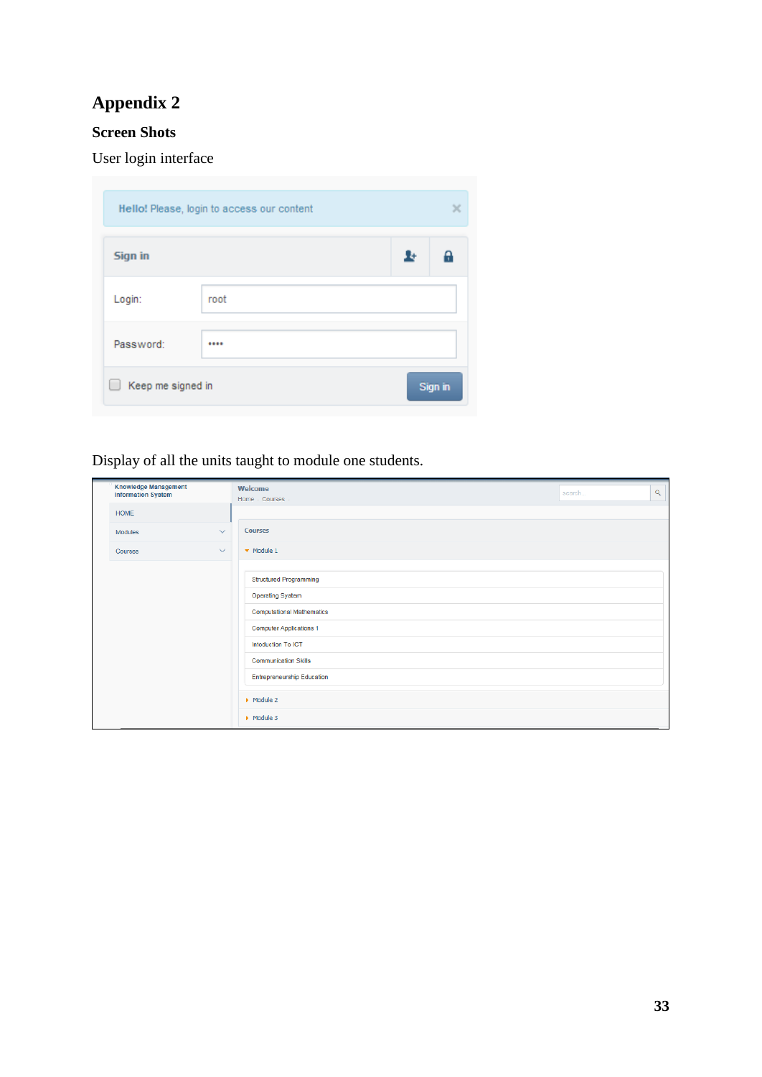# **Appendix 2**

# **Screen Shots**

User login interface

| Hello! Please, login to access our content |      |    |         |  |  |
|--------------------------------------------|------|----|---------|--|--|
| <b>Sign in</b>                             |      | Ŧ. | ρ       |  |  |
| Login:                                     | root |    |         |  |  |
| Password:                                  |      |    |         |  |  |
| Keep me signed in                          |      |    | Sign in |  |  |

Display of all the units taught to module one students.

| <b>Knowledge Management</b><br><b>Information System</b> | Welcome<br>$\mathsf Q$<br>search<br>Home - Courses                                                                                                                                                                                                                                 |  |
|----------------------------------------------------------|------------------------------------------------------------------------------------------------------------------------------------------------------------------------------------------------------------------------------------------------------------------------------------|--|
| <b>HOME</b>                                              |                                                                                                                                                                                                                                                                                    |  |
| $\vee$<br>Modules                                        | <b>Courses</b>                                                                                                                                                                                                                                                                     |  |
| $\checkmark$<br>Courses                                  | $\blacktriangleright$ Module 1                                                                                                                                                                                                                                                     |  |
|                                                          | <b>Structured Programming</b><br><b>Operating Syatem</b><br><b>Computational Mathematics</b><br><b>Computer Applications 1</b><br>Intoduction To ICT<br><b>Communication Skills</b><br><b>Entrepreneurship Education</b><br>$\triangleright$ Module 2<br>$\triangleright$ Module 3 |  |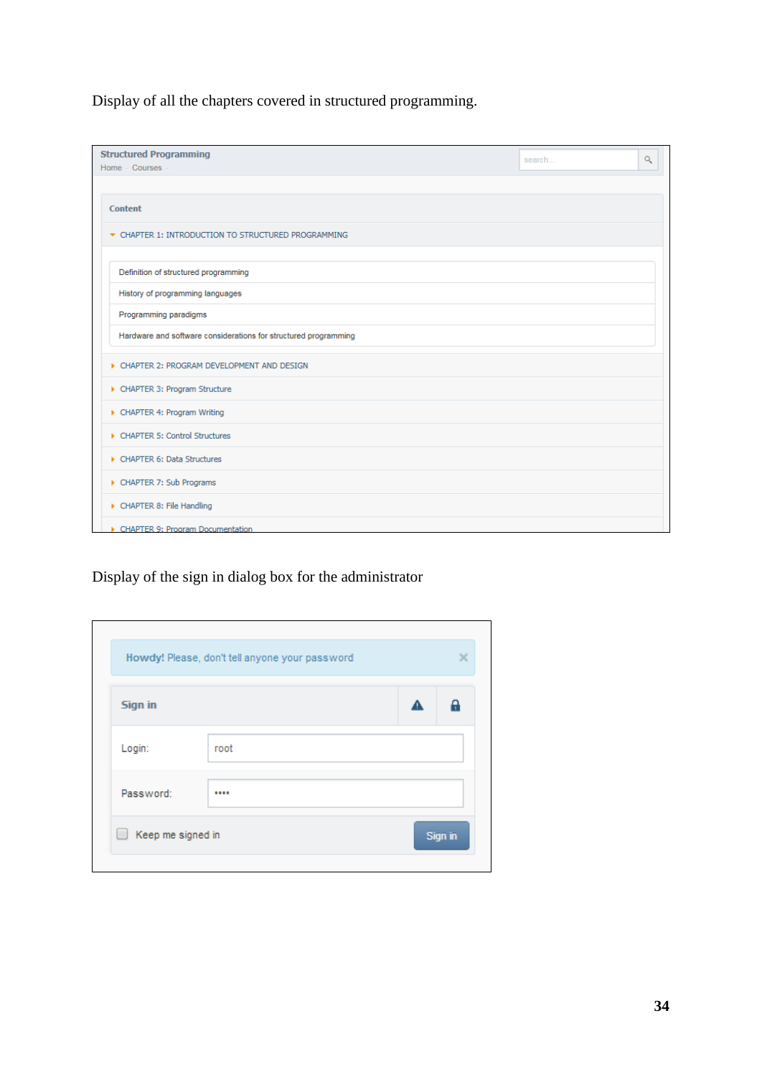Display of all the chapters covered in structured programming.

| <b>Structured Programming</b><br>Home - Courses -               | Q<br>search |
|-----------------------------------------------------------------|-------------|
|                                                                 |             |
| <b>Content</b>                                                  |             |
| ▼ CHAPTER 1: INTRODUCTION TO STRUCTURED PROGRAMMING             |             |
| Definition of structured programming                            |             |
| History of programming languages                                |             |
| Programming paradigms                                           |             |
| Hardware and software considerations for structured programming |             |
| CHAPTER 2: PROGRAM DEVELOPMENT AND DESIGN                       |             |
| CHAPTER 3: Program Structure                                    |             |
| CHAPTER 4: Program Writing                                      |             |
| CHAPTER 5: Control Structures                                   |             |
| CHAPTER 6: Data Structures                                      |             |
| CHAPTER 7: Sub Programs                                         |             |
| CHAPTER 8: File Handling                                        |             |
| CHAPTER 9: Program Documentation                                |             |

Display of the sign in dialog box for the administrator

| <b>Sign in</b> |      | А | e |
|----------------|------|---|---|
| Login:         | root |   |   |
| Password:      |      |   |   |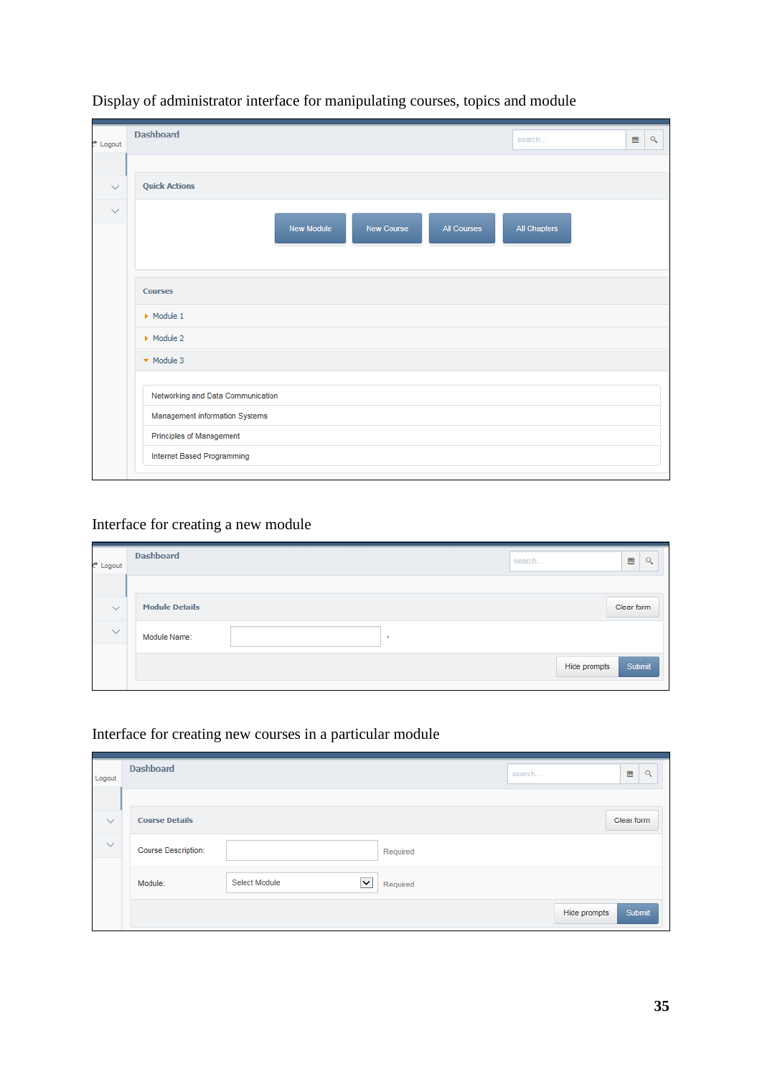| t <sup>+</sup> Logout | <b>Dashboard</b>                                             | search       | 簂 | $\alpha$ |
|-----------------------|--------------------------------------------------------------|--------------|---|----------|
|                       |                                                              |              |   |          |
| $\checkmark$          | <b>Quick Actions</b>                                         |              |   |          |
| $\checkmark$          | <b>New Module</b><br><b>New Course</b><br><b>All Courses</b> | All Chapters |   |          |
|                       | <b>Courses</b>                                               |              |   |          |
|                       | $\triangleright$ Module 1                                    |              |   |          |
|                       | $\triangleright$ Module 2                                    |              |   |          |
|                       | $\blacktriangleright$ Module 3                               |              |   |          |
|                       | Networking and Data Communication                            |              |   |          |
|                       | Management information Systems                               |              |   |          |
|                       | Principles of Management                                     |              |   |          |
|                       | Internet Based Programming                                   |              |   |          |
|                       |                                                              |              |   |          |

# Display of administrator interface for manipulating courses, topics and module

# Interface for creating a new module

| t Logout     | <b>Dashboard</b>      |       | 酋<br>$\alpha$<br>search |
|--------------|-----------------------|-------|-------------------------|
| $\checkmark$ | <b>Module Details</b> |       | Clear form              |
| $\checkmark$ | Module Name:          | $\pm$ |                         |
|              |                       |       | Submit<br>Hide prompts  |

# Interface for creating new courses in a particular module

| Logout       | <b>Dashboard</b>      |                    |          | search       | 兽<br>$\alpha$ |
|--------------|-----------------------|--------------------|----------|--------------|---------------|
|              |                       |                    |          |              |               |
| $\checkmark$ | <b>Course Details</b> |                    |          |              | Clear form    |
| $\checkmark$ | Course Description:   |                    | Required |              |               |
|              | Module:               | Select Module<br>× | Required |              |               |
|              |                       |                    |          | Hide prompts | Submit        |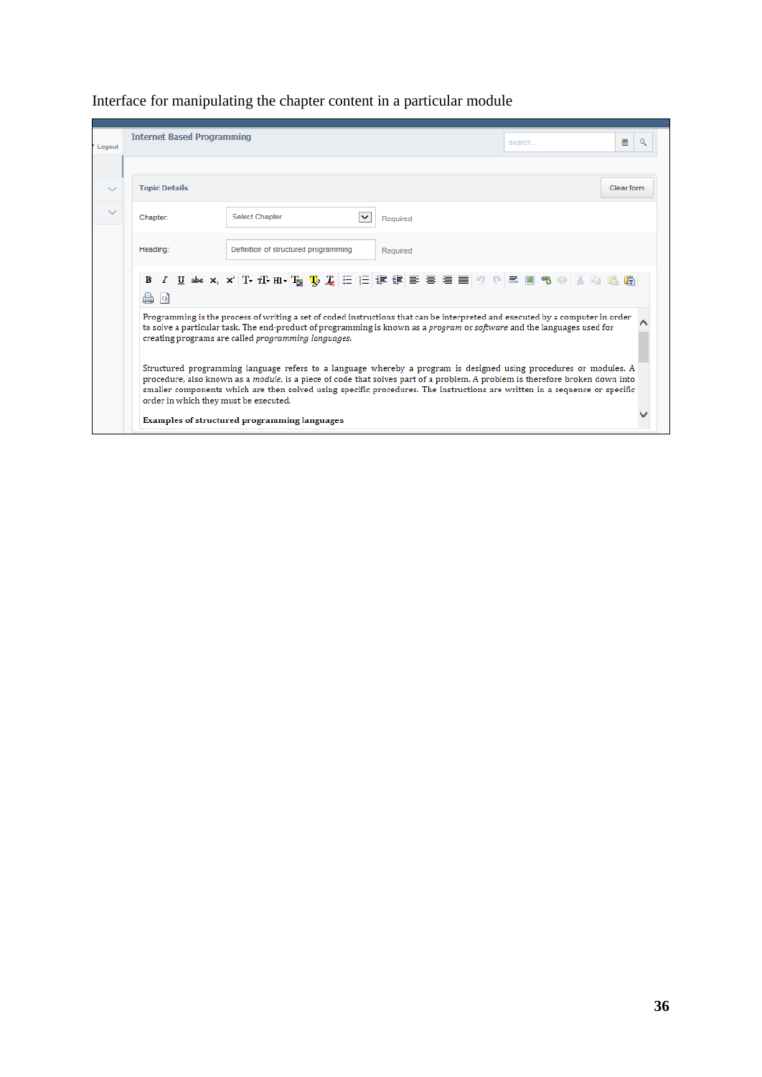| Logout       | <b>Internet Based Programming</b><br>簂<br>Q<br>search                                                                                                                                                                                                                                                                                                                                                                    |
|--------------|--------------------------------------------------------------------------------------------------------------------------------------------------------------------------------------------------------------------------------------------------------------------------------------------------------------------------------------------------------------------------------------------------------------------------|
|              |                                                                                                                                                                                                                                                                                                                                                                                                                          |
| $\checkmark$ | <b>Topic Details</b><br>Clear form                                                                                                                                                                                                                                                                                                                                                                                       |
| $\checkmark$ | <b>Select Chapter</b><br>Chapter:<br>Required                                                                                                                                                                                                                                                                                                                                                                            |
|              | Heading:<br>Definition of structured programming<br>Required                                                                                                                                                                                                                                                                                                                                                             |
|              | $\Box$                                                                                                                                                                                                                                                                                                                                                                                                                   |
|              | Programming is the process of writing a set of coded instructions that can be interpreted and executed by a computer in order<br>to solve a particular task. The end-product of programming is known as a <i>program</i> or software and the languages used for<br>creating programs are called <i>programming languages</i> .                                                                                           |
|              | Structured programming language refers to a language whereby a program is designed using procedures or modules. A<br>procedure, also known as a module, is a piece of code that solves part of a problem. A problem is therefore broken down into<br>smaller components which are then solved using specific procedures. The instructions are written in a sequence or specific<br>order in which they must be executed. |
|              | Examples of structured programming languages                                                                                                                                                                                                                                                                                                                                                                             |

# Interface for manipulating the chapter content in a particular module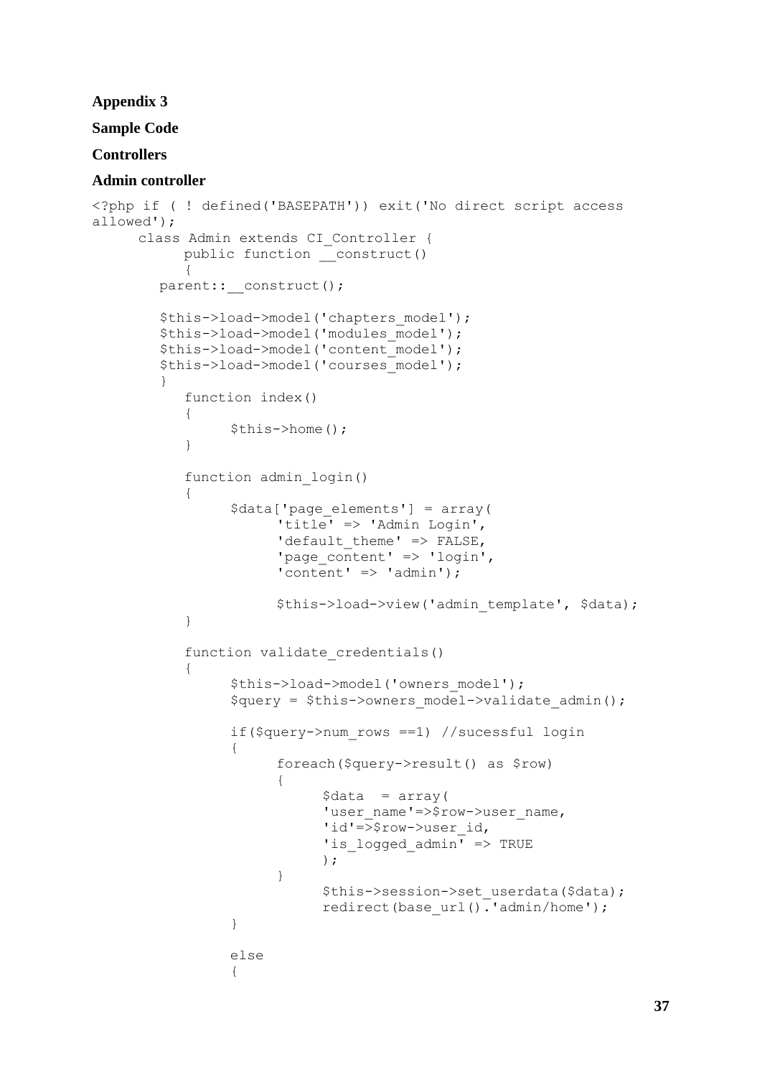## **Appendix 3**

# **Sample Code**

# **Controllers**

# **Admin controller**

```
<?php if ( ! defined('BASEPATH')) exit('No direct script access 
allowed');
     class Admin extends CI_Controller {
           public function construct()
           {
        parent:: construct();
         $this->load->model('chapters_model');
         $this->load->model('modules_model');
         $this->load->model('content_model');
         $this->load->model('courses_model');
 }
           function index() 
           {
                 $this->home();
           }
           function admin_login()
           {
                 $data['page_elements'] = array(
                      'title' => 'Admin Login',
                      'default theme' => FALSE,
                      'page content' => 'login',
                      'content' => 'admin');
                      $this->load->view('admin template', $data);
           }
           function validate_credentials()
           {
                 $this->load->model('owners_model');
                 $query = $this->owners_model->validate_admin();
                 if($query->num_rows ==1) //sucessful login
                 {
                      foreach($query->result() as $row)
                      {
                            \deltadata = array(
                            'user_name'=>$row->user_name,
                            'id'=>$row->user_id,
                            'is logged admin' => TRUE
                            );
                      }
                            $this->session->set userdata($data);
                            redirect(base url().'admin/home');
                 }
                 else
                 {
```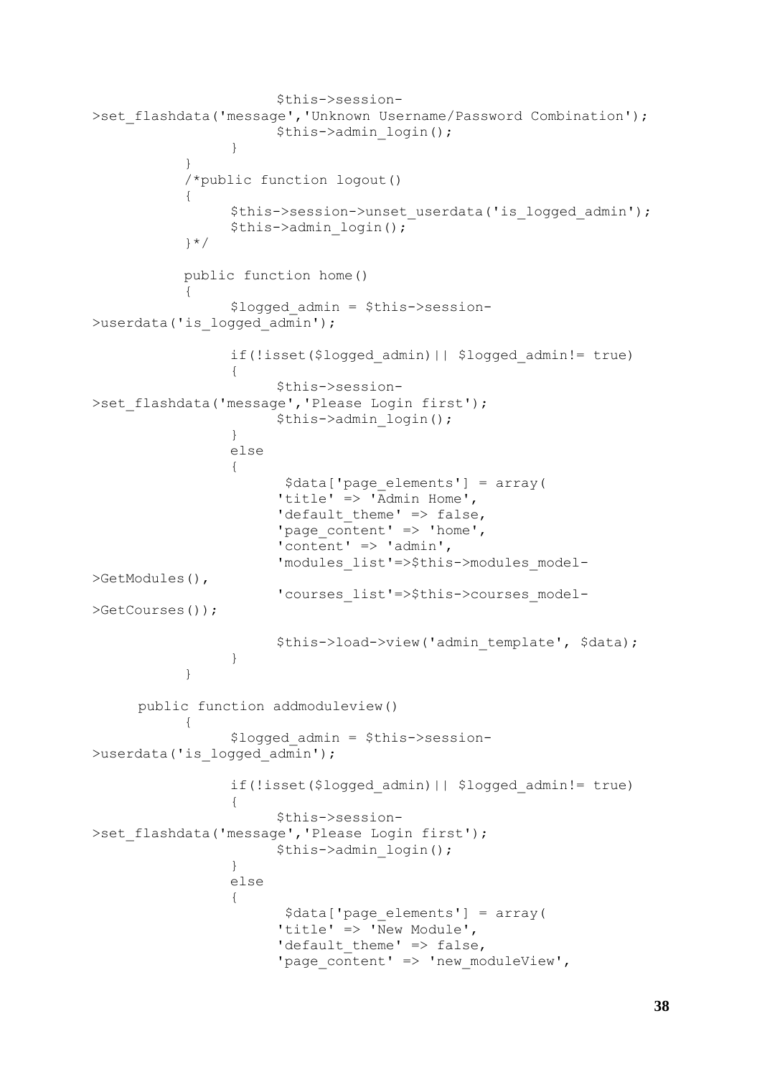```
$this->session-
>set flashdata('message','Unknown Username/Password Combination');
                       $this->admin_login();
                 }
           }
           /*public function logout()
            {
                 $this->session->unset_userdata('is_logged_admin');
                 $this->admin_login();
           }*/
           public function home()
           {
                 $logged_admin = $this->session-
>userdata('is logged admin');
                 if(!isset($logged_admin)|| $logged_admin!= true)
                 {
                       $this->session-
>set flashdata('message','Please Login first');
                       $this->admin_login();
                 }
                 else
                 {
                        $data['page_elements'] = array(
                       'title' \Rightarrow 'Admin Home',
                       'default theme' => false,
                        'page content' \Rightarrow 'home',
                        'content' => 'admin',
                       'modules_list'=>$this->modules_model-
>GetModules(),
                       'courses_list'=>$this->courses_model-
>GetCourses());
                       $this->load->view('admin template', $data);
                 }
           }
     public function addmoduleview()
            {
                 $logged_admin = $this->session-
>userdata('is logged admin');
                 if(!isset($logged_admin)|| $logged_admin!= true)
                 {
                       $this->session-
>set flashdata('message','Please Login first');
                       $this->admin_login();
                 }
                 else
                 {
                        $data['page_elements'] = array(
                       'title' => '\overline{\text{New Module}}',
                       'default theme' \Rightarrow false,
                        'page_content' => 'new moduleView',
```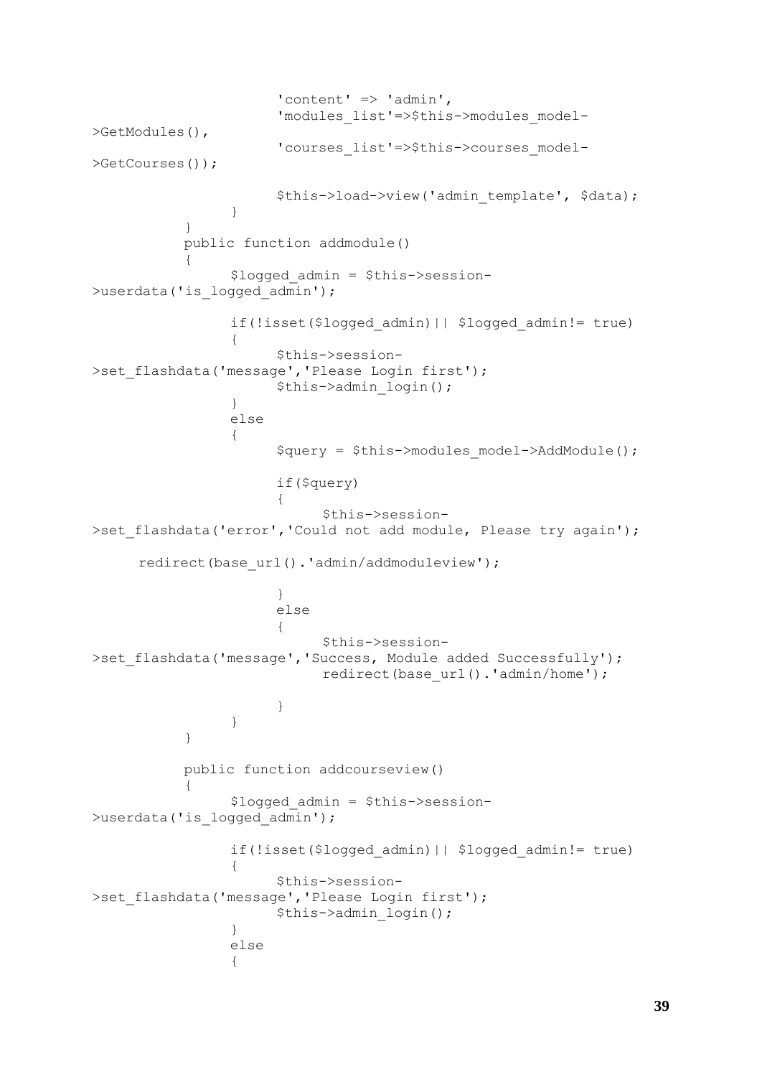```
'content' => 'admin',
                      'modules_list'=>$this->modules_model-
>GetModules(),
                      'courses_list'=>$this->courses_model-
>GetCourses());
                      $this->load->view('admin template', $data);
                 }
           }
           public function addmodule()
           {
                 $logged_admin = $this->session-
>userdata('is logged admin');
                 if(!isset($logged_admin)|| $logged_admin!= true)
                 {
                      $this->session-
>set flashdata('message','Please Login first');
                      $this->admin_login();
                 }
                 else
                 {
                      $query = $this->modules_model->AddModule();
                      if($query)
                      {
                            $this->session-
>set flashdata('error','Could not add module, Please try again');
     redirect(base url().'admin/addmoduleview');
                      }
                      else 
                      {
                            $this->session-
>set_flashdata('message','Success, Module added Successfully');
                            redirect(base url().'admin/home');
                      }
                 }
           }
           public function addcourseview()
           {
                 $logged_admin = $this->session-
>userdata('is logged admin');
                 if(!isset($logged_admin)|| $logged_admin!= true)
                 {
                      $this->session-
>set_flashdata('message','Please Login first');
                      $this->admin_login();
                 }
                 else
                 {
```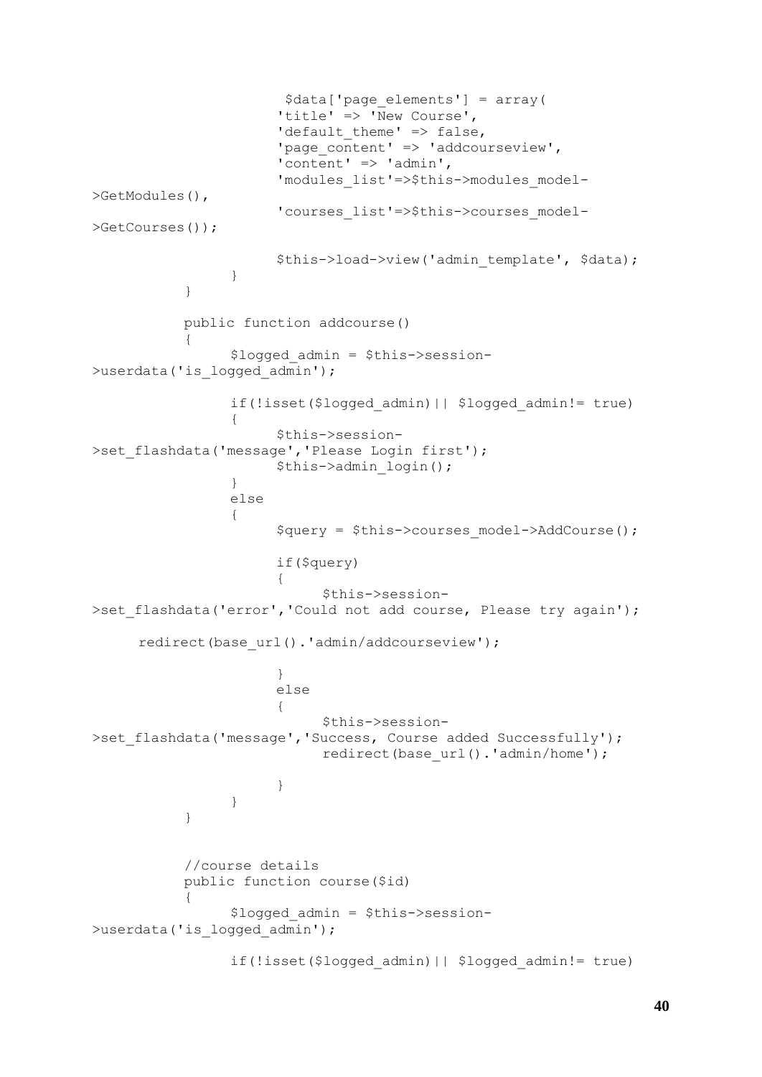```
$data['page_elements'] = array(
                              'title' => 'New Course',
                             'default theme' \Rightarrow false,
                              'page_content' => 'addcourseview',
                              \frac{1}{\sqrt{2}} \frac{1}{\sqrt{2}} \frac{1}{\sqrt{2}} \frac{1}{\sqrt{2}} \frac{1}{\sqrt{2}} \frac{1}{\sqrt{2}} \frac{1}{\sqrt{2}} \frac{1}{\sqrt{2}} \frac{1}{\sqrt{2}} \frac{1}{\sqrt{2}} \frac{1}{\sqrt{2}} \frac{1}{\sqrt{2}} \frac{1}{\sqrt{2}} \frac{1}{\sqrt{2}} \frac{1}{\sqrt{2}} \frac{1}{\sqrt{2}} \frac{1}{\sqrt{2}} 
                              'modules_list'=>$this->modules_model-
>GetModules(),
                              'courses_list'=>$this->courses_model-
>GetCourses());
                             $this->load->view('admin template', $data);
                      }
               }
              public function addcourse()
               {
                      $logged_admin = $this->session-
>userdata('is logged admin');
                      if(!isset($logged_admin)|| $logged_admin!= true)
                      {
                             $this->session-
>set flashdata('message','Please Login first');
                             $this->admin_login();
                      }
                      else
                      {
                             $query = $this->courses_model->AddCourse();
                             if($query)
                              {
                                     $this->session-
>set flashdata('error','Could not add course, Please try again');
       redirect(base url().'admin/addcourseview');
                             }
                             else 
                             {
                                     $this->session-
>set flashdata('message','Success, Course added Successfully');
                                     redirect(base url().'admin/home');
                             }
                      }
               }
               //course details
              public function course($id)
               {
                      $logged_admin = $this->session-
>userdata('is logged admin');
                      if(!isset($logged_admin)|| $logged_admin!= true)
```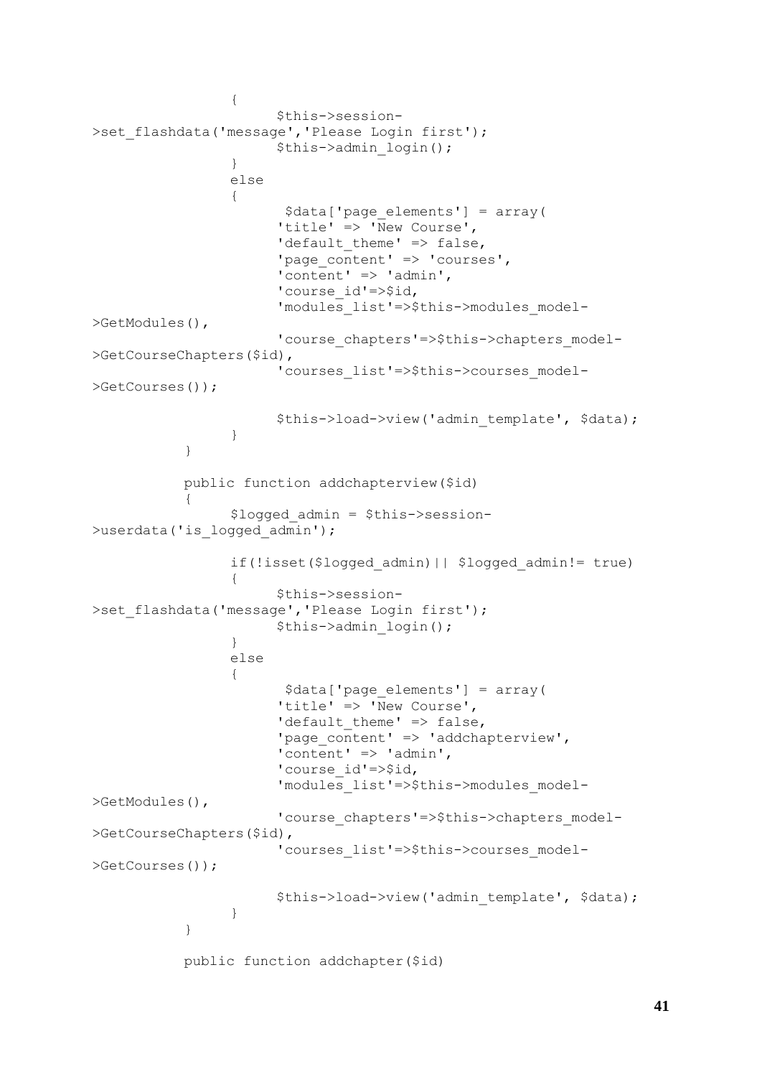```
{
                       $this->session-
>set flashdata('message','Please Login first');
                       $this->admin_login();
                 }
                 else
                 {
                        $data['page_elements'] = array(
                       'title' \Rightarrow 'New Course',
                       'default_theme' => false,
                       'page content' => 'courses',
                       l'content' => 'admin',
                       'course id'=>$id,
                       'modules list'=>$this->modules model-
>GetModules(),
                       'course chapters'=>$this->chapters model-
>GetCourseChapters($id),
                       'courses_list'=>$this->courses_model-
>GetCourses());
                       $this->load->view('admin template', $data);
                 }
           }
           public function addchapterview($id)
           {
                 $logged_admin = $this->session-
>userdata('is logged admin');
                 if(!isset($logged_admin)|| $logged_admin!= true)
                 {
                       $this->session-
>set flashdata('message','Please Login first');
                       $this->admin_login();
                 }
                 else
                 {
                        $data['page_elements'] = array(
                       'title' => \overline{v} New Course',
                       'default theme' \Rightarrow false,
                       'page content' => 'addchapterview',
                       'content' => 'admin',
                       'course id'=>$id,
                       'modules_list'=>$this->modules_model-
>GetModules(),
                       'course chapters'=>$this->chapters model-
>GetCourseChapters($id),
                       'courses_list'=>$this->courses_model-
>GetCourses());
                       $this->load->view('admin_template', $data);
                 }
           }
           public function addchapter($id)
```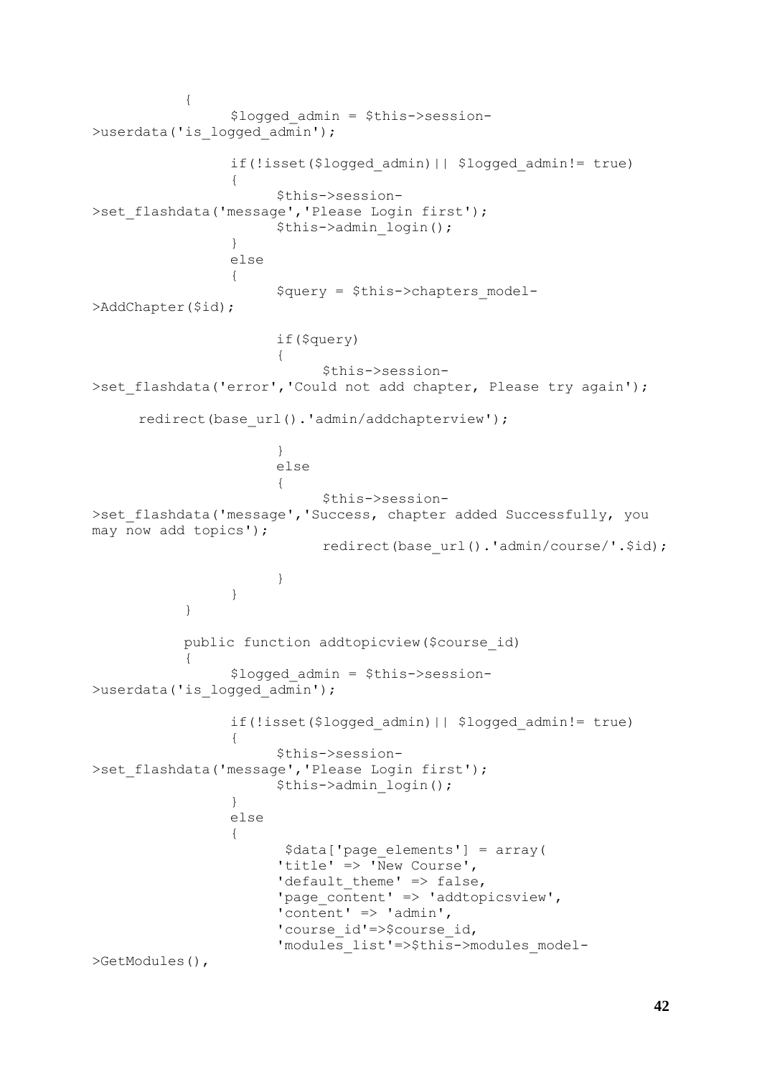```
{
                 $logged_admin = $this->session-
>userdata('is logged admin');
                 if(!isset($logged_admin)|| $logged_admin!= true)
                 {
                      $this->session-
>set flashdata('message','Please Login first');
                      $this->admin_login();
                 }
                 else
                 {
                      $query = $this->chapters_model-
>AddChapter($id);
                      if($query)
                      {
                            $this->session-
>set flashdata('error','Could not add chapter, Please try again');
     redirect(base url().'admin/addchapterview');
                      }
                      else 
                       {
                            $this->session-
>set flashdata('message','Success, chapter added Successfully, you
may now add topics');
                            redirect(base url().'admin/course/'.$id);
                      }
                 }
           }
           public function addtopicview($course_id)
           {
                 $logged_admin = $this->session-
>userdata('is logged admin');
                 if(!isset($logged_admin)|| $logged_admin!= true)
                 {
                      $this->session-
>set flashdata('message','Please Login first');
                      $this->admin_login();
                 }
                 else
                 {
                       $data['page_elements'] = array(
                       'title' => 'New Course',
                      'default_theme' => false,
                       'page content' => 'addtopicsview',
                      'content' => 'admin',
                      'course id'=>$course id,
                       'modules_list'=>$this->modules_model-
>GetModules(),
```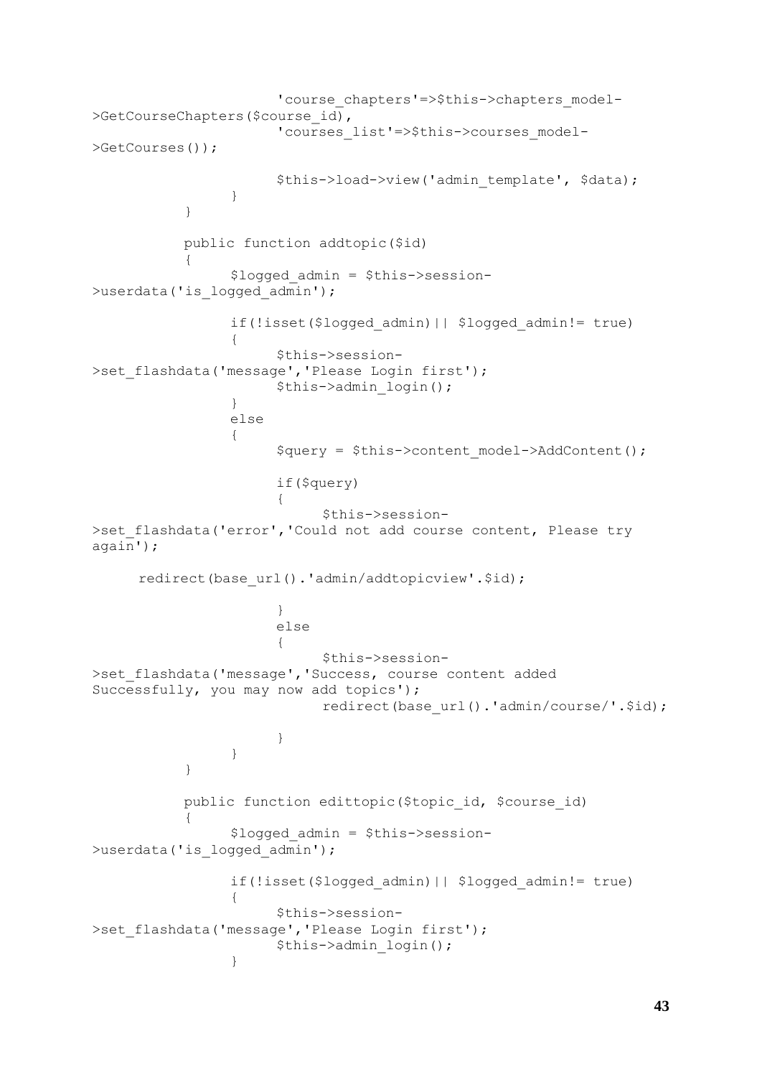```
'course chapters'=>$this->chapters model-
>GetCourseChapters($course_id),
                      'courses_list'=>$this->courses_model-
>GetCourses());
                      $this->load->view('admin template', $data);
                 }
           }
           public function addtopic($id)
           {
                 $logged_admin = $this->session-
>userdata('is logged admin');
                 if(!isset($logged_admin)|| $logged_admin!= true)
                 {
                      $this->session-
>set flashdata('message','Please Login first');
                      $this->admin_login();
                 }
                else
                 {
                      $query = $this->content_model->AddContent();
                      if($query)
                      {
                            $this->session-
>set flashdata('error','Could not add course content, Please try
again');
     redirect(base url().'admin/addtopicview'.$id);
                      }
                      else 
                      {
                            $this->session-
>set_flashdata('message','Success, course content added 
Successfully, you may now add topics');
                            redirect(base url().'admin/course/'.$id);
                      }
                 }
           }
           public function edittopic($topic_id, $course_id)
           {
                 $logged_admin = $this->session-
>userdata('is logged admin');
                if(!isset($logged_admin)|| $logged_admin!= true)
                 {
                      $this->session-
>set flashdata('message','Please Login first');
                      $this->admin_login();
                 }
```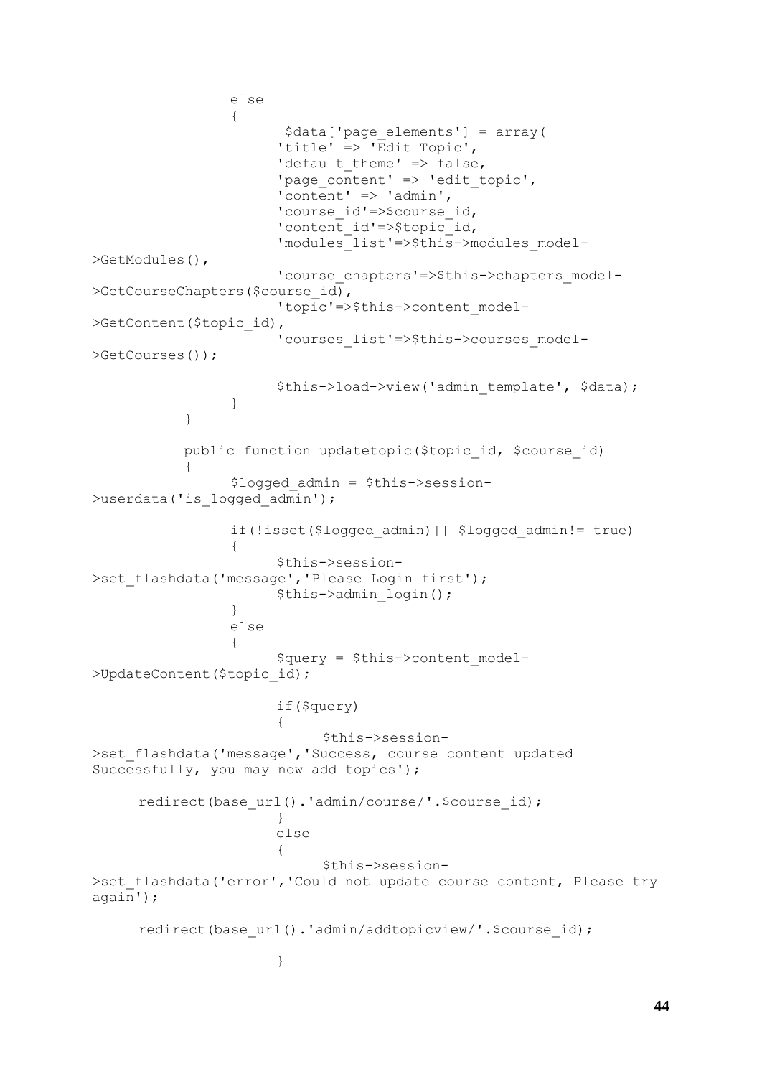```
else
                 {
                        $data['page_elements'] = array(
                       'title' => 'Edit Topic',
                       'default theme' => false,
                       'page content' => 'edit topic',
                       'content' \Rightarrow 'admin',
                       'course id'=>$course id,
                       'content id'=>$topic id,
                       'modules_list'=>$this->modules_model-
>GetModules(),
                       'course chapters'=>$this->chapters model-
>GetCourseChapters($course_id),
                       'topic'=>$this->content_model-
>GetContent($topic_id),
                       'courses_list'=>$this->courses_model-
>GetCourses());
                       $this->load->view('admin template', $data);
                 }
           }
           public function updatetopic($topic id, $course id)
           {
                 $logged_admin = $this->session-
>userdata('is logged admin');
                 if(!isset($logged_admin)|| $logged_admin!= true)
                 {
                       $this->session-
>set flashdata('message','Please Login first');
                       $this->admin_login();
                 }
                 else
                 {
                       \text{Squery} = \text{5this} - \text{2} \text{content} \text{model}>UpdateContent($topic_id);
                       if($query)
                       {
                             $this->session-
>set_flashdata('message','Success, course content updated 
Successfully, you may now add topics');
     redirect(base url().'admin/course/'.$course id);
                       }
                       else 
                       {
                             $this->session-
>set flashdata('error','Could not update course content, Please try
again');
     redirect(base url().'admin/addtopicview/'.$course id);
                       }
```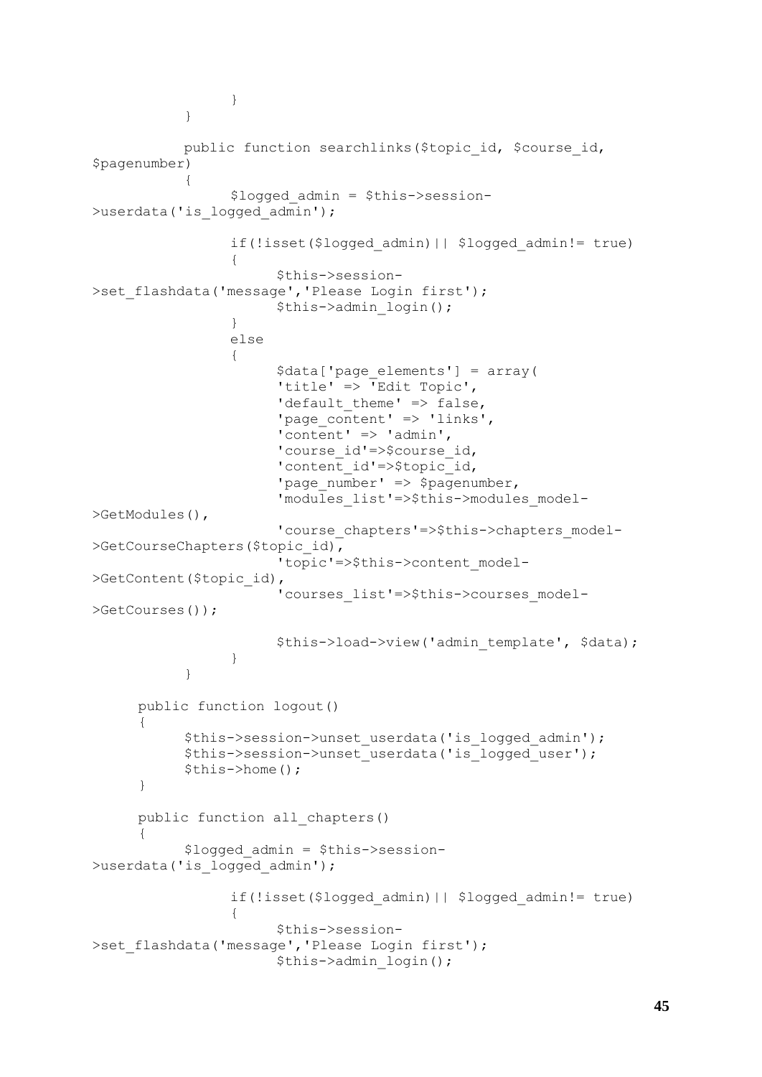```
}
           }
           public function searchlinks($topic_id, $course_id, 
$pagenumber)
           {
                 $logged_admin = $this->session-
>userdata('is logged admin');
                 if(!isset($logged_admin)|| $logged_admin!= true)
                 {
                      $this->session-
>set flashdata('message','Please Login first');
                      $this->admin_login();
                 }
                 else
                 {
                      $data['page_elements'] = array(
                      'title' => 'Edit Topic',
                      'default theme' => false,
                      'page content' => 'links',
                      'content' => 'admin',
                      'course id'=>$course id,
                      'content id'=>$topic id,
                      'page_number' => $pagenumber,
                      'modules_list'=>$this->modules_model-
>GetModules(),
                       'course chapters'=>$this->chapters model-
>GetCourseChapters($topic_id),
                       'topic'=>$this->content_model-
>GetContent($topic_id),
                       'courses_list'=>$this->courses_model-
>GetCourses());
                      $this->load->view('admin template', $data);
                 }
           }
     public function logout()
     {
           $this->session->unset_userdata('is_logged_admin');
           $this->session->unset_userdata('is_logged_user');
           $this->home();
     }
     public function all_chapters()
     {
           $logged_admin = $this->session-
>userdata('is logged admin');
                 if(!isset($logged_admin)|| $logged_admin!= true)
                 {
                      $this->session-
>set flashdata('message','Please Login first');
                      $this->admin_login();
```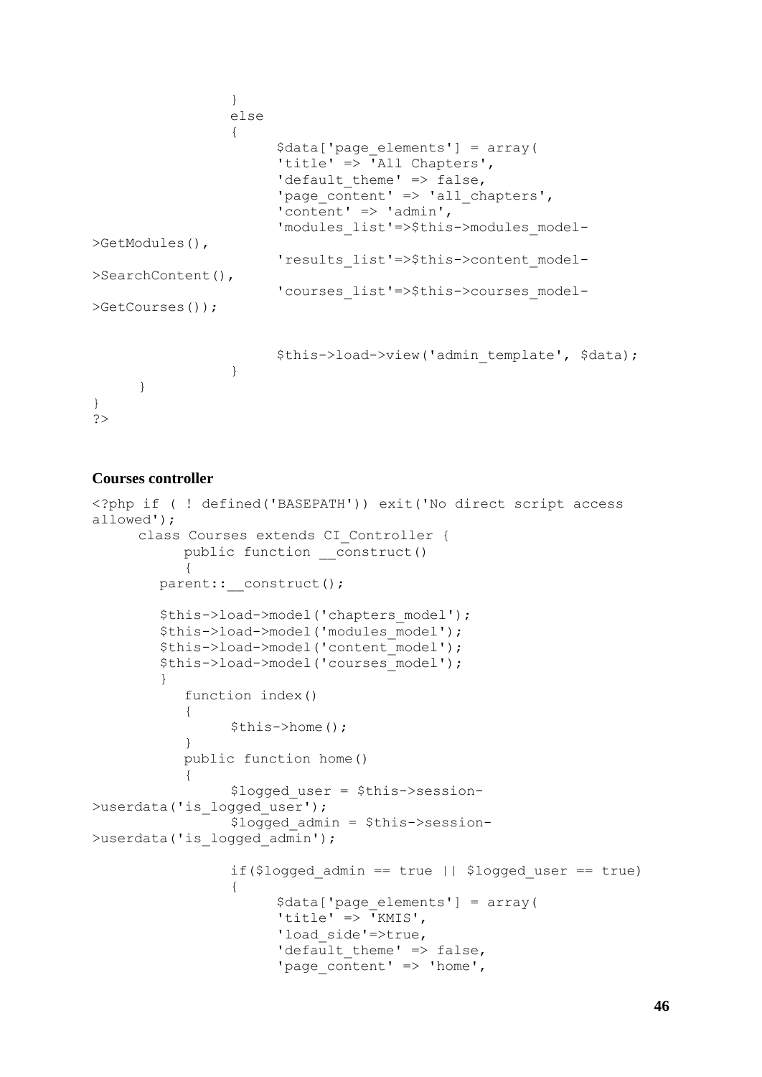```
}
                 else
                  {
                        $data['page_elements'] = array(
                        'title' \Rightarrow 'All Chapters',
                        'default_theme' => false,
                        'page content' => 'all chapters',
                        'content' \Rightarrow 'admin',
                        'modules_list'=>$this->modules_model-
>GetModules(),
                        'results_list'=>$this->content_model-
>SearchContent(),
                        'courses_list'=>$this->courses_model-
>GetCourses());
                        $this->load->view('admin template', $data);
                  }
      }
}
?>
```

```
Courses controller
```

```
<?php if ( ! defined('BASEPATH')) exit('No direct script access 
allowed');
     class Courses extends CI_Controller {
           public function construct()
           {
        parent:: construct();
         $this->load->model('chapters_model');
         $this->load->model('modules_model');
         $this->load->model('content_model');
         $this->load->model('courses_model');
 }
           function index() 
           {
                 $this->home();
           }
           public function home()
           {
                 $logged_user = $this->session-
>userdata('is logged user');
                 $logged_admin = $this->session-
>userdata('is_logged admin');
                 if($logged admin == true || $logged user == true)
                 {
                      $data['page_elements'] = array(
                      'title' => \overline{Y}KMIS',
                      'load side'=>true,
                      'default theme' => false,
                       'page content' => 'home',
```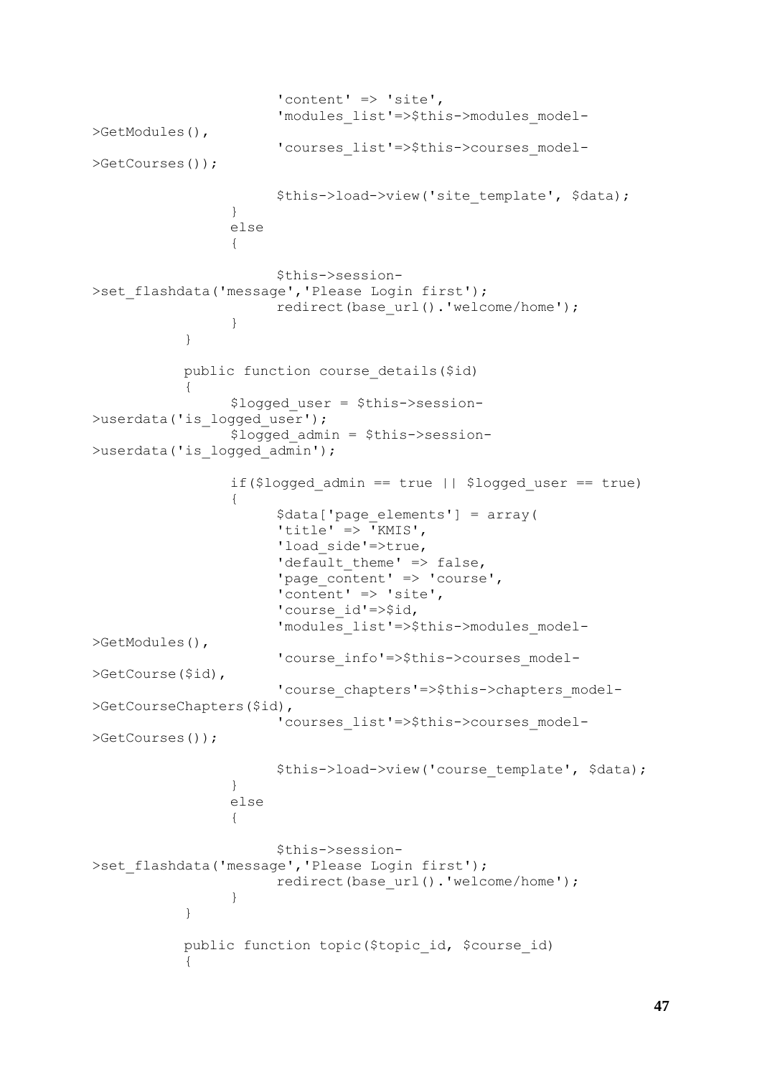```
'content' => 'site',
                       'modules_list'=>$this->modules_model-
>GetModules(),
                       'courses_list'=>$this->courses_model-
>GetCourses());
                       $this->load->view('site_template', $data);
                 }
                 else
                 {
                       $this->session-
>set flashdata('message','Please Login first');
                       redirect(base_url().'welcome/home');
                 }
           }
           public function course_details($id)
           {
                 $logged_user = $this->session-
>userdata('is logged user');
                 $logged_admin = $this->session-
>userdata('is logged admin');
                 if($logged admin == true || $logged user == true)
                 {
                       $data['page_elements'] = array(
                       'title' => \bar{Y}KMIS',
                       'load side'=>true,
                       'default theme' \Rightarrow false,
                       'page_content' => 'course',
                       'content' \Rightarrow 'site',
                       'course id'=>$id,
                       'modules_list'=>$this->modules_model-
>GetModules(),
                       'course info'=>$this->courses model-
>GetCourse($id),
                       'course chapters'=>$this->chapters model-
>GetCourseChapters($id),
                       'courses_list'=>$this->courses_model-
>GetCourses());
                       $this->load->view('course_template', $data);
                 }
                 else
                 {
                       $this->session-
>set flashdata('message','Please Login first');
                       redirect(base url().'welcome/home');
                 }
           }
           public function topic($topic id, $course id)
           {
```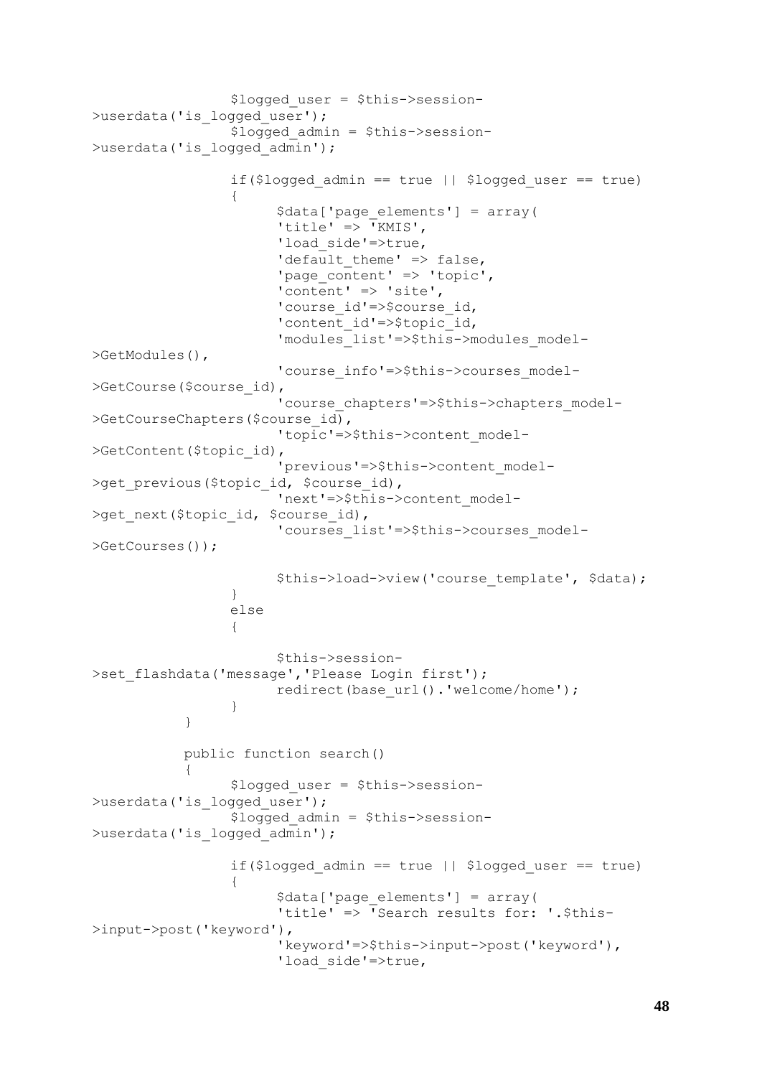```
$logged_user = $this->session-
>userdata('is logged user');
                 $logged_admin = $this->session-
>userdata('is logged admin');
                 if($logged admin == true || $logged user == true)
                 {
                       $data['page_elements'] = array(
                       'title' => \overline{Y}KMIS',
                       'load side'=>true,
                       'default theme' \Rightarrow false,
                       'page content' => 'topic',
                       'content' => 'site',
                       'course id'=>$course id,
                       'content id'=>$topic id,
                       'modules_list'=>$this->modules_model-
>GetModules(),
                       'course info'=>$this->courses model-
>GetCourse($course_id),
                       'course chapters'=>$this->chapters model-
>GetCourseChapters($course_id),
                       'topic'=>$this->content_model-
>GetContent($topic_id),
                       'previous'=>$this->content_model-
>get_previous($topic_id, $course_id),
                       'next'=>$this->content_model-
>get next($topic id, $course id),
                       'courses_list'=>$this->courses_model-
>GetCourses());
                       $this->load->view('course_template', $data);
                 }
                 else
                 {
                       $this->session-
>set flashdata('message','Please Login first');
                      redirect(base url().'welcome/home');
                 }
           }
           public function search()
           {
                 $logged_user = $this->session-
>userdata('is logged user');
                 $logged_admin = $this->session-
>userdata('is logged admin');
                 if($logged admin == true || $logged user == true)
                 {
                       $data['page_elements'] = array(
                       'title' => 'Search results for: '.$this-
>input->post('keyword'),
                       'keyword'=>$this->input->post('keyword'),
                       'load side'=>true,
```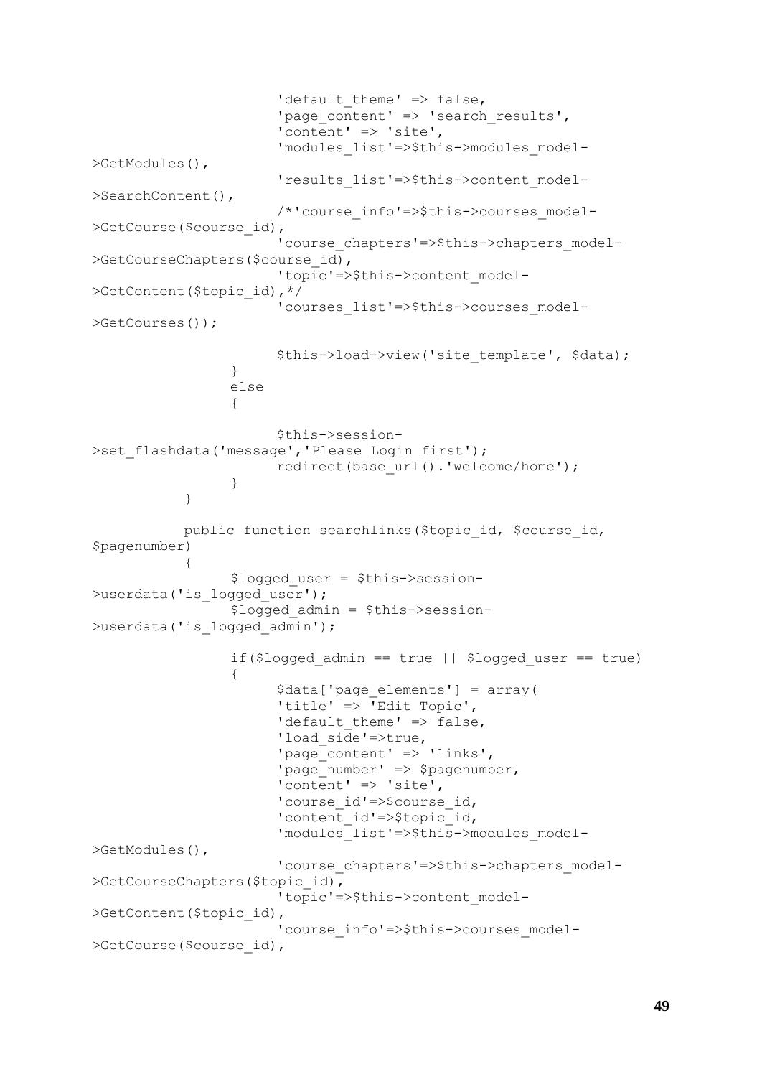```
'default_theme' => false,
                       'page content' => 'search results',
                       'content' \Rightarrow 'site',
                       'modules_list'=>$this->modules_model-
>GetModules(),
                       'results_list'=>$this->content_model-
>SearchContent(),
                       /*'course_info'=>$this->courses_model-
>GetCourse($course_id),
                       'course chapters'=>$this->chapters model-
>GetCourseChapters($course_id),
                       'topic'=>$this->content model-
>GetContent($topic_id),*/
                       'courses_list'=>$this->courses_model-
>GetCourses());
                       $this->load->view('site template', $data);
                 }
                 else
                 {
                       $this->session-
>set flashdata('message','Please Login first');
                      redirect(base url().'welcome/home');
                 }
           }
           public function searchlinks ($topic id, $course id,
$pagenumber)
           {
                 $logged_user = $this->session-
>userdata('is logged user');
                 $logged_admin = $this->session-
>userdata('is logged admin');
                 if($logged admin == true || $logged user == true)
                 {
                       $data['page_elements'] = array(
                       'title' => 'Edit Topic',
                       'default theme' \Rightarrow false,
                       'load side'=>true,
                       "page"content' => 'links',
                       'page number' => $pagenumber,
                       'content' \Rightarrow 'site',
                       'course id'=>$course id,
                       'content id'=>$topic id,
                       'modules_list'=>$this->modules_model-
>GetModules(),
                       'course chapters'=>$this->chapters model-
>GetCourseChapters($topic_id),
                       'topic'=>$this->content_model-
>GetContent($topic_id),
                       'course_info'=>$this->courses_model-
>GetCourse($course_id),
```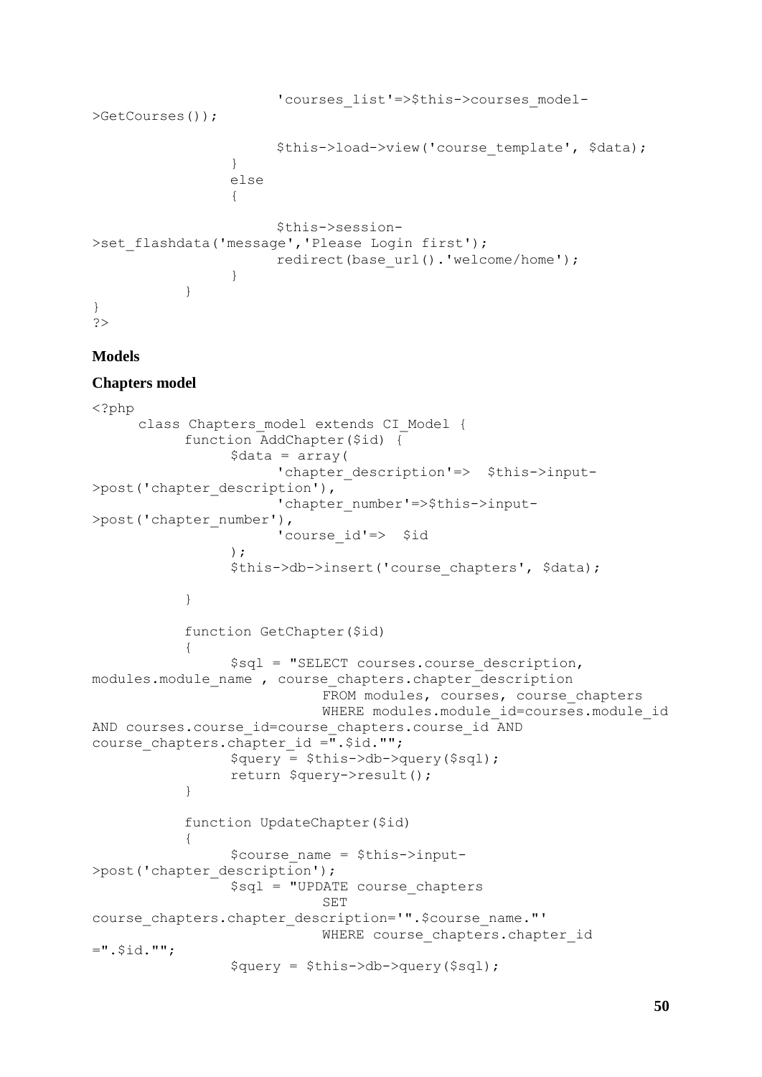```
'courses_list'=>$this->courses_model-
>GetCourses());
                       $this->load->view('course_template', $data);
                 }
                 else
                 {
                       $this->session-
>set flashdata('message','Please Login first');
                       redirect(base url().'welcome/home');
                 }
           }
}
?>
```
## **Models**

#### **Chapters model**

```
<?php
     class Chapters model extends CI Model {
           function AddChapter($id) {
                 \deltadata = array(
                       'chapter description'=> $this->input-
>post('chapter_description'),
                       'chapter number'=>$this->input-
>post('chapter number'),
                       'course_id'=> $id
                 ); 
                 $this->db->insert('course_chapters', $data);
           }
           function GetChapter($id)
           {
                 $sql = "SELECT courses.course_description, 
modules.module name , course chapters.chapter description
                            FROM modules, courses, course chapters
                            WHERE modules.module id=courses.module id
AND courses.course id=course chapters.course id AND
course chapters.chapter id =\overline{''}. $id."";
                 $query = $this->db->query($sql);
                 return $query->result();
           }
           function UpdateChapter($id)
           {
                 $course_name = $this->input-
>post('chapter description');
                 $sql = "UPDATE course_chapters
                            SET 
course chapters.chapter description='".$course name."'
                            WHERE course chapters.chapter id
=".$id."";
                 $query = $this->db->query($sql);
```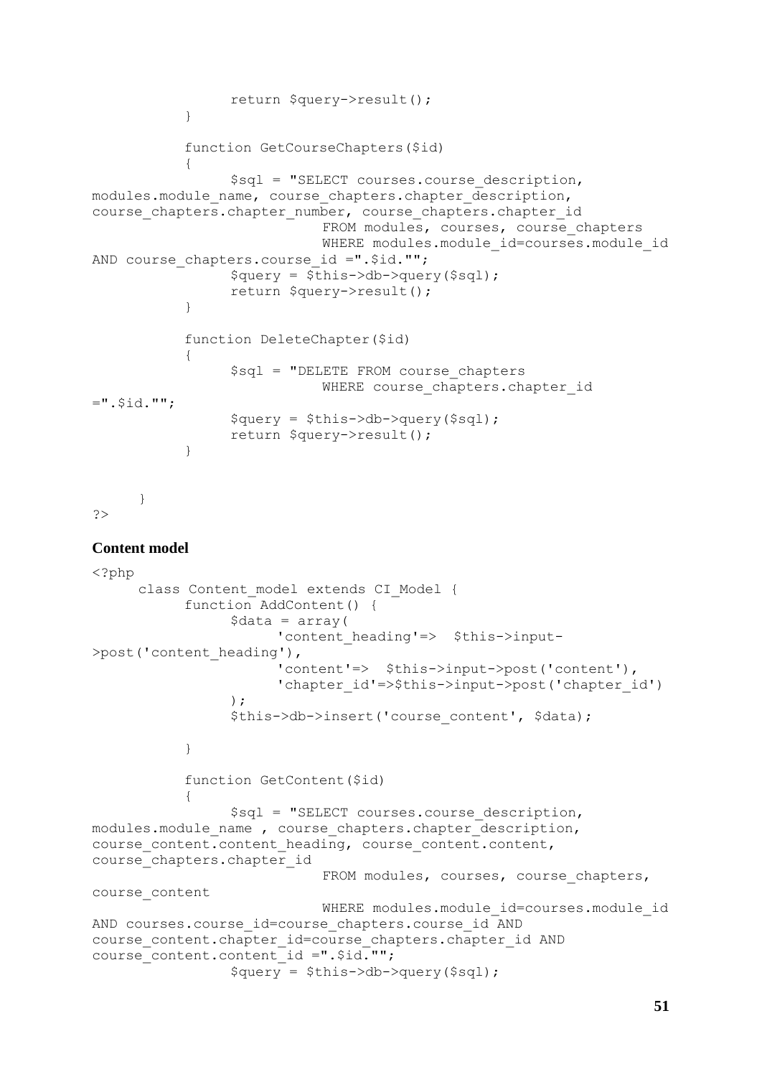```
return $query->result();
            }
            function GetCourseChapters($id)
            {
                  $sql = "SELECT courses.course_description, 
modules.module name, course chapters.chapter description,
course_chapters.chapter_number, course_chapters.chapter_id 
                              FROM modules, courses, course chapters
                              WHERE modules.module id=courses.module id
AND course chapters.course id =".$id."";
                  \text{Squery} = \frac{\text{Sthis}-\text{Scho}-\text{Squery}}{\text{Sthis}-\text{Squeity}}return $query->result();
            }
            function DeleteChapter($id)
            {
                  $sql = "DELETE FROM course_chapters
                              WHERE course chapters.chapter id
=".$id."";
                  $query = $this->db->query($sql);
                  return $query->result();
            }
      }
?>
Content model
<?php
      class Content model extends CI Model {
            function AddContent() {
                  \text{Sdata} = \text{array}(
                         'content heading'=> $this->input-
>post('content_heading'),
                         'content'=> $this->input->post('content'),
                        'chapter id'=>$this->input->post('chapter id')
                  ); 
                  $this->db->insert('course content', $data);
            }
            function GetContent($id)
            {
```

```
$sql = "SELECT courses.course_description, 
modules.module name , course chapters.chapter description,
course content.content heading, course content.content,
course_chapters.chapter_id
                           FROM modules, courses, course chapters,
course_content
                           WHERE modules.module id=courses.module id
AND courses.course_id=course_chapters.course_id AND
course_content.chapter_id=course_chapters.chapter_id AND 
course content.content id =".$id."";
```

```
$query = $this->db->query($sql);
```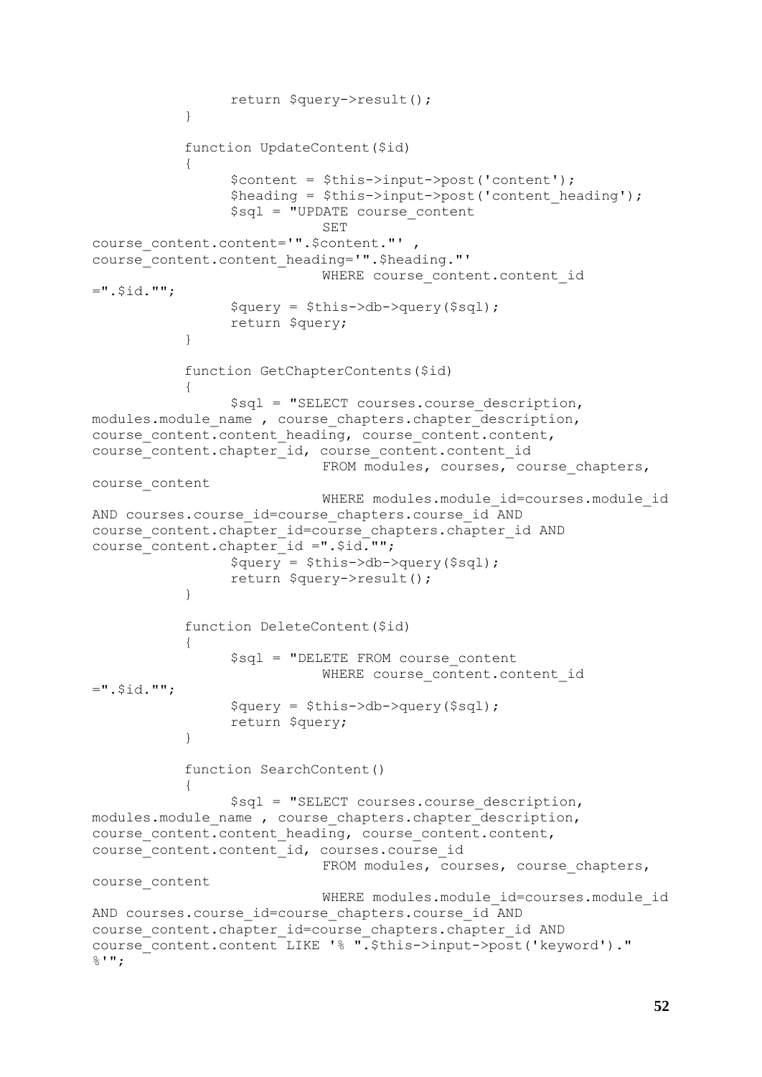```
return $query->result();
           }
           function UpdateContent($id)
           {
                $content = $this->input->post('content');
                $heading = $this->input->post('content_heading');
                 $sql = "UPDATE course_content
                            SET 
course content.content='".$content."',
course_content.content_heading='".$heading."'
                           WHERE course content.content id
=".$id."";
                 $query = $this->db->query($sql);
                return $query;
           }
           function GetChapterContents($id)
           {
                 $sql = "SELECT courses.course_description, 
modules.module name , course chapters.chapter description,
course content.content heading, course content.content,
course_content.chapter_id, course_content.content_id
                            FROM modules, courses, course chapters,
course_content
                            WHERE modules.module id=courses.module id
AND courses.course id=course chapters.course id AND
course content.chapter id=course chapters.chapter id AND
course_content.chapter_id =".$id."";
                $query = $this->db->query($sql);
                return $query->result();
           }
           function DeleteContent($id)
           {
                 $sql = "DELETE FROM course_content
                            WHERE course content.content id
=".$id."";
                $query = $this->db->query($sql);
                 return $query;
           }
           function SearchContent()
           {
                 $sql = "SELECT courses.course_description, 
modules.module name , course chapters.chapter description,
course content.content heading, course content.content,
course content.content id, courses.course id
                            FROM modules, courses, course chapters,
course_content
                            WHERE modules.module id=courses.module id
AND courses.course id=course chapters.course id AND
course_content.chapter_id=course_chapters.chapter_id AND 
course_content.content LIKE '% ".$this->input->post('keyword')."
%'";
```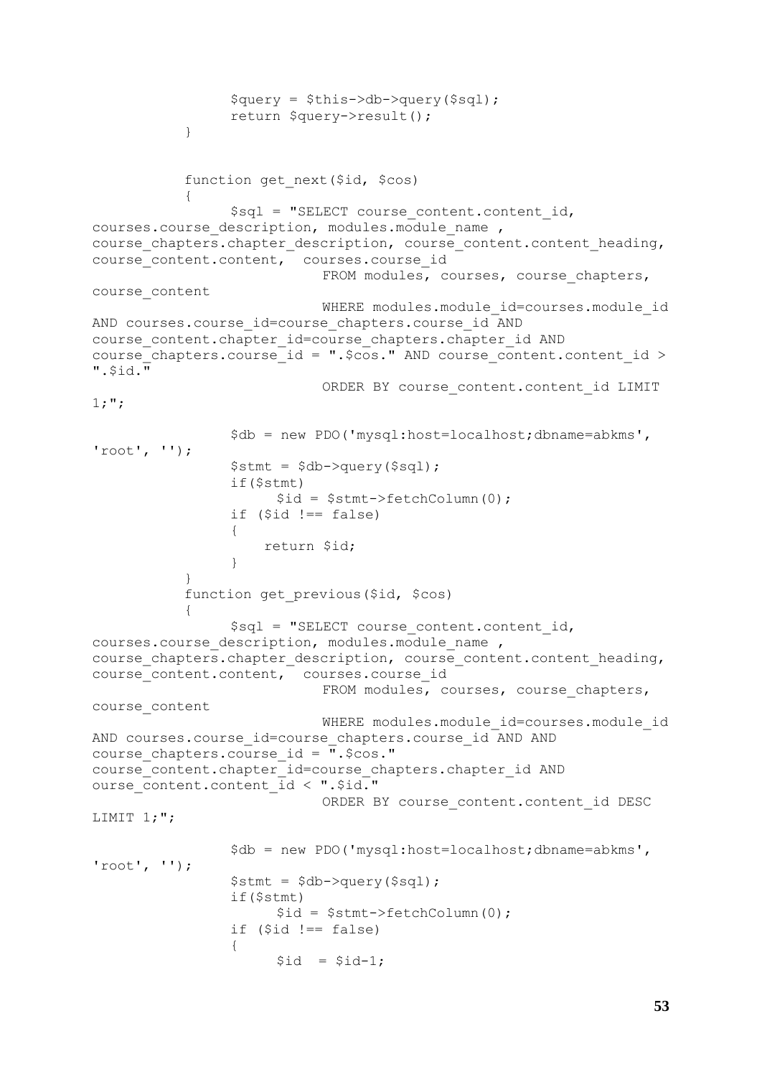```
$query = $this->db->query($sql);
                 return $query->result();
           }
           function get next($id, $cos)
           {
                 $sql = "SELECT course_content.content_id, 
courses.course description, modules.module name,
course chapters.chapter description, course content.content heading,
course content.content, courses.course id
                            FROM modules, courses, course chapters,
course_content
                            WHERE modules.module id=courses.module id
AND courses.course id=course chapters.course id AND
course content.chapter id=course chapters.chapter id AND
course chapters.course id = ".$cos." AND course content.content id >
".$id."
                            ORDER BY course content.content id LIMIT
1;";
                 $db = new PDO('mysql:host=localhost;dbname=abkms', 
'root', '');
                 $stmt = $db->query($sql);
                 if($stmt)
                       $id = $stmt->fetchColumn(0);
                 if (\text{sid } != = \text{false}){
                      return $id;
                 }
           }
           function get previous ($id, $cos)
           {
                 $sql = "SELECT course content.contrib_id,courses.course description, modules.module name ,
course chapters.chapter description, course content.content heading,
course_content.content, courses.course_id 
                            FROM modules, courses, course chapters,
course_content
                            WHERE modules.module id=courses.module id
AND courses.course id=course chapters.course id AND AND
course_chapters.course_id = ".$cos." 
course content.chapter id=course chapters.chapter id AND
ourse_content.content_id < ".$id."
                            ORDER BY course content.content id DESC
LIMIT 1;";
                 $db = new PDO('mysql:host=localhost;dbname=abkms', 
'root', '');
                 $stmt = $db->query($sql);
                 if($stmt)
                       $id = $stmt->fetchColumn(0);
                 if (\text{sid } !== \text{false}){
                      $id = $id-1;
```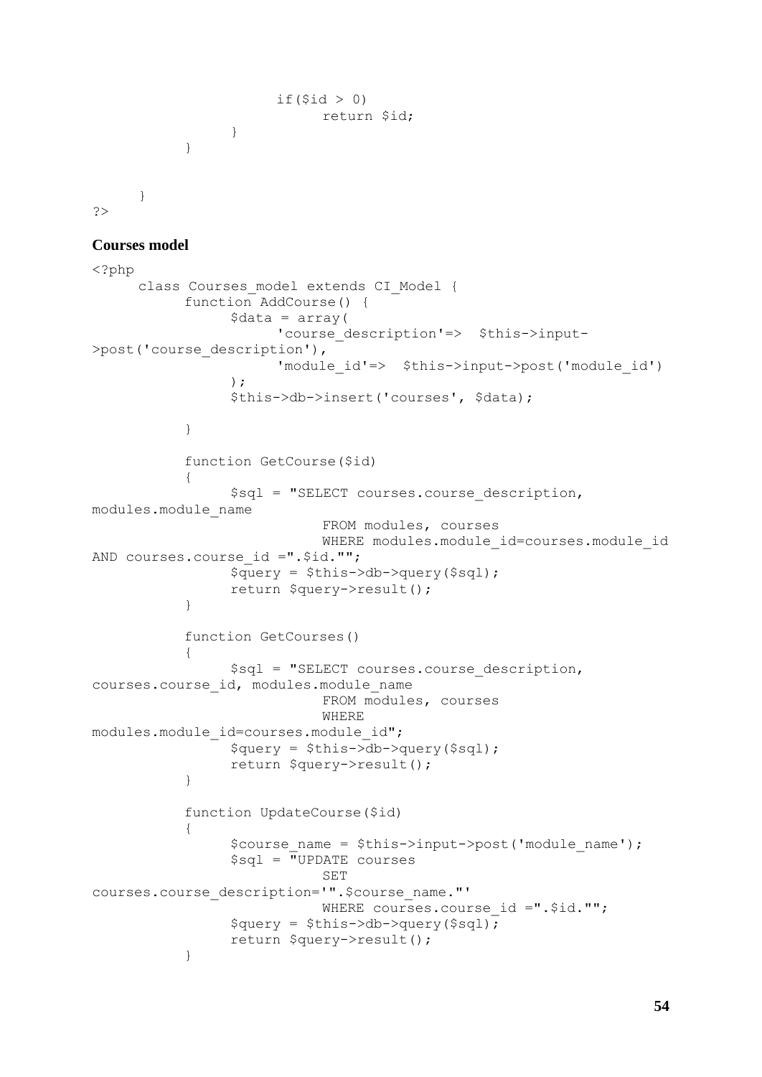```
if($id > 0)
                               return $id;
                   }
            }
      }
?>
Courses model
```

```
<?php
     class Courses model extends CI Model {
           function AddCourse() {
                 \text{Sdata} = \text{array}(
                       'course description'=> $this->input-
>post('course_description'),
                       'module id'=> $this->input->post('module id')
                 ); 
                 $this->db->insert('courses', $data);
           }
           function GetCourse($id)
            {
                 $sql = "SELECT courses.course_description, 
modules.module_name 
                             FROM modules, courses
                             WHERE modules.module id=courses.module id
AND courses.course id =".$id."";
                 $query = $this->db->query($sql);
                 return $query->result();
           }
           function GetCourses()
            {
                 $sql = "SELECT courses.course_description, 
courses.course_id, modules.module_name 
                             FROM modules, courses
                             WHERE 
modules.module id=courses.module id";
                 $query = $this->db->query($sql);
                 return $query->result();
           }
           function UpdateCourse($id)
           {
                 $course name = $this->input->post('module name');
                 $sq1 = \overline{''}UPDATE courses
                             SET 
courses.course_description='".$course_name."' 
                             WHERE courses.course id =". $id. "";
                 $query = $this->db->query($sql);
                 return $query->result();
           }
```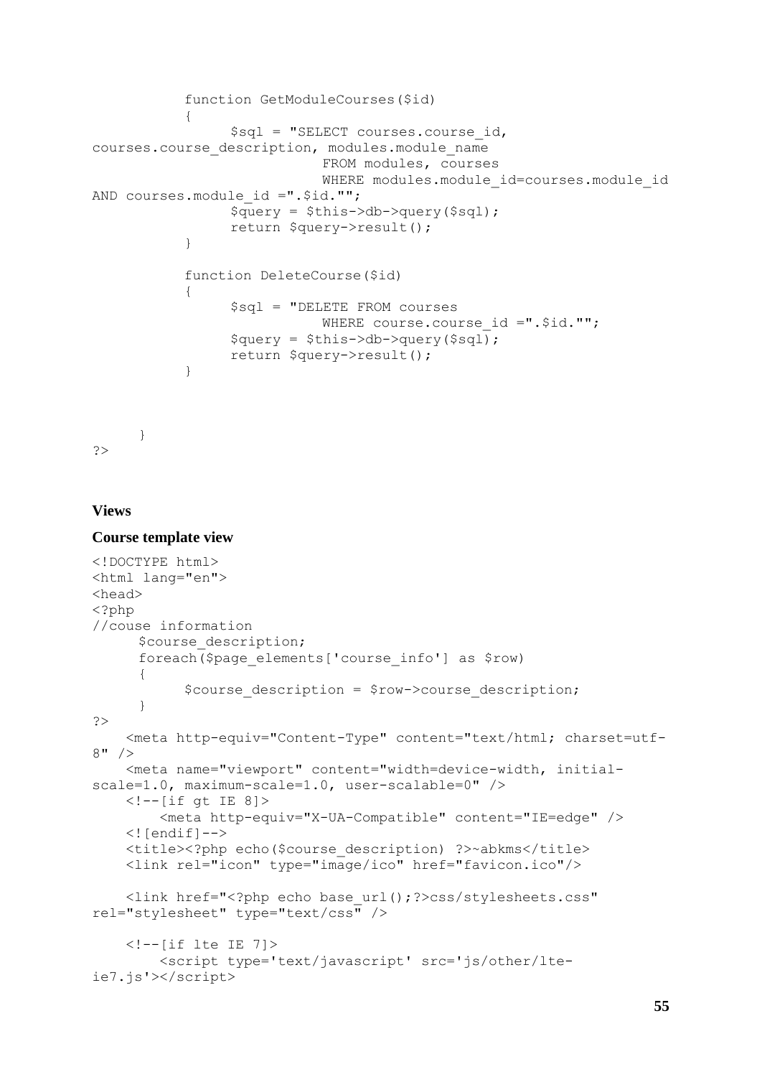```
function GetModuleCourses($id)
           {
                 $sql = "SELECT courses.course_id, 
courses.course_description, modules.module_name 
                            FROM modules, courses
                            WHERE modules.module id=courses.module id
AND courses.module id =".$id."";
                 $query = $this->db->query($sql);
                 return $query->result();
           }
           function DeleteCourse($id)
           {
                 $sql = "DELETE FROM courses
                            WHERE course.course id =".$id."";
                 $query = $this->db->query($sql);
                 return $query->result();
           }
```
?>

}

### **Views**

#### **Course template view**

```
<!DOCTYPE html>
<html lang="en">
<head> 
<?php 
//couse information
     $course description;
     foreach($page_elements['course_info'] as $row)
      {
           $course description = $row->course description;
      } 
?>
     <meta http-equiv="Content-Type" content="text/html; charset=utf-
8" />
     <meta name="viewport" content="width=device-width, initial-
scale=1.0, maximum-scale=1.0, user-scalable=0" /> 
     <!--[if gt IE 8]>
         <meta http-equiv="X-UA-Compatible" content="IE=edge" /> 
    \langle! [endif] -->
     <title><?php echo($course_description) ?>~abkms</title>
     <link rel="icon" type="image/ico" href="favicon.ico"/>
     <link href="<?php echo base_url();?>css/stylesheets.css" 
rel="stylesheet" type="text/css" />
    \langle!--[if lte IE 7]>
         <script type='text/javascript' src='js/other/lte-
ie7.js'></script>
```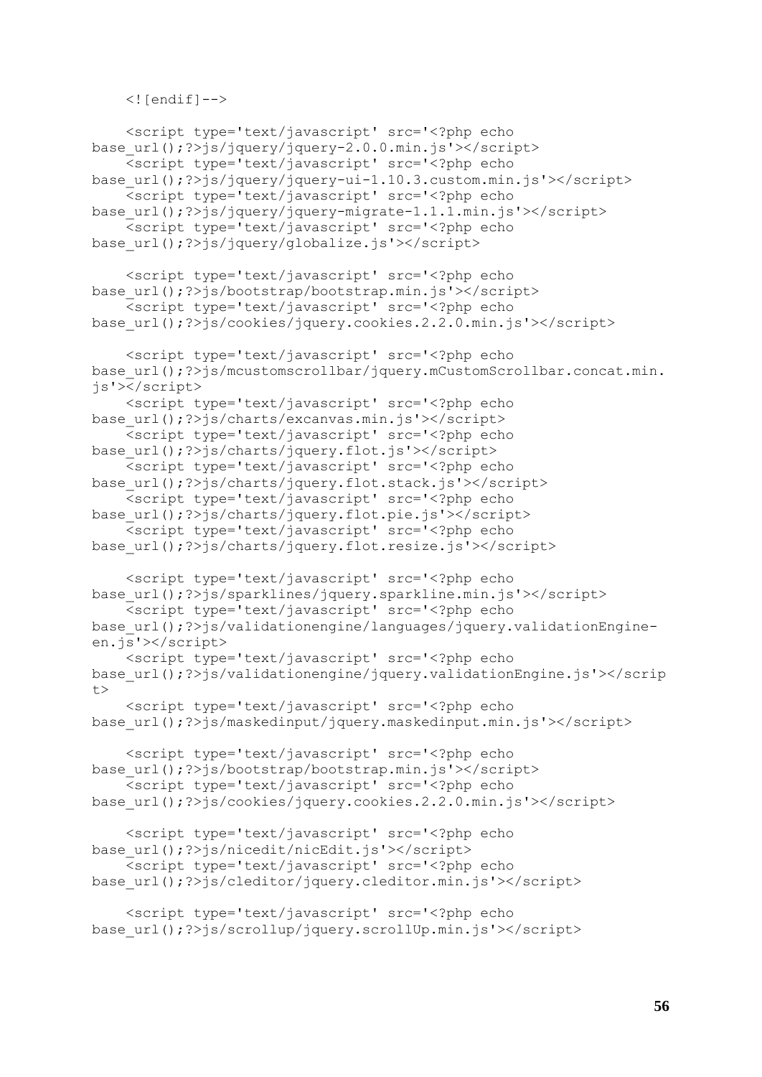```
\langle! [endif] \rightarrow
```

```
 <script type='text/javascript' src='<?php echo 
base_url();?>js/jquery/jquery-2.0.0.min.js'></script>
     <script type='text/javascript' src='<?php echo 
base_url();?>js/jquery/jquery-ui-1.10.3.custom.min.js'></script>
     <script type='text/javascript' src='<?php echo 
base_url();?>js/jquery/jquery-migrate-1.1.1.min.js'></script>
     <script type='text/javascript' src='<?php echo 
base_url();?>js/jquery/globalize.js'></script>
     <script type='text/javascript' src='<?php echo 
base url();?>js/bootstrap/bootstrap.min.js'></script>
     <script type='text/javascript' src='<?php echo 
base_url();?>js/cookies/jquery.cookies.2.2.0.min.js'></script>
     <script type='text/javascript' src='<?php echo 
base url();?>js/mcustomscrollbar/jquery.mCustomScrollbar.concat.min.
js'></script>
     <script type='text/javascript' src='<?php echo 
base url();?>js/charts/excanvas.min.js'></script>
     <script type='text/javascript' src='<?php echo 
base url();?>js/charts/jquery.flot.js'></script>
     <script type='text/javascript' src='<?php echo 
base url();?>js/charts/jquery.flot.stack.js'></script>
     <script type='text/javascript' src='<?php echo 
base url();?>js/charts/jquery.flot.pie.js'></script>
    -<br><script type='text/javascript' src='<?php echo
base url();?>js/charts/jquery.flot.resize.js'></script>
     <script type='text/javascript' src='<?php echo 
base_url();?>js/sparklines/jquery.sparkline.min.js'></script> 
     <script type='text/javascript' src='<?php echo 
base_url();?>js/validationengine/languages/jquery.validationEngine-
en.js'></script>
     <script type='text/javascript' src='<?php echo 
base_url();?>js/validationengine/jquery.validationEngine.js'></scrip
t <script type='text/javascript' src='<?php echo 
base_url();?>js/maskedinput/jquery.maskedinput.min.js'></script> 
     <script type='text/javascript' src='<?php echo 
base url();?>js/bootstrap/bootstrap.min.js'></script>
     <script type='text/javascript' src='<?php echo 
base_url();?>js/cookies/jquery.cookies.2.2.0.min.js'></script>
     <script type='text/javascript' src='<?php echo 
base url();?>js/nicedit/nicEdit.js'></script>
     <script type='text/javascript' src='<?php echo 
base_url();?>js/cleditor/jquery.cleditor.min.js'></script> 
     <script type='text/javascript' src='<?php echo 
base_url();?>js/scrollup/jquery.scrollUp.min.js'></script>
```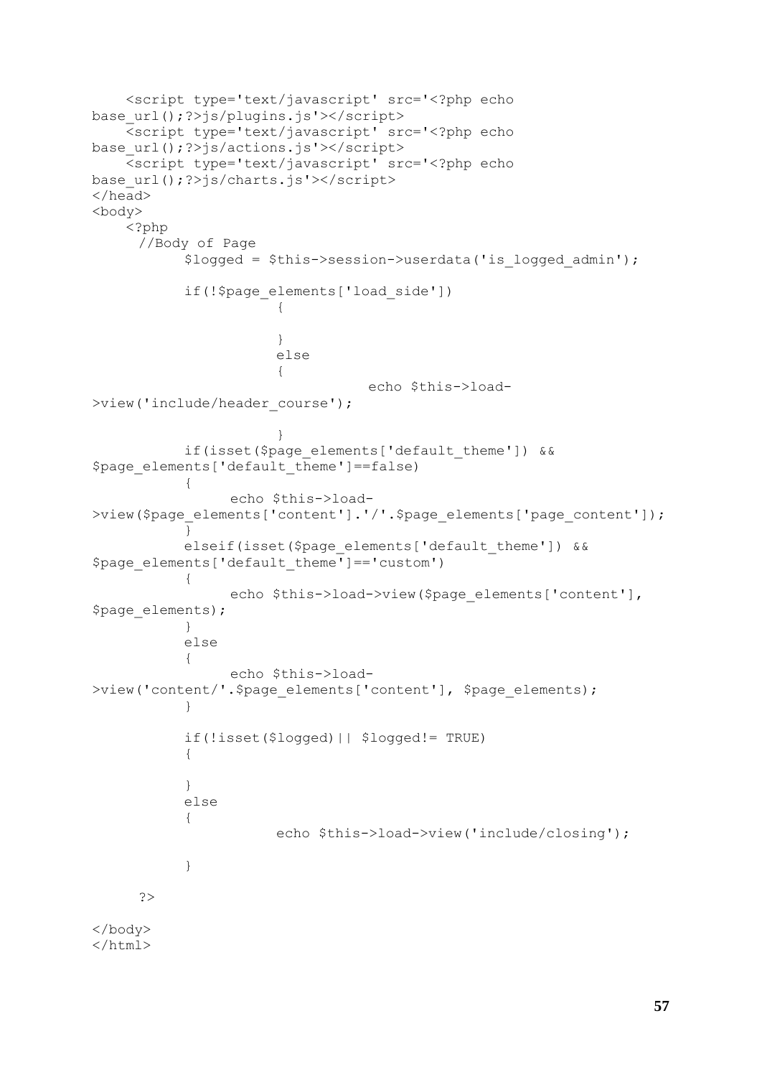```
 <script type='text/javascript' src='<?php echo 
base url();?>js/plugins.js'></script>
     <script type='text/javascript' src='<?php echo 
base url();?>js/actions.js'></script>
     <script type='text/javascript' src='<?php echo 
base url();?>js/charts.js'></script>
</head>
<body> 
     <?php
     //Body of Page
           $logged = $this->session->userdata('is_logged_admin');
           if(!$page_elements['load_side'])
                      {
                      }
                      else
                       {
                                  echo $this->load-
>view('include/header_course');
                      }
           if(isset($page_elements['default_theme']) && 
$page elements['default theme']==false)
           {
                 echo $this->load-
>view($page_elements['content'].'/'.$page_elements['page_content']);
           }
           elseif(isset($page_elements['default_theme']) & &
$page_elements['default_theme']=='custom')
           {
                 echo $this->load->view($page_elements['content'],
$page_elements); 
           }
           else
           {
                 echo $this->load-
>view('content/'.$page elements['content'], $page elements);
           }
           if(!isset($logged)|| $logged!= TRUE)
           {
           }
           else
           {
                      echo $this->load->view('include/closing');
           }
     ?>
</body>
</html>
```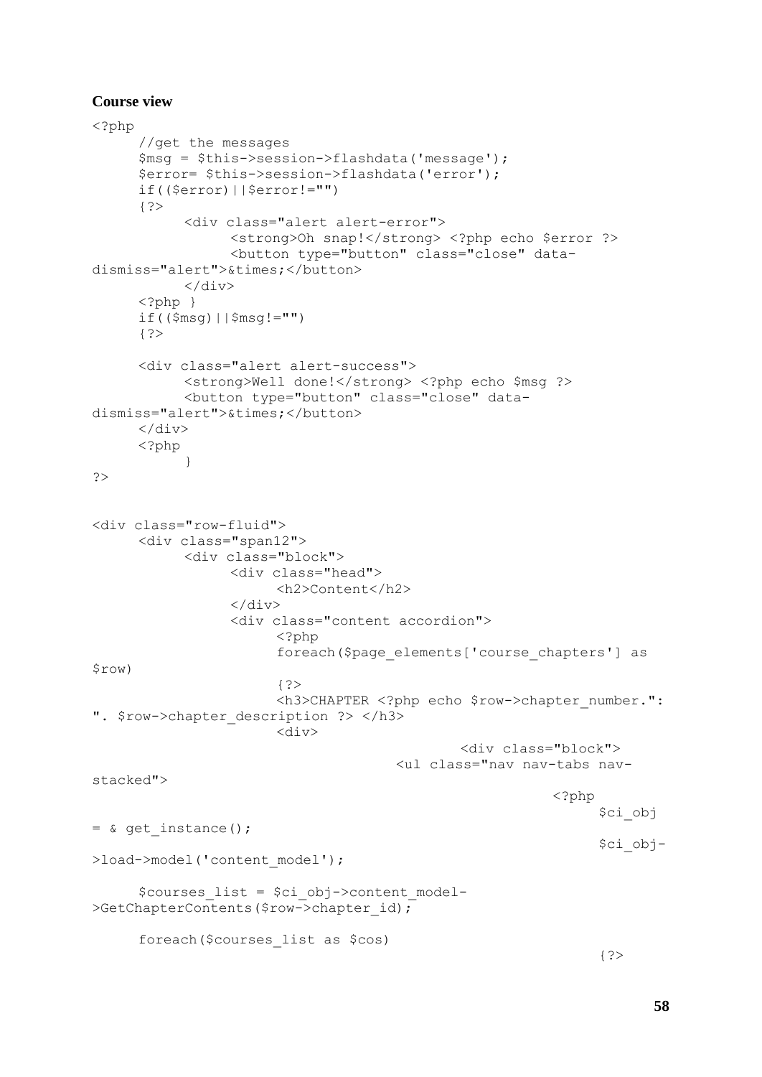## **Course view**

```
<?php
     //get the messages
     $msg = $this->session->flashdata('message');
     $error= $this->session->flashdata('error');
     if(($error)||$error!="")
      \left\{ ? \right\}<div class="alert alert-error"> 
                 <strong>Oh snap!</strong> <?php echo $error ?> 
                 <button type="button" class="close" data-
dismiss="alert">×</button>
           \langle/div>
     \langle ?php \rangleif(($msg)||$msg!="")
     {?>
     <div class="alert alert-success"> 
           <strong>Well done!</strong> <?php echo $msg ?>
           <button type="button" class="close" data-
dismiss="alert">×</button>
     </div>
     <?php
           }
?>
<div class="row-fluid">
     <div class="span12">
           <div class="block">
                 <div class="head">
                       <h2>Content</h2>
                 </div> 
                 <div class="content accordion">
                       <?php
                       foreach($page_elements['course_chapters'] as 
$row)
                       \{ ? \}<h3>CHAPTER <?php echo $row->chapter number.":
". $row->chapter description ?> </h3>
                       <div>
                                              <div class="block">
                                       <ul class="nav nav-tabs nav-
stacked">
                                                         <?php
                                                               $ci_obj 
= & get_instance();
                                                               $ci_obj-
>load->model('content model');
      $courses_list = $ci_obj->content_model-
>GetChapterContents($row->chapter id);
     foreach($courses_list as $cos)
                                                               {?>
```